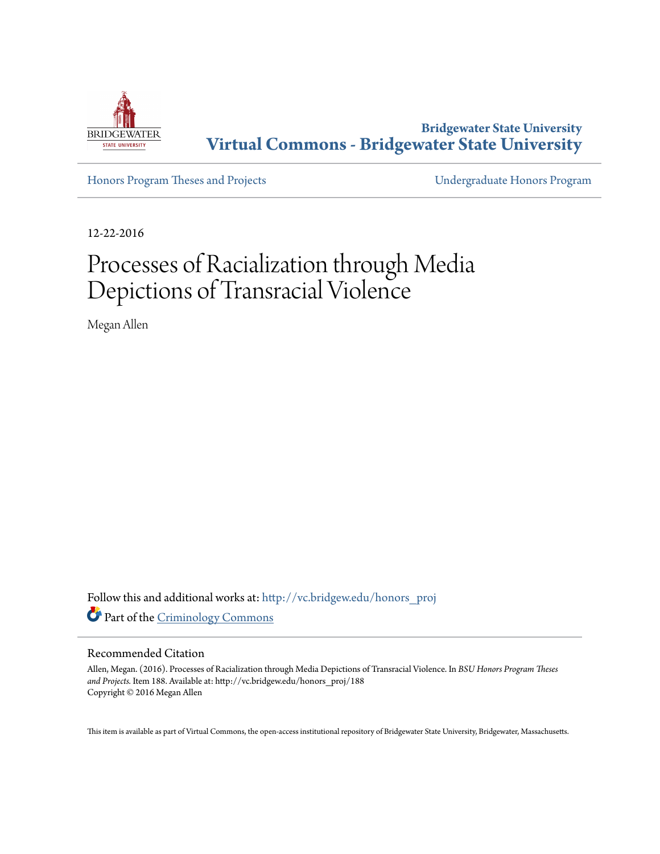

**Bridgewater State University [Virtual Commons - Bridgewater State University](http://vc.bridgew.edu?utm_source=vc.bridgew.edu%2Fhonors_proj%2F188&utm_medium=PDF&utm_campaign=PDFCoverPages)**

[Honors Program Theses and Projects](http://vc.bridgew.edu/honors_proj?utm_source=vc.bridgew.edu%2Fhonors_proj%2F188&utm_medium=PDF&utm_campaign=PDFCoverPages) [Undergraduate Honors Program](http://vc.bridgew.edu/honors?utm_source=vc.bridgew.edu%2Fhonors_proj%2F188&utm_medium=PDF&utm_campaign=PDFCoverPages)

12-22-2016

# Processes of Racialization through Media Depictions of Transracial Violence

Megan Allen

Follow this and additional works at: [http://vc.bridgew.edu/honors\\_proj](http://vc.bridgew.edu/honors_proj?utm_source=vc.bridgew.edu%2Fhonors_proj%2F188&utm_medium=PDF&utm_campaign=PDFCoverPages) Part of the [Criminology Commons](http://network.bepress.com/hgg/discipline/417?utm_source=vc.bridgew.edu%2Fhonors_proj%2F188&utm_medium=PDF&utm_campaign=PDFCoverPages)

#### Recommended Citation

Allen, Megan. (2016). Processes of Racialization through Media Depictions of Transracial Violence. In *BSU Honors Program Theses and Projects.* Item 188. Available at: http://vc.bridgew.edu/honors\_proj/188 Copyright © 2016 Megan Allen

This item is available as part of Virtual Commons, the open-access institutional repository of Bridgewater State University, Bridgewater, Massachusetts.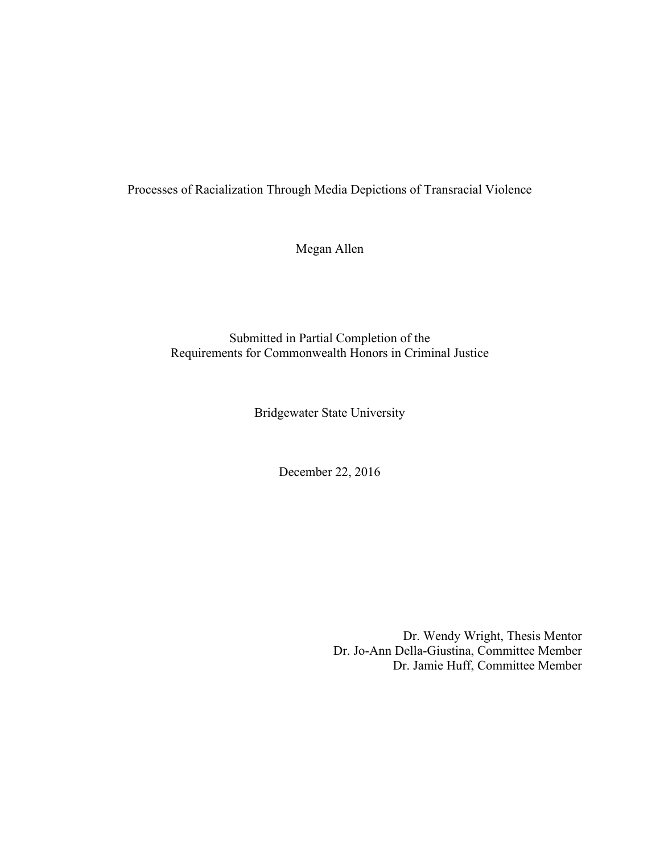Processes of Racialization Through Media Depictions of Transracial Violence

Megan Allen

Submitted in Partial Completion of the Requirements for Commonwealth Honors in Criminal Justice

Bridgewater State University

December 22, 2016

Dr. Wendy Wright, Thesis Mentor Dr. Jo-Ann Della-Giustina, Committee Member Dr. Jamie Huff, Committee Member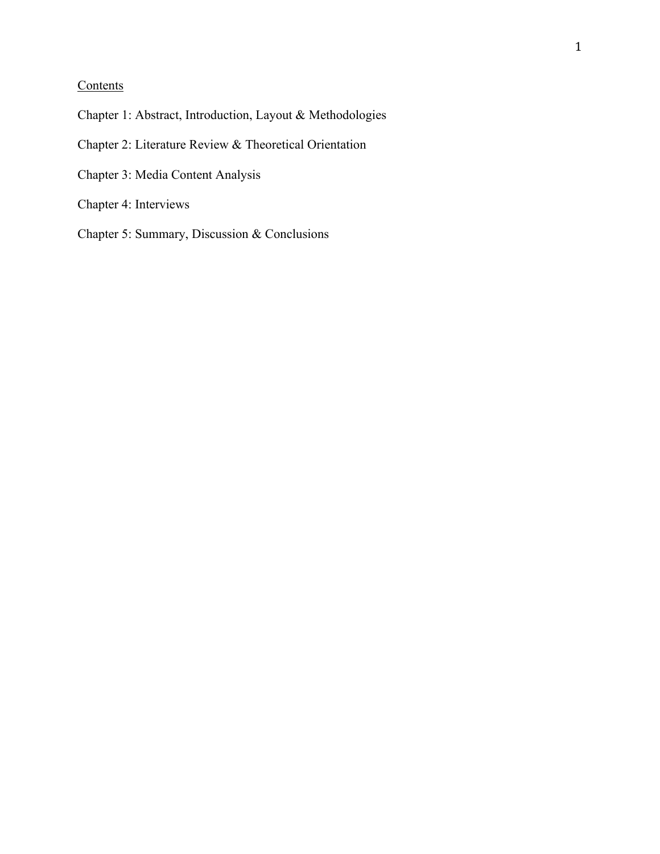# **Contents**

- Chapter 1: Abstract, Introduction, Layout & Methodologies
- Chapter 2: Literature Review & Theoretical Orientation
- Chapter 3: Media Content Analysis
- Chapter 4: Interviews
- Chapter 5: Summary, Discussion & Conclusions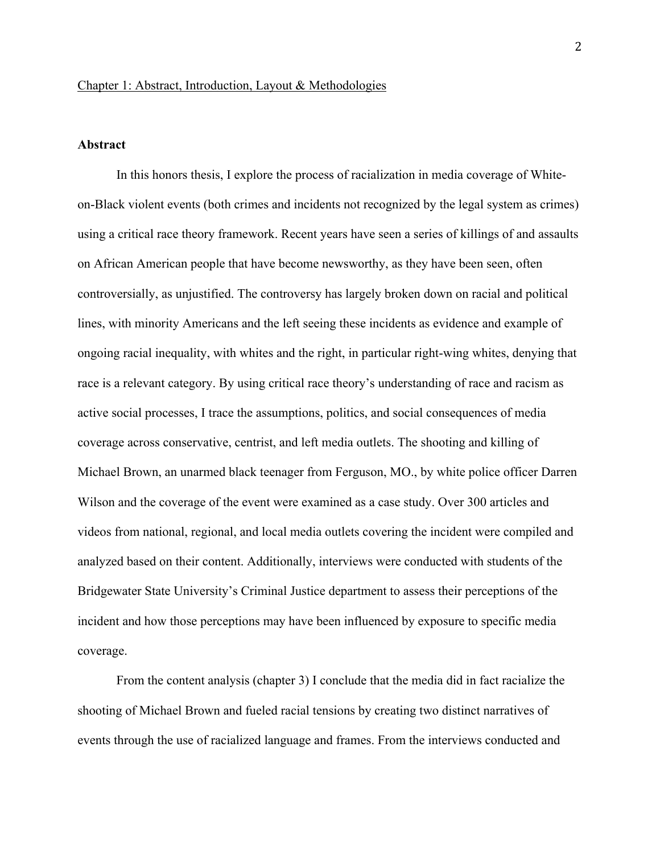# **Abstract**

In this honors thesis, I explore the process of racialization in media coverage of Whiteon-Black violent events (both crimes and incidents not recognized by the legal system as crimes) using a critical race theory framework. Recent years have seen a series of killings of and assaults on African American people that have become newsworthy, as they have been seen, often controversially, as unjustified. The controversy has largely broken down on racial and political lines, with minority Americans and the left seeing these incidents as evidence and example of ongoing racial inequality, with whites and the right, in particular right-wing whites, denying that race is a relevant category. By using critical race theory's understanding of race and racism as active social processes, I trace the assumptions, politics, and social consequences of media coverage across conservative, centrist, and left media outlets. The shooting and killing of Michael Brown, an unarmed black teenager from Ferguson, MO., by white police officer Darren Wilson and the coverage of the event were examined as a case study. Over 300 articles and videos from national, regional, and local media outlets covering the incident were compiled and analyzed based on their content. Additionally, interviews were conducted with students of the Bridgewater State University's Criminal Justice department to assess their perceptions of the incident and how those perceptions may have been influenced by exposure to specific media coverage.

From the content analysis (chapter 3) I conclude that the media did in fact racialize the shooting of Michael Brown and fueled racial tensions by creating two distinct narratives of events through the use of racialized language and frames. From the interviews conducted and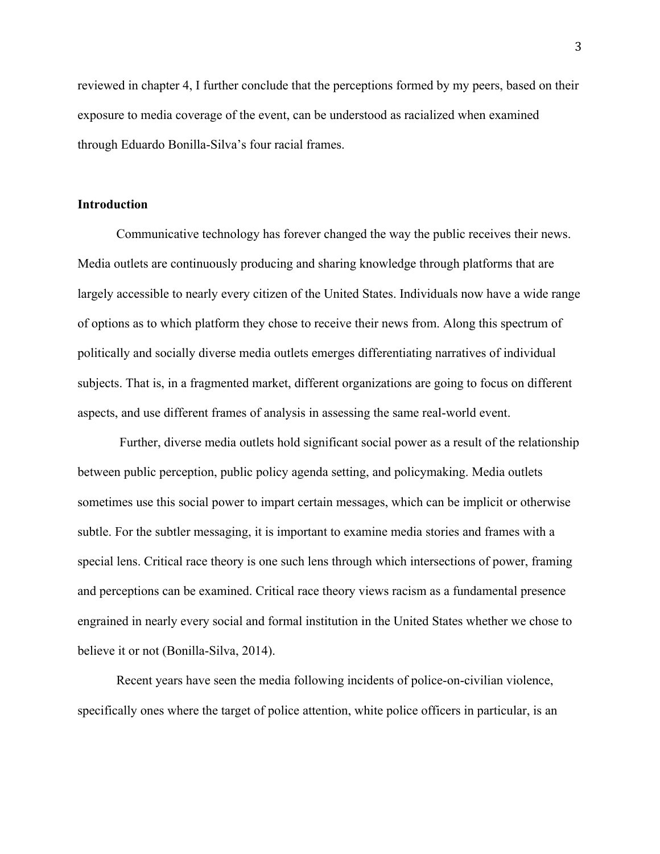reviewed in chapter 4, I further conclude that the perceptions formed by my peers, based on their exposure to media coverage of the event, can be understood as racialized when examined through Eduardo Bonilla-Silva's four racial frames.

# **Introduction**

Communicative technology has forever changed the way the public receives their news. Media outlets are continuously producing and sharing knowledge through platforms that are largely accessible to nearly every citizen of the United States. Individuals now have a wide range of options as to which platform they chose to receive their news from. Along this spectrum of politically and socially diverse media outlets emerges differentiating narratives of individual subjects. That is, in a fragmented market, different organizations are going to focus on different aspects, and use different frames of analysis in assessing the same real-world event.

Further, diverse media outlets hold significant social power as a result of the relationship between public perception, public policy agenda setting, and policymaking. Media outlets sometimes use this social power to impart certain messages, which can be implicit or otherwise subtle. For the subtler messaging, it is important to examine media stories and frames with a special lens. Critical race theory is one such lens through which intersections of power, framing and perceptions can be examined. Critical race theory views racism as a fundamental presence engrained in nearly every social and formal institution in the United States whether we chose to believe it or not (Bonilla-Silva, 2014).

Recent years have seen the media following incidents of police-on-civilian violence, specifically ones where the target of police attention, white police officers in particular, is an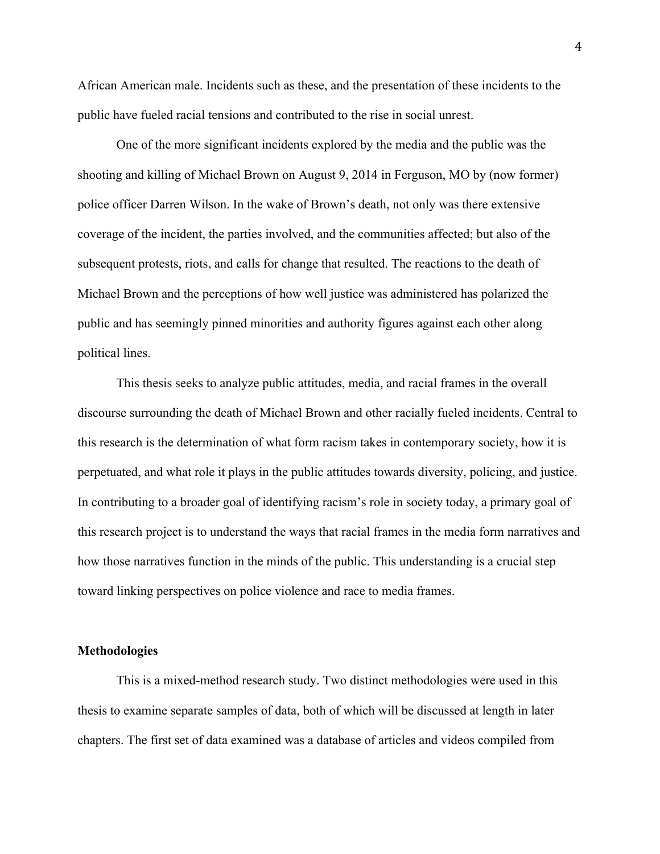African American male. Incidents such as these, and the presentation of these incidents to the public have fueled racial tensions and contributed to the rise in social unrest.

One of the more significant incidents explored by the media and the public was the shooting and killing of Michael Brown on August 9, 2014 in Ferguson, MO by (now former) police officer Darren Wilson. In the wake of Brown's death, not only was there extensive coverage of the incident, the parties involved, and the communities affected; but also of the subsequent protests, riots, and calls for change that resulted. The reactions to the death of Michael Brown and the perceptions of how well justice was administered has polarized the public and has seemingly pinned minorities and authority figures against each other along political lines.

This thesis seeks to analyze public attitudes, media, and racial frames in the overall discourse surrounding the death of Michael Brown and other racially fueled incidents. Central to this research is the determination of what form racism takes in contemporary society, how it is perpetuated, and what role it plays in the public attitudes towards diversity, policing, and justice. In contributing to a broader goal of identifying racism's role in society today, a primary goal of this research project is to understand the ways that racial frames in the media form narratives and how those narratives function in the minds of the public. This understanding is a crucial step toward linking perspectives on police violence and race to media frames.

#### **Methodologies**

This is a mixed-method research study. Two distinct methodologies were used in this thesis to examine separate samples of data, both of which will be discussed at length in later chapters. The first set of data examined was a database of articles and videos compiled from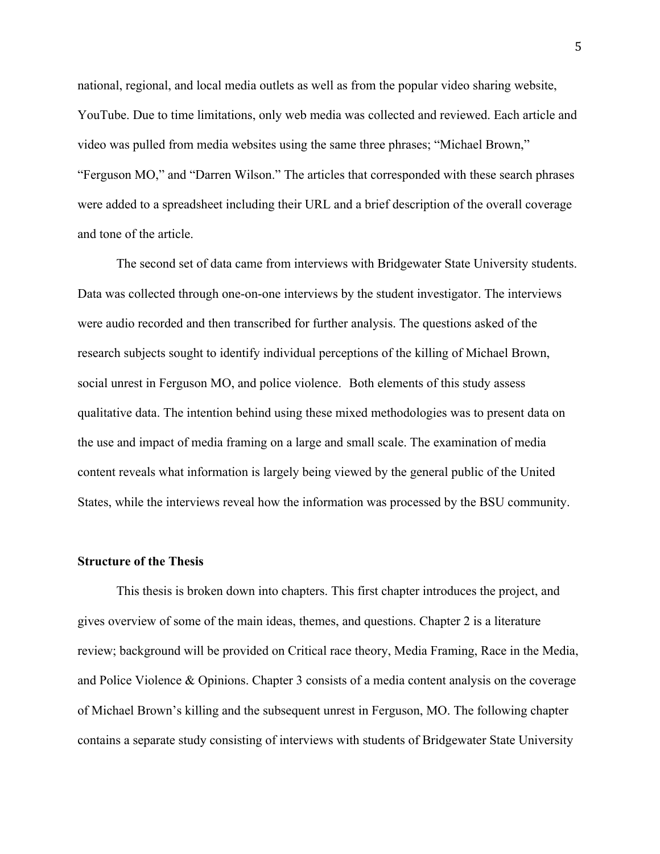national, regional, and local media outlets as well as from the popular video sharing website, YouTube. Due to time limitations, only web media was collected and reviewed. Each article and video was pulled from media websites using the same three phrases; "Michael Brown," "Ferguson MO," and "Darren Wilson." The articles that corresponded with these search phrases were added to a spreadsheet including their URL and a brief description of the overall coverage and tone of the article.

The second set of data came from interviews with Bridgewater State University students. Data was collected through one-on-one interviews by the student investigator. The interviews were audio recorded and then transcribed for further analysis. The questions asked of the research subjects sought to identify individual perceptions of the killing of Michael Brown, social unrest in Ferguson MO, and police violence. Both elements of this study assess qualitative data. The intention behind using these mixed methodologies was to present data on the use and impact of media framing on a large and small scale. The examination of media content reveals what information is largely being viewed by the general public of the United States, while the interviews reveal how the information was processed by the BSU community.

#### **Structure of the Thesis**

This thesis is broken down into chapters. This first chapter introduces the project, and gives overview of some of the main ideas, themes, and questions. Chapter 2 is a literature review; background will be provided on Critical race theory, Media Framing, Race in the Media, and Police Violence & Opinions. Chapter 3 consists of a media content analysis on the coverage of Michael Brown's killing and the subsequent unrest in Ferguson, MO. The following chapter contains a separate study consisting of interviews with students of Bridgewater State University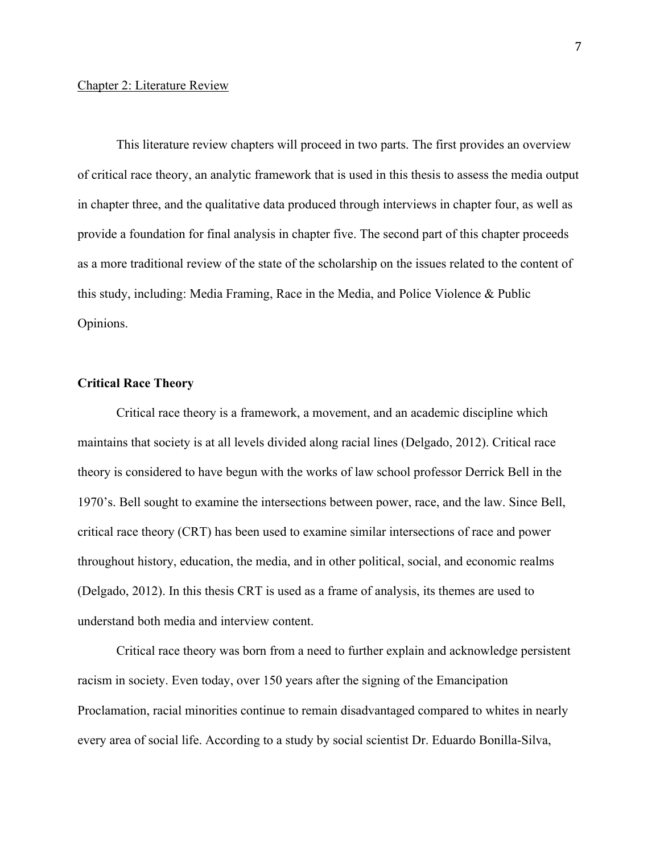#### Chapter 2: Literature Review

This literature review chapters will proceed in two parts. The first provides an overview of critical race theory, an analytic framework that is used in this thesis to assess the media output in chapter three, and the qualitative data produced through interviews in chapter four, as well as provide a foundation for final analysis in chapter five. The second part of this chapter proceeds as a more traditional review of the state of the scholarship on the issues related to the content of this study, including: Media Framing, Race in the Media, and Police Violence & Public Opinions.

# **Critical Race Theory**

Critical race theory is a framework, a movement, and an academic discipline which maintains that society is at all levels divided along racial lines (Delgado, 2012). Critical race theory is considered to have begun with the works of law school professor Derrick Bell in the 1970's. Bell sought to examine the intersections between power, race, and the law. Since Bell, critical race theory (CRT) has been used to examine similar intersections of race and power throughout history, education, the media, and in other political, social, and economic realms (Delgado, 2012). In this thesis CRT is used as a frame of analysis, its themes are used to understand both media and interview content.

Critical race theory was born from a need to further explain and acknowledge persistent racism in society. Even today, over 150 years after the signing of the Emancipation Proclamation, racial minorities continue to remain disadvantaged compared to whites in nearly every area of social life. According to a study by social scientist Dr. Eduardo Bonilla-Silva,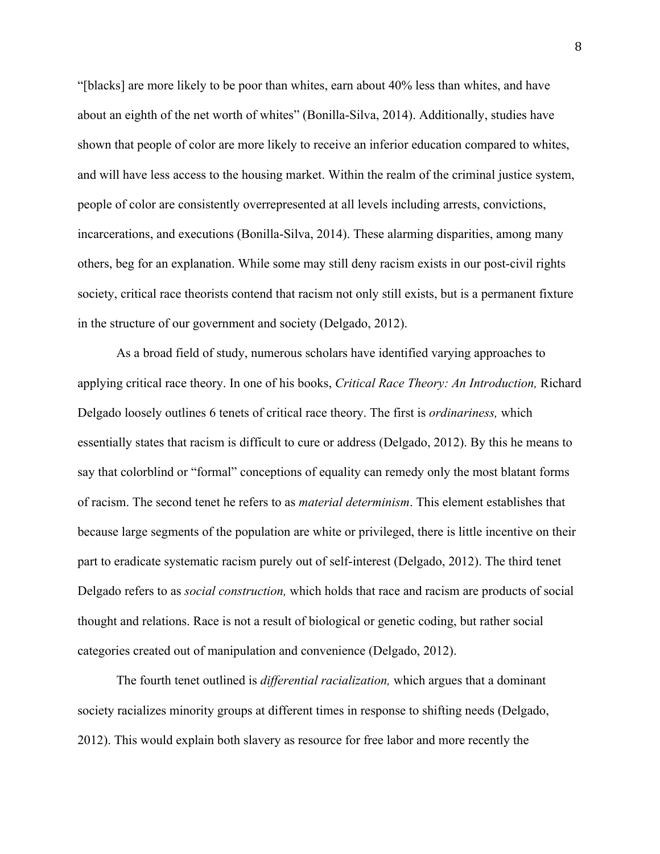"[blacks] are more likely to be poor than whites, earn about 40% less than whites, and have about an eighth of the net worth of whites" (Bonilla-Silva, 2014). Additionally, studies have shown that people of color are more likely to receive an inferior education compared to whites, and will have less access to the housing market. Within the realm of the criminal justice system, people of color are consistently overrepresented at all levels including arrests, convictions, incarcerations, and executions (Bonilla-Silva, 2014). These alarming disparities, among many others, beg for an explanation. While some may still deny racism exists in our post-civil rights society, critical race theorists contend that racism not only still exists, but is a permanent fixture in the structure of our government and society (Delgado, 2012).

As a broad field of study, numerous scholars have identified varying approaches to applying critical race theory. In one of his books, *Critical Race Theory: An Introduction,* Richard Delgado loosely outlines 6 tenets of critical race theory. The first is *ordinariness,* which essentially states that racism is difficult to cure or address (Delgado, 2012). By this he means to say that colorblind or "formal" conceptions of equality can remedy only the most blatant forms of racism. The second tenet he refers to as *material determinism*. This element establishes that because large segments of the population are white or privileged, there is little incentive on their part to eradicate systematic racism purely out of self-interest (Delgado, 2012). The third tenet Delgado refers to as *social construction,* which holds that race and racism are products of social thought and relations. Race is not a result of biological or genetic coding, but rather social categories created out of manipulation and convenience (Delgado, 2012).

The fourth tenet outlined is *differential racialization,* which argues that a dominant society racializes minority groups at different times in response to shifting needs (Delgado, 2012). This would explain both slavery as resource for free labor and more recently the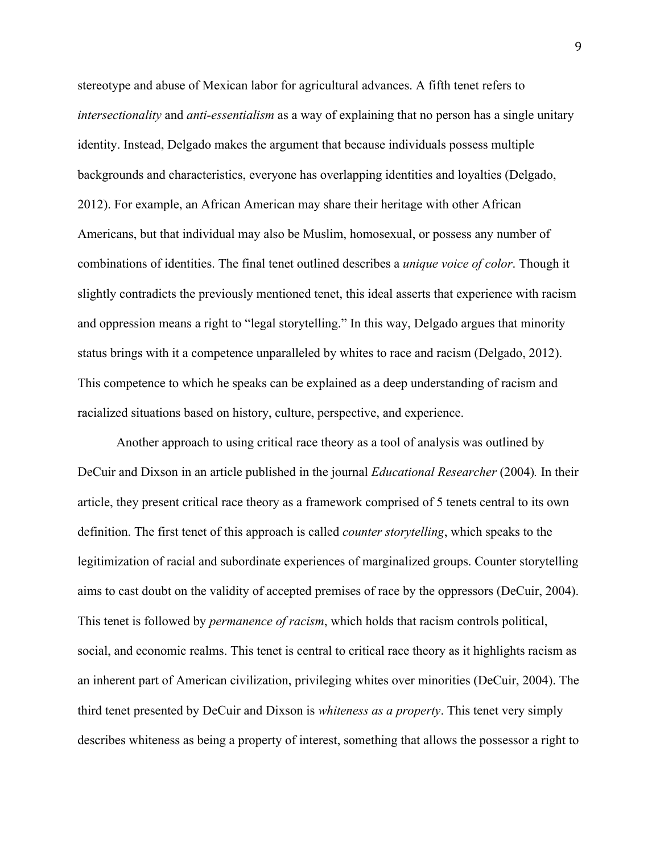stereotype and abuse of Mexican labor for agricultural advances. A fifth tenet refers to *intersectionality* and *anti-essentialism* as a way of explaining that no person has a single unitary identity. Instead, Delgado makes the argument that because individuals possess multiple backgrounds and characteristics, everyone has overlapping identities and loyalties (Delgado, 2012). For example, an African American may share their heritage with other African Americans, but that individual may also be Muslim, homosexual, or possess any number of combinations of identities. The final tenet outlined describes a *unique voice of color*. Though it slightly contradicts the previously mentioned tenet, this ideal asserts that experience with racism and oppression means a right to "legal storytelling." In this way, Delgado argues that minority status brings with it a competence unparalleled by whites to race and racism (Delgado, 2012). This competence to which he speaks can be explained as a deep understanding of racism and racialized situations based on history, culture, perspective, and experience.

Another approach to using critical race theory as a tool of analysis was outlined by DeCuir and Dixson in an article published in the journal *Educational Researcher* (2004)*.* In their article, they present critical race theory as a framework comprised of 5 tenets central to its own definition. The first tenet of this approach is called *counter storytelling*, which speaks to the legitimization of racial and subordinate experiences of marginalized groups. Counter storytelling aims to cast doubt on the validity of accepted premises of race by the oppressors (DeCuir, 2004). This tenet is followed by *permanence of racism*, which holds that racism controls political, social, and economic realms. This tenet is central to critical race theory as it highlights racism as an inherent part of American civilization, privileging whites over minorities (DeCuir, 2004). The third tenet presented by DeCuir and Dixson is *whiteness as a property*. This tenet very simply describes whiteness as being a property of interest, something that allows the possessor a right to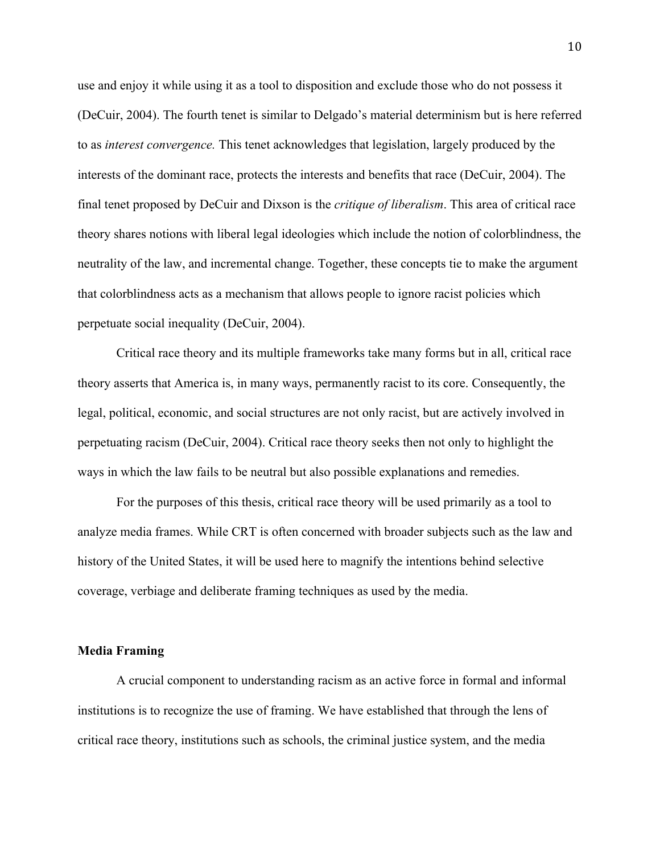use and enjoy it while using it as a tool to disposition and exclude those who do not possess it (DeCuir, 2004). The fourth tenet is similar to Delgado's material determinism but is here referred to as *interest convergence.* This tenet acknowledges that legislation, largely produced by the interests of the dominant race, protects the interests and benefits that race (DeCuir, 2004). The final tenet proposed by DeCuir and Dixson is the *critique of liberalism*. This area of critical race theory shares notions with liberal legal ideologies which include the notion of colorblindness, the neutrality of the law, and incremental change. Together, these concepts tie to make the argument that colorblindness acts as a mechanism that allows people to ignore racist policies which perpetuate social inequality (DeCuir, 2004).

Critical race theory and its multiple frameworks take many forms but in all, critical race theory asserts that America is, in many ways, permanently racist to its core. Consequently, the legal, political, economic, and social structures are not only racist, but are actively involved in perpetuating racism (DeCuir, 2004). Critical race theory seeks then not only to highlight the ways in which the law fails to be neutral but also possible explanations and remedies.

For the purposes of this thesis, critical race theory will be used primarily as a tool to analyze media frames. While CRT is often concerned with broader subjects such as the law and history of the United States, it will be used here to magnify the intentions behind selective coverage, verbiage and deliberate framing techniques as used by the media.

#### **Media Framing**

A crucial component to understanding racism as an active force in formal and informal institutions is to recognize the use of framing. We have established that through the lens of critical race theory, institutions such as schools, the criminal justice system, and the media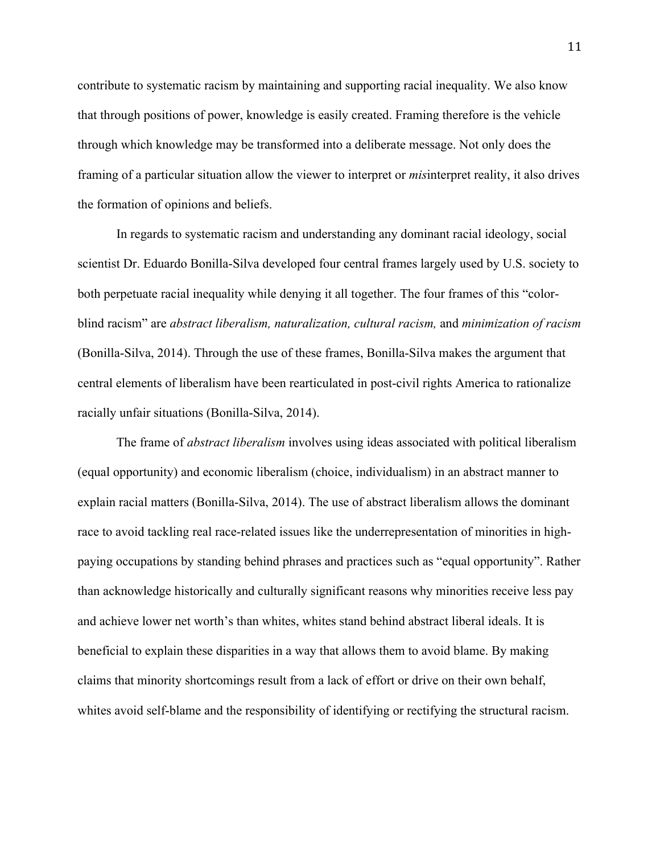contribute to systematic racism by maintaining and supporting racial inequality. We also know that through positions of power, knowledge is easily created. Framing therefore is the vehicle through which knowledge may be transformed into a deliberate message. Not only does the framing of a particular situation allow the viewer to interpret or *mis*interpret reality, it also drives the formation of opinions and beliefs.

In regards to systematic racism and understanding any dominant racial ideology, social scientist Dr. Eduardo Bonilla-Silva developed four central frames largely used by U.S. society to both perpetuate racial inequality while denying it all together. The four frames of this "colorblind racism" are *abstract liberalism, naturalization, cultural racism,* and *minimization of racism* (Bonilla-Silva, 2014). Through the use of these frames, Bonilla-Silva makes the argument that central elements of liberalism have been rearticulated in post-civil rights America to rationalize racially unfair situations (Bonilla-Silva, 2014).

The frame of *abstract liberalism* involves using ideas associated with political liberalism (equal opportunity) and economic liberalism (choice, individualism) in an abstract manner to explain racial matters (Bonilla-Silva, 2014). The use of abstract liberalism allows the dominant race to avoid tackling real race-related issues like the underrepresentation of minorities in highpaying occupations by standing behind phrases and practices such as "equal opportunity". Rather than acknowledge historically and culturally significant reasons why minorities receive less pay and achieve lower net worth's than whites, whites stand behind abstract liberal ideals. It is beneficial to explain these disparities in a way that allows them to avoid blame. By making claims that minority shortcomings result from a lack of effort or drive on their own behalf, whites avoid self-blame and the responsibility of identifying or rectifying the structural racism.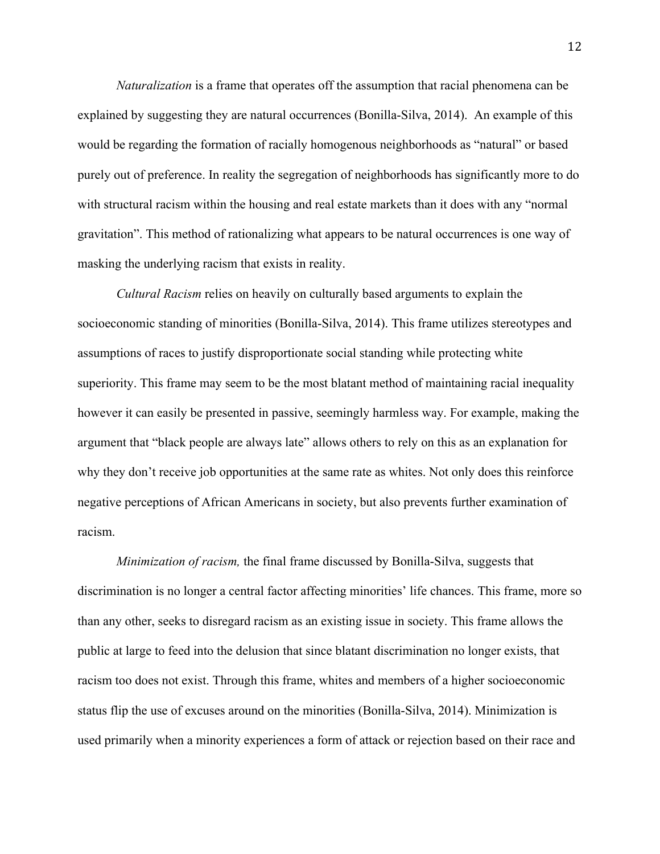*Naturalization* is a frame that operates off the assumption that racial phenomena can be explained by suggesting they are natural occurrences (Bonilla-Silva, 2014). An example of this would be regarding the formation of racially homogenous neighborhoods as "natural" or based purely out of preference. In reality the segregation of neighborhoods has significantly more to do with structural racism within the housing and real estate markets than it does with any "normal" gravitation". This method of rationalizing what appears to be natural occurrences is one way of masking the underlying racism that exists in reality.

*Cultural Racism* relies on heavily on culturally based arguments to explain the socioeconomic standing of minorities (Bonilla-Silva, 2014). This frame utilizes stereotypes and assumptions of races to justify disproportionate social standing while protecting white superiority. This frame may seem to be the most blatant method of maintaining racial inequality however it can easily be presented in passive, seemingly harmless way. For example, making the argument that "black people are always late" allows others to rely on this as an explanation for why they don't receive job opportunities at the same rate as whites. Not only does this reinforce negative perceptions of African Americans in society, but also prevents further examination of racism.

*Minimization of racism,* the final frame discussed by Bonilla-Silva, suggests that discrimination is no longer a central factor affecting minorities' life chances. This frame, more so than any other, seeks to disregard racism as an existing issue in society. This frame allows the public at large to feed into the delusion that since blatant discrimination no longer exists, that racism too does not exist. Through this frame, whites and members of a higher socioeconomic status flip the use of excuses around on the minorities (Bonilla-Silva, 2014). Minimization is used primarily when a minority experiences a form of attack or rejection based on their race and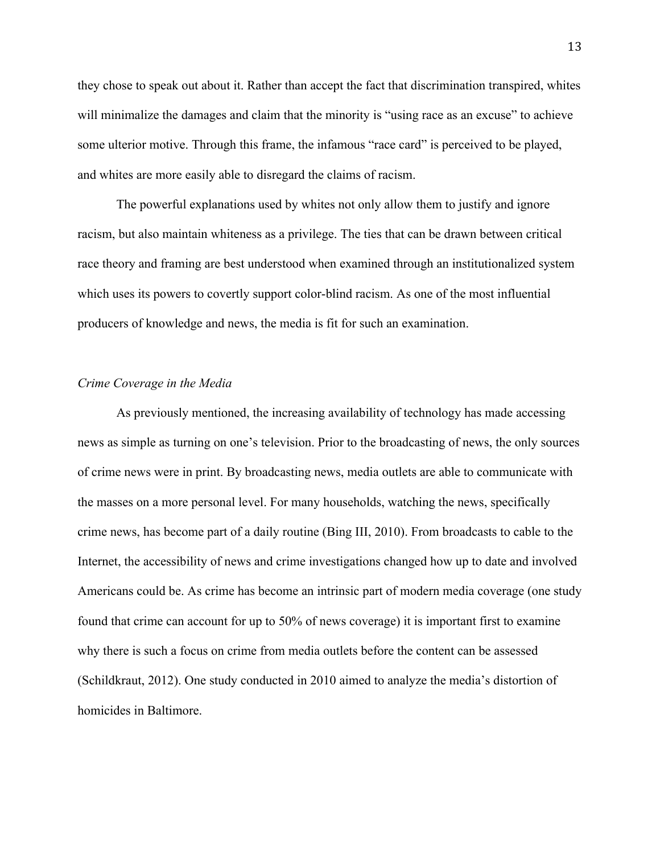they chose to speak out about it. Rather than accept the fact that discrimination transpired, whites will minimalize the damages and claim that the minority is "using race as an excuse" to achieve some ulterior motive. Through this frame, the infamous "race card" is perceived to be played, and whites are more easily able to disregard the claims of racism.

The powerful explanations used by whites not only allow them to justify and ignore racism, but also maintain whiteness as a privilege. The ties that can be drawn between critical race theory and framing are best understood when examined through an institutionalized system which uses its powers to covertly support color-blind racism. As one of the most influential producers of knowledge and news, the media is fit for such an examination.

## *Crime Coverage in the Media*

As previously mentioned, the increasing availability of technology has made accessing news as simple as turning on one's television. Prior to the broadcasting of news, the only sources of crime news were in print. By broadcasting news, media outlets are able to communicate with the masses on a more personal level. For many households, watching the news, specifically crime news, has become part of a daily routine (Bing III, 2010). From broadcasts to cable to the Internet, the accessibility of news and crime investigations changed how up to date and involved Americans could be. As crime has become an intrinsic part of modern media coverage (one study found that crime can account for up to 50% of news coverage) it is important first to examine why there is such a focus on crime from media outlets before the content can be assessed (Schildkraut, 2012). One study conducted in 2010 aimed to analyze the media's distortion of homicides in Baltimore.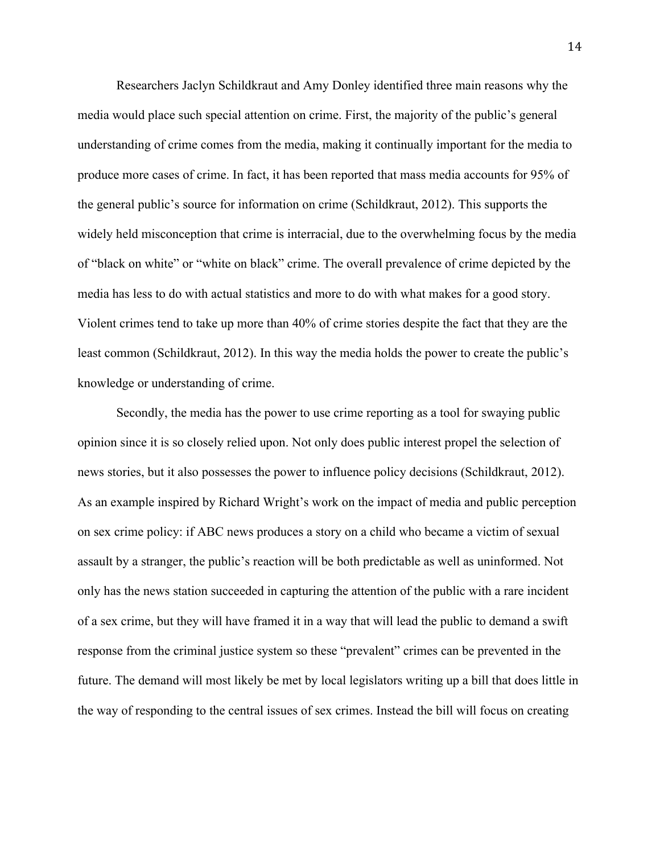Researchers Jaclyn Schildkraut and Amy Donley identified three main reasons why the media would place such special attention on crime. First, the majority of the public's general understanding of crime comes from the media, making it continually important for the media to produce more cases of crime. In fact, it has been reported that mass media accounts for 95% of the general public's source for information on crime (Schildkraut, 2012). This supports the widely held misconception that crime is interracial, due to the overwhelming focus by the media of "black on white" or "white on black" crime. The overall prevalence of crime depicted by the media has less to do with actual statistics and more to do with what makes for a good story. Violent crimes tend to take up more than 40% of crime stories despite the fact that they are the least common (Schildkraut, 2012). In this way the media holds the power to create the public's knowledge or understanding of crime.

Secondly, the media has the power to use crime reporting as a tool for swaying public opinion since it is so closely relied upon. Not only does public interest propel the selection of news stories, but it also possesses the power to influence policy decisions (Schildkraut, 2012). As an example inspired by Richard Wright's work on the impact of media and public perception on sex crime policy: if ABC news produces a story on a child who became a victim of sexual assault by a stranger, the public's reaction will be both predictable as well as uninformed. Not only has the news station succeeded in capturing the attention of the public with a rare incident of a sex crime, but they will have framed it in a way that will lead the public to demand a swift response from the criminal justice system so these "prevalent" crimes can be prevented in the future. The demand will most likely be met by local legislators writing up a bill that does little in the way of responding to the central issues of sex crimes. Instead the bill will focus on creating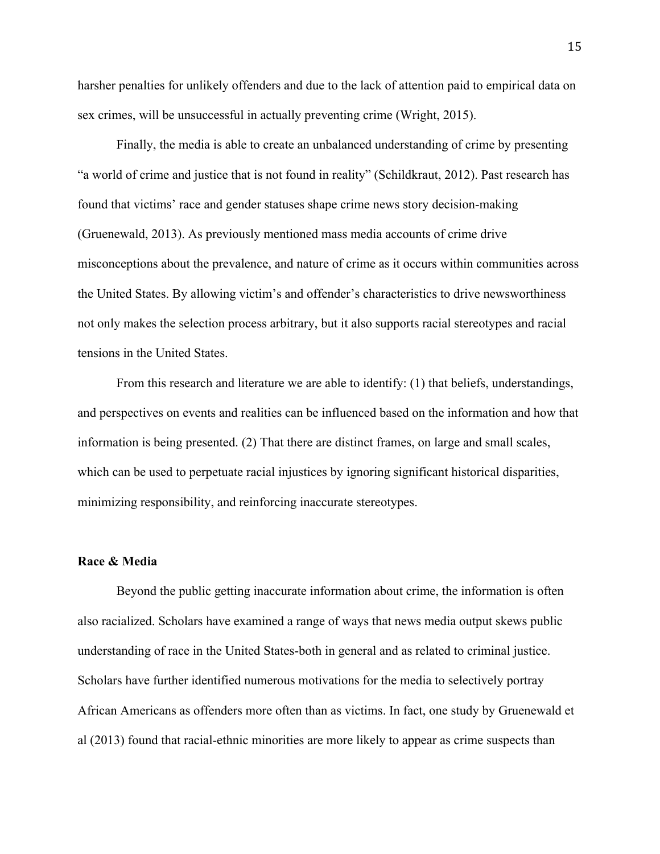harsher penalties for unlikely offenders and due to the lack of attention paid to empirical data on sex crimes, will be unsuccessful in actually preventing crime (Wright, 2015).

Finally, the media is able to create an unbalanced understanding of crime by presenting "a world of crime and justice that is not found in reality" (Schildkraut, 2012). Past research has found that victims' race and gender statuses shape crime news story decision-making (Gruenewald, 2013). As previously mentioned mass media accounts of crime drive misconceptions about the prevalence, and nature of crime as it occurs within communities across the United States. By allowing victim's and offender's characteristics to drive newsworthiness not only makes the selection process arbitrary, but it also supports racial stereotypes and racial tensions in the United States.

From this research and literature we are able to identify: (1) that beliefs, understandings, and perspectives on events and realities can be influenced based on the information and how that information is being presented. (2) That there are distinct frames, on large and small scales, which can be used to perpetuate racial injustices by ignoring significant historical disparities, minimizing responsibility, and reinforcing inaccurate stereotypes.

# **Race & Media**

Beyond the public getting inaccurate information about crime, the information is often also racialized. Scholars have examined a range of ways that news media output skews public understanding of race in the United States-both in general and as related to criminal justice. Scholars have further identified numerous motivations for the media to selectively portray African Americans as offenders more often than as victims. In fact, one study by Gruenewald et al (2013) found that racial-ethnic minorities are more likely to appear as crime suspects than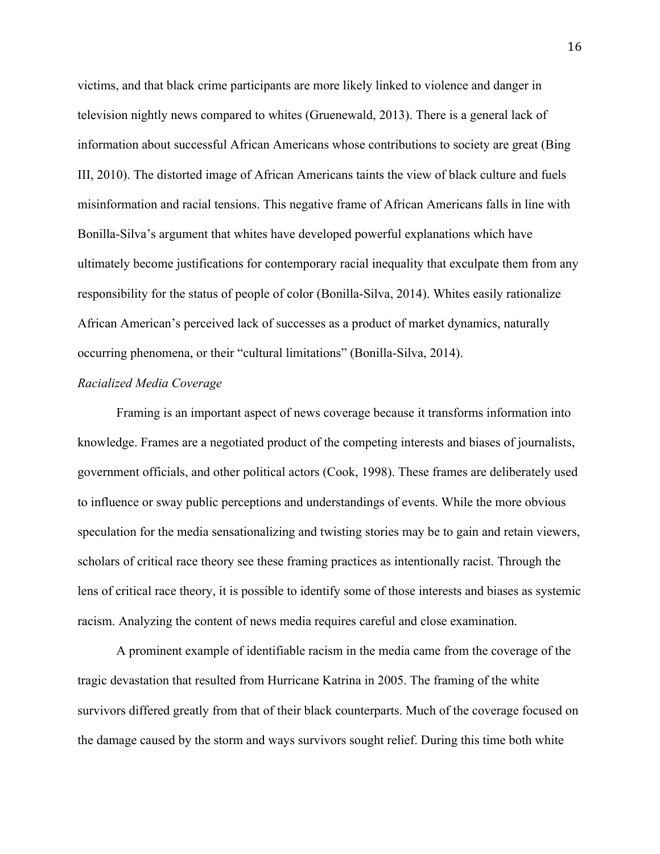victims, and that black crime participants are more likely linked to violence and danger in television nightly news compared to whites (Gruenewald, 2013). There is a general lack of information about successful African Americans whose contributions to society are great (Bing III, 2010). The distorted image of African Americans taints the view of black culture and fuels misinformation and racial tensions. This negative frame of African Americans falls in line with Bonilla-Silva's argument that whites have developed powerful explanations which have ultimately become justifications for contemporary racial inequality that exculpate them from any responsibility for the status of people of color (Bonilla-Silva, 2014). Whites easily rationalize African American's perceived lack of successes as a product of market dynamics, naturally occurring phenomena, or their "cultural limitations" (Bonilla-Silva, 2014).

#### *Racialized Media Coverage*

Framing is an important aspect of news coverage because it transforms information into knowledge. Frames are a negotiated product of the competing interests and biases of journalists, government officials, and other political actors (Cook, 1998). These frames are deliberately used to influence or sway public perceptions and understandings of events. While the more obvious speculation for the media sensationalizing and twisting stories may be to gain and retain viewers, scholars of critical race theory see these framing practices as intentionally racist. Through the lens of critical race theory, it is possible to identify some of those interests and biases as systemic racism. Analyzing the content of news media requires careful and close examination.

A prominent example of identifiable racism in the media came from the coverage of the tragic devastation that resulted from Hurricane Katrina in 2005. The framing of the white survivors differed greatly from that of their black counterparts. Much of the coverage focused on the damage caused by the storm and ways survivors sought relief. During this time both white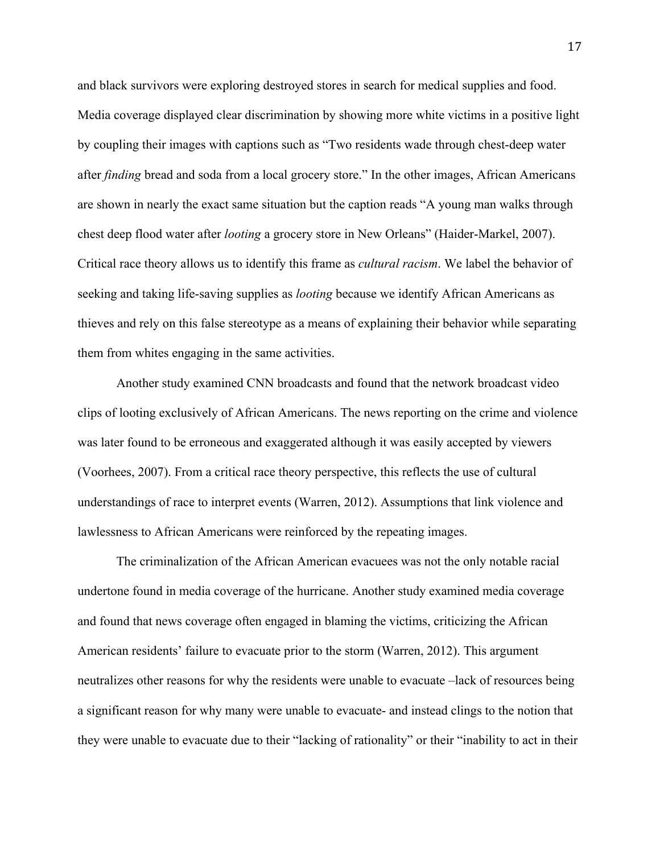and black survivors were exploring destroyed stores in search for medical supplies and food. Media coverage displayed clear discrimination by showing more white victims in a positive light by coupling their images with captions such as "Two residents wade through chest-deep water after *finding* bread and soda from a local grocery store." In the other images, African Americans are shown in nearly the exact same situation but the caption reads "A young man walks through chest deep flood water after *looting* a grocery store in New Orleans" (Haider-Markel, 2007). Critical race theory allows us to identify this frame as *cultural racism*. We label the behavior of seeking and taking life-saving supplies as *looting* because we identify African Americans as thieves and rely on this false stereotype as a means of explaining their behavior while separating them from whites engaging in the same activities.

Another study examined CNN broadcasts and found that the network broadcast video clips of looting exclusively of African Americans. The news reporting on the crime and violence was later found to be erroneous and exaggerated although it was easily accepted by viewers (Voorhees, 2007). From a critical race theory perspective, this reflects the use of cultural understandings of race to interpret events (Warren, 2012). Assumptions that link violence and lawlessness to African Americans were reinforced by the repeating images.

The criminalization of the African American evacuees was not the only notable racial undertone found in media coverage of the hurricane. Another study examined media coverage and found that news coverage often engaged in blaming the victims, criticizing the African American residents' failure to evacuate prior to the storm (Warren, 2012). This argument neutralizes other reasons for why the residents were unable to evacuate –lack of resources being a significant reason for why many were unable to evacuate- and instead clings to the notion that they were unable to evacuate due to their "lacking of rationality" or their "inability to act in their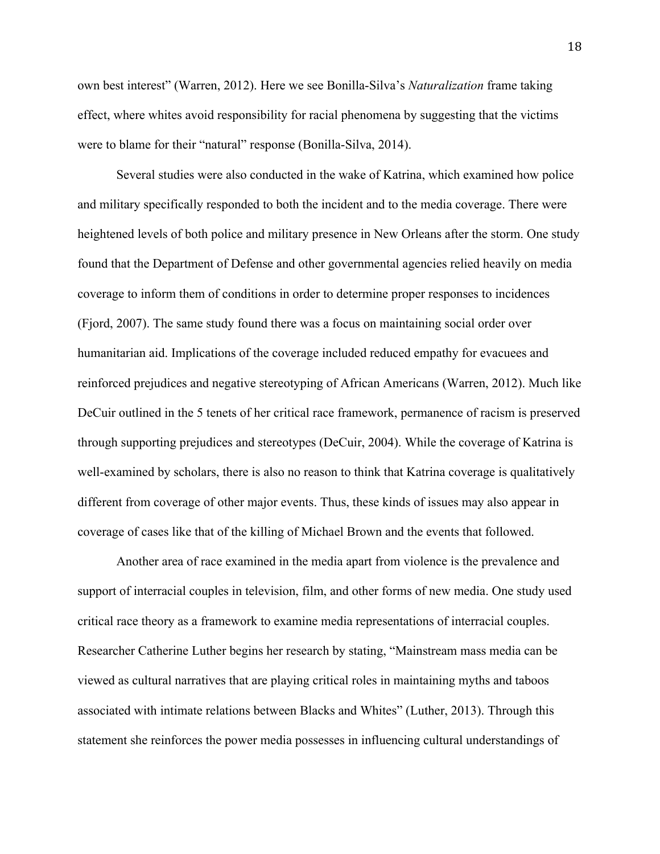own best interest" (Warren, 2012). Here we see Bonilla-Silva's *Naturalization* frame taking effect, where whites avoid responsibility for racial phenomena by suggesting that the victims were to blame for their "natural" response (Bonilla-Silva, 2014).

Several studies were also conducted in the wake of Katrina, which examined how police and military specifically responded to both the incident and to the media coverage. There were heightened levels of both police and military presence in New Orleans after the storm. One study found that the Department of Defense and other governmental agencies relied heavily on media coverage to inform them of conditions in order to determine proper responses to incidences (Fjord, 2007). The same study found there was a focus on maintaining social order over humanitarian aid. Implications of the coverage included reduced empathy for evacuees and reinforced prejudices and negative stereotyping of African Americans (Warren, 2012). Much like DeCuir outlined in the 5 tenets of her critical race framework, permanence of racism is preserved through supporting prejudices and stereotypes (DeCuir, 2004). While the coverage of Katrina is well-examined by scholars, there is also no reason to think that Katrina coverage is qualitatively different from coverage of other major events. Thus, these kinds of issues may also appear in coverage of cases like that of the killing of Michael Brown and the events that followed.

Another area of race examined in the media apart from violence is the prevalence and support of interracial couples in television, film, and other forms of new media. One study used critical race theory as a framework to examine media representations of interracial couples. Researcher Catherine Luther begins her research by stating, "Mainstream mass media can be viewed as cultural narratives that are playing critical roles in maintaining myths and taboos associated with intimate relations between Blacks and Whites" (Luther, 2013). Through this statement she reinforces the power media possesses in influencing cultural understandings of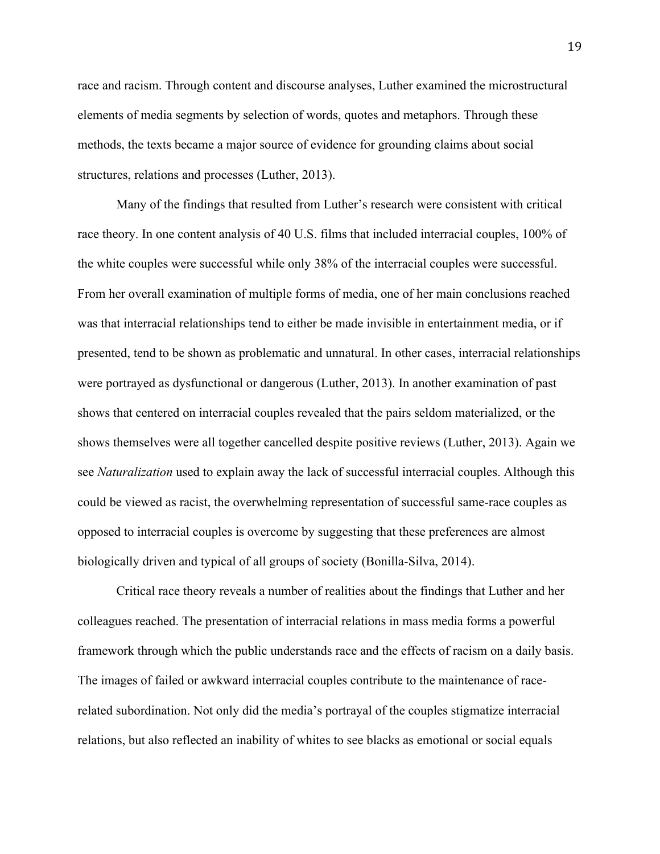race and racism. Through content and discourse analyses, Luther examined the microstructural elements of media segments by selection of words, quotes and metaphors. Through these methods, the texts became a major source of evidence for grounding claims about social structures, relations and processes (Luther, 2013).

Many of the findings that resulted from Luther's research were consistent with critical race theory. In one content analysis of 40 U.S. films that included interracial couples, 100% of the white couples were successful while only 38% of the interracial couples were successful. From her overall examination of multiple forms of media, one of her main conclusions reached was that interracial relationships tend to either be made invisible in entertainment media, or if presented, tend to be shown as problematic and unnatural. In other cases, interracial relationships were portrayed as dysfunctional or dangerous (Luther, 2013). In another examination of past shows that centered on interracial couples revealed that the pairs seldom materialized, or the shows themselves were all together cancelled despite positive reviews (Luther, 2013). Again we see *Naturalization* used to explain away the lack of successful interracial couples. Although this could be viewed as racist, the overwhelming representation of successful same-race couples as opposed to interracial couples is overcome by suggesting that these preferences are almost biologically driven and typical of all groups of society (Bonilla-Silva, 2014).

Critical race theory reveals a number of realities about the findings that Luther and her colleagues reached. The presentation of interracial relations in mass media forms a powerful framework through which the public understands race and the effects of racism on a daily basis. The images of failed or awkward interracial couples contribute to the maintenance of racerelated subordination. Not only did the media's portrayal of the couples stigmatize interracial relations, but also reflected an inability of whites to see blacks as emotional or social equals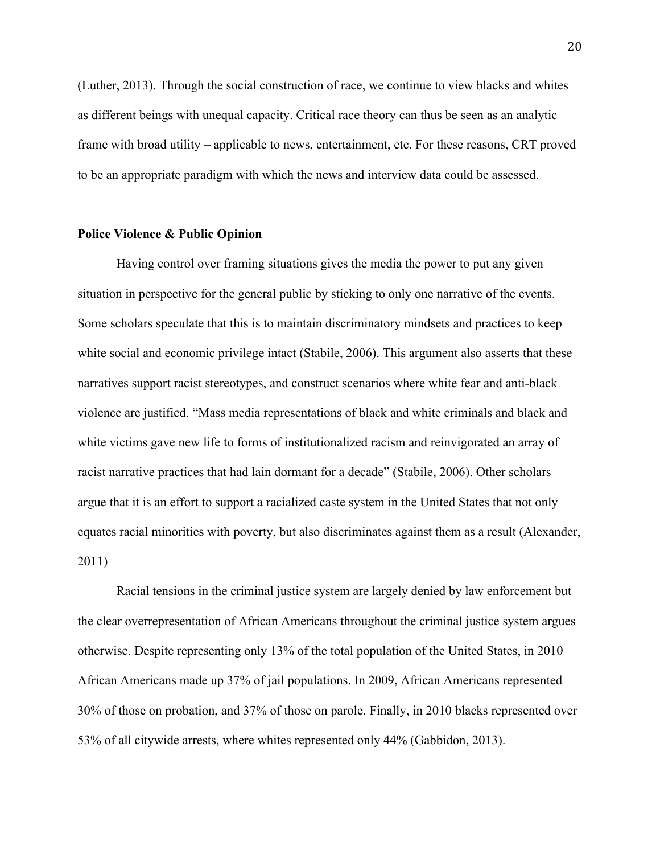(Luther, 2013). Through the social construction of race, we continue to view blacks and whites as different beings with unequal capacity. Critical race theory can thus be seen as an analytic frame with broad utility – applicable to news, entertainment, etc. For these reasons, CRT proved to be an appropriate paradigm with which the news and interview data could be assessed.

### **Police Violence & Public Opinion**

Having control over framing situations gives the media the power to put any given situation in perspective for the general public by sticking to only one narrative of the events. Some scholars speculate that this is to maintain discriminatory mindsets and practices to keep white social and economic privilege intact (Stabile, 2006). This argument also asserts that these narratives support racist stereotypes, and construct scenarios where white fear and anti-black violence are justified. "Mass media representations of black and white criminals and black and white victims gave new life to forms of institutionalized racism and reinvigorated an array of racist narrative practices that had lain dormant for a decade" (Stabile, 2006). Other scholars argue that it is an effort to support a racialized caste system in the United States that not only equates racial minorities with poverty, but also discriminates against them as a result (Alexander, 2011)

Racial tensions in the criminal justice system are largely denied by law enforcement but the clear overrepresentation of African Americans throughout the criminal justice system argues otherwise. Despite representing only 13% of the total population of the United States, in 2010 African Americans made up 37% of jail populations. In 2009, African Americans represented 30% of those on probation, and 37% of those on parole. Finally, in 2010 blacks represented over 53% of all citywide arrests, where whites represented only 44% (Gabbidon, 2013).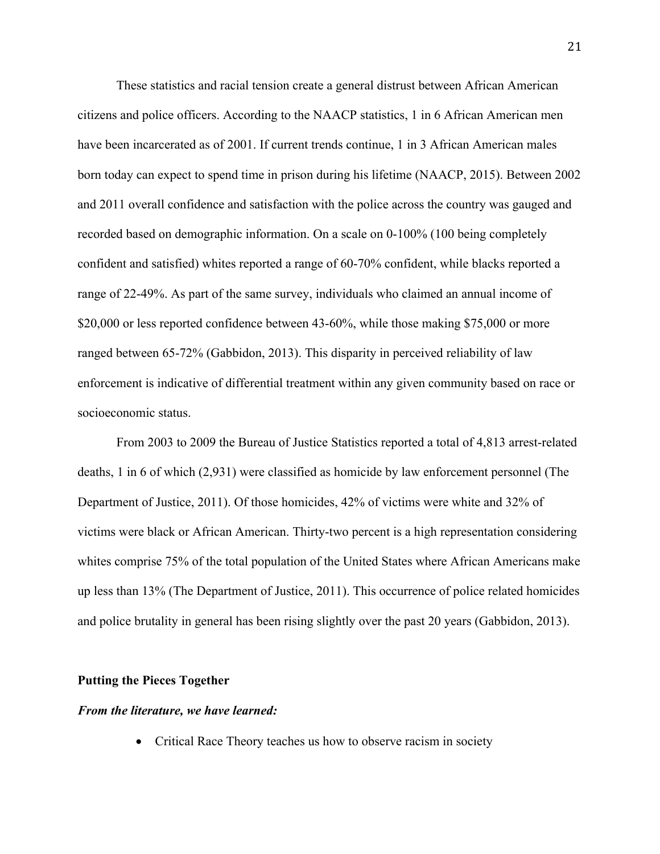These statistics and racial tension create a general distrust between African American citizens and police officers. According to the NAACP statistics, 1 in 6 African American men have been incarcerated as of 2001. If current trends continue, 1 in 3 African American males born today can expect to spend time in prison during his lifetime (NAACP, 2015). Between 2002 and 2011 overall confidence and satisfaction with the police across the country was gauged and recorded based on demographic information. On a scale on 0-100% (100 being completely confident and satisfied) whites reported a range of 60-70% confident, while blacks reported a range of 22-49%. As part of the same survey, individuals who claimed an annual income of \$20,000 or less reported confidence between 43-60%, while those making \$75,000 or more ranged between 65-72% (Gabbidon, 2013). This disparity in perceived reliability of law enforcement is indicative of differential treatment within any given community based on race or socioeconomic status.

From 2003 to 2009 the Bureau of Justice Statistics reported a total of 4,813 arrest-related deaths, 1 in 6 of which (2,931) were classified as homicide by law enforcement personnel (The Department of Justice, 2011). Of those homicides, 42% of victims were white and 32% of victims were black or African American. Thirty-two percent is a high representation considering whites comprise 75% of the total population of the United States where African Americans make up less than 13% (The Department of Justice, 2011). This occurrence of police related homicides and police brutality in general has been rising slightly over the past 20 years (Gabbidon, 2013).

#### **Putting the Pieces Together**

#### *From the literature, we have learned:*

• Critical Race Theory teaches us how to observe racism in society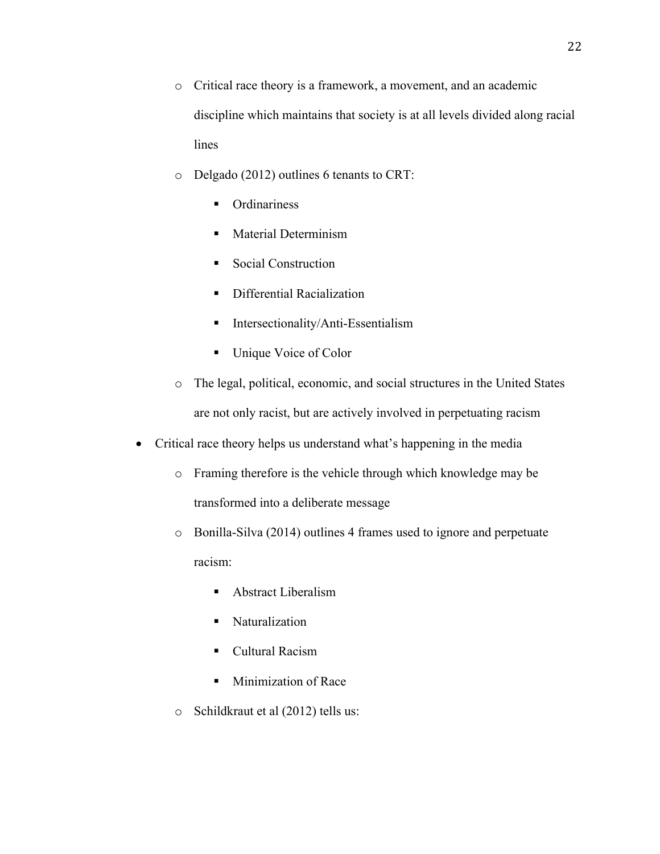- o Critical race theory is a framework, a movement, and an academic discipline which maintains that society is at all levels divided along racial lines
- o Delgado (2012) outlines 6 tenants to CRT:
	- Ordinariness
	- Material Determinism
	- Social Construction
	- Differential Racialization
	- Intersectionality/Anti-Essentialism
	- Unique Voice of Color
- o The legal, political, economic, and social structures in the United States are not only racist, but are actively involved in perpetuating racism
- Critical race theory helps us understand what's happening in the media
	- o Framing therefore is the vehicle through which knowledge may be transformed into a deliberate message
	- o Bonilla-Silva (2014) outlines 4 frames used to ignore and perpetuate racism:
		- Abstract Liberalism
		- § Naturalization
		- Cultural Racism
		- Minimization of Race
	- o Schildkraut et al (2012) tells us: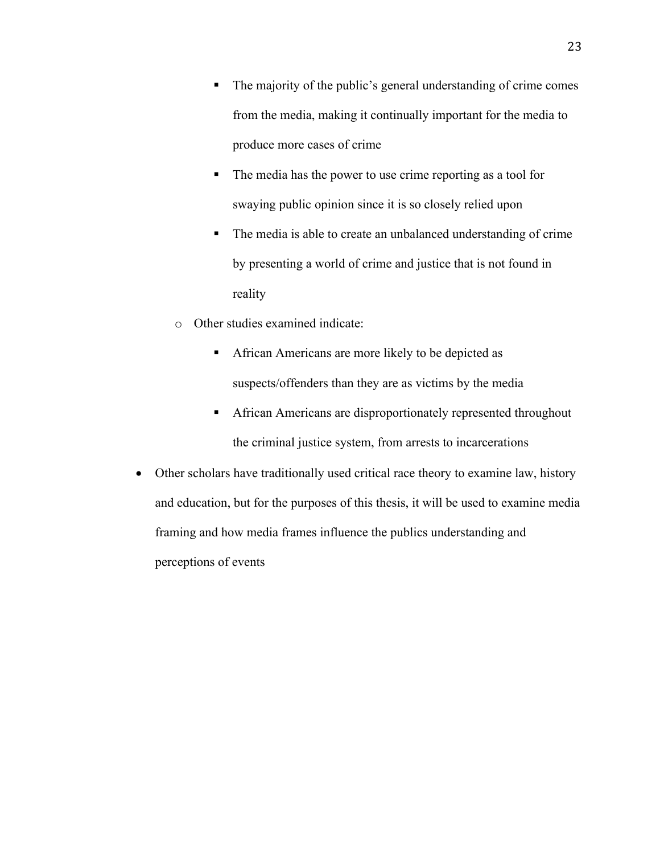- The majority of the public's general understanding of crime comes from the media, making it continually important for the media to produce more cases of crime
- The media has the power to use crime reporting as a tool for swaying public opinion since it is so closely relied upon
- The media is able to create an unbalanced understanding of crime by presenting a world of crime and justice that is not found in reality
- o Other studies examined indicate:
	- African Americans are more likely to be depicted as suspects/offenders than they are as victims by the media
	- African Americans are disproportionately represented throughout the criminal justice system, from arrests to incarcerations
- Other scholars have traditionally used critical race theory to examine law, history and education, but for the purposes of this thesis, it will be used to examine media framing and how media frames influence the publics understanding and perceptions of events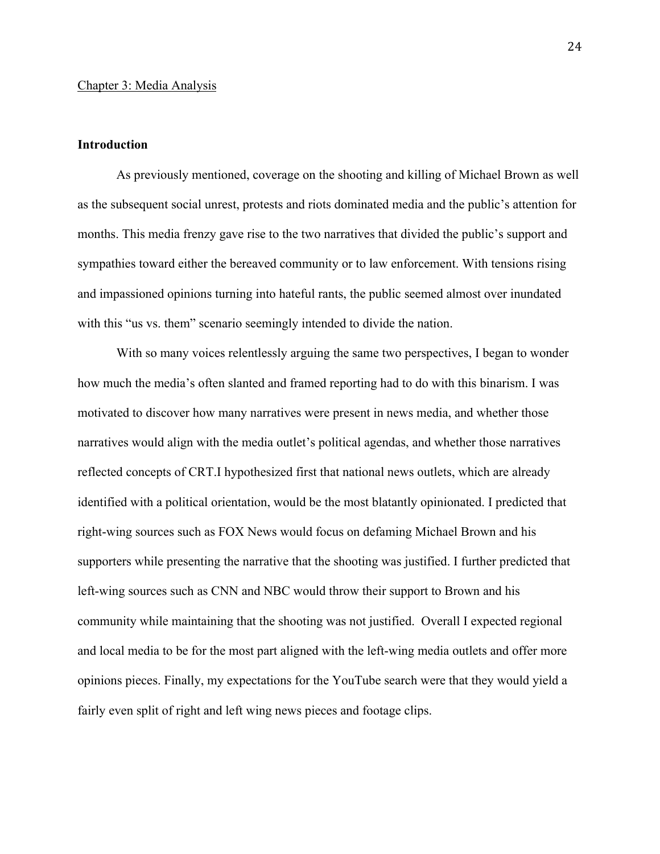#### **Introduction**

As previously mentioned, coverage on the shooting and killing of Michael Brown as well as the subsequent social unrest, protests and riots dominated media and the public's attention for months. This media frenzy gave rise to the two narratives that divided the public's support and sympathies toward either the bereaved community or to law enforcement. With tensions rising and impassioned opinions turning into hateful rants, the public seemed almost over inundated with this "us vs. them" scenario seemingly intended to divide the nation.

With so many voices relentlessly arguing the same two perspectives, I began to wonder how much the media's often slanted and framed reporting had to do with this binarism. I was motivated to discover how many narratives were present in news media, and whether those narratives would align with the media outlet's political agendas, and whether those narratives reflected concepts of CRT.I hypothesized first that national news outlets, which are already identified with a political orientation, would be the most blatantly opinionated. I predicted that right-wing sources such as FOX News would focus on defaming Michael Brown and his supporters while presenting the narrative that the shooting was justified. I further predicted that left-wing sources such as CNN and NBC would throw their support to Brown and his community while maintaining that the shooting was not justified. Overall I expected regional and local media to be for the most part aligned with the left-wing media outlets and offer more opinions pieces. Finally, my expectations for the YouTube search were that they would yield a fairly even split of right and left wing news pieces and footage clips.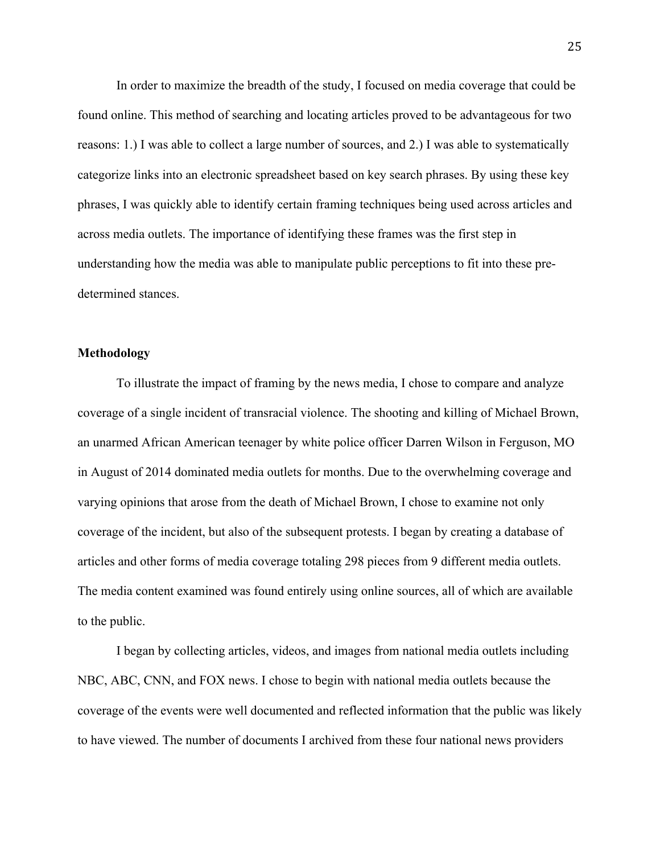In order to maximize the breadth of the study, I focused on media coverage that could be found online. This method of searching and locating articles proved to be advantageous for two reasons: 1.) I was able to collect a large number of sources, and 2.) I was able to systematically categorize links into an electronic spreadsheet based on key search phrases. By using these key phrases, I was quickly able to identify certain framing techniques being used across articles and across media outlets. The importance of identifying these frames was the first step in understanding how the media was able to manipulate public perceptions to fit into these predetermined stances.

# **Methodology**

To illustrate the impact of framing by the news media, I chose to compare and analyze coverage of a single incident of transracial violence. The shooting and killing of Michael Brown, an unarmed African American teenager by white police officer Darren Wilson in Ferguson, MO in August of 2014 dominated media outlets for months. Due to the overwhelming coverage and varying opinions that arose from the death of Michael Brown, I chose to examine not only coverage of the incident, but also of the subsequent protests. I began by creating a database of articles and other forms of media coverage totaling 298 pieces from 9 different media outlets. The media content examined was found entirely using online sources, all of which are available to the public.

I began by collecting articles, videos, and images from national media outlets including NBC, ABC, CNN, and FOX news. I chose to begin with national media outlets because the coverage of the events were well documented and reflected information that the public was likely to have viewed. The number of documents I archived from these four national news providers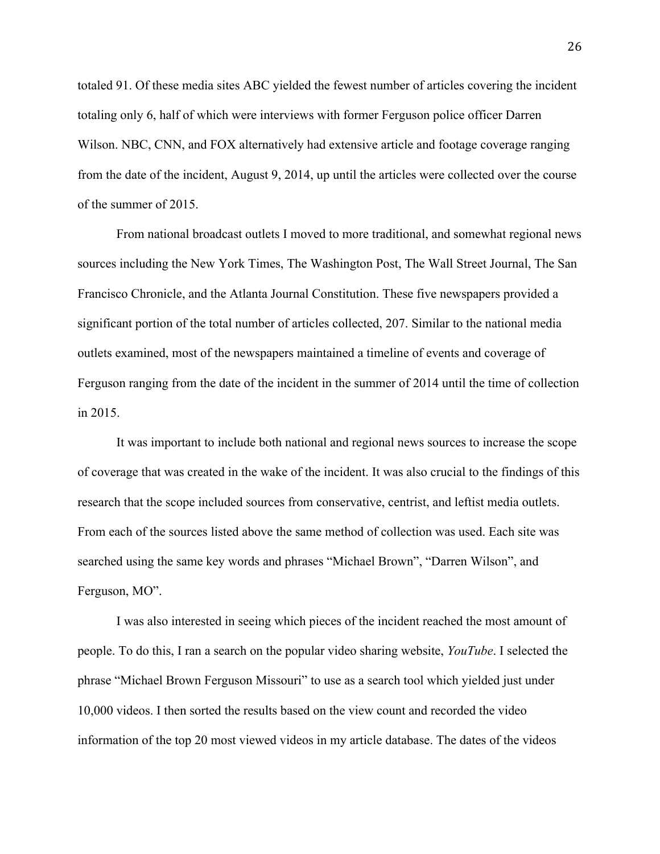totaled 91. Of these media sites ABC yielded the fewest number of articles covering the incident totaling only 6, half of which were interviews with former Ferguson police officer Darren Wilson. NBC, CNN, and FOX alternatively had extensive article and footage coverage ranging from the date of the incident, August 9, 2014, up until the articles were collected over the course of the summer of 2015.

From national broadcast outlets I moved to more traditional, and somewhat regional news sources including the New York Times, The Washington Post, The Wall Street Journal, The San Francisco Chronicle, and the Atlanta Journal Constitution. These five newspapers provided a significant portion of the total number of articles collected, 207. Similar to the national media outlets examined, most of the newspapers maintained a timeline of events and coverage of Ferguson ranging from the date of the incident in the summer of 2014 until the time of collection in 2015.

It was important to include both national and regional news sources to increase the scope of coverage that was created in the wake of the incident. It was also crucial to the findings of this research that the scope included sources from conservative, centrist, and leftist media outlets. From each of the sources listed above the same method of collection was used. Each site was searched using the same key words and phrases "Michael Brown", "Darren Wilson", and Ferguson, MO".

I was also interested in seeing which pieces of the incident reached the most amount of people. To do this, I ran a search on the popular video sharing website, *YouTube*. I selected the phrase "Michael Brown Ferguson Missouri" to use as a search tool which yielded just under 10,000 videos. I then sorted the results based on the view count and recorded the video information of the top 20 most viewed videos in my article database. The dates of the videos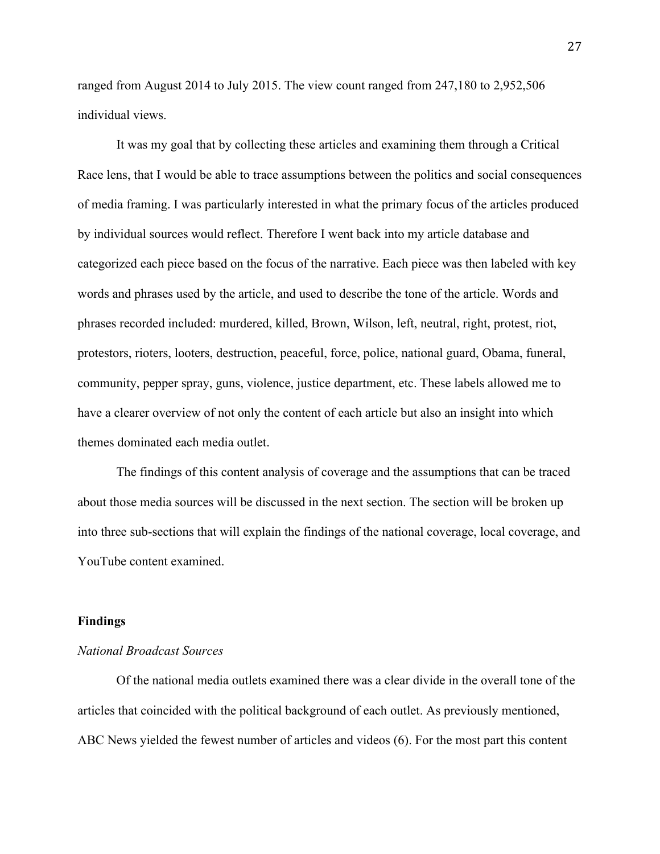ranged from August 2014 to July 2015. The view count ranged from 247,180 to 2,952,506 individual views.

It was my goal that by collecting these articles and examining them through a Critical Race lens, that I would be able to trace assumptions between the politics and social consequences of media framing. I was particularly interested in what the primary focus of the articles produced by individual sources would reflect. Therefore I went back into my article database and categorized each piece based on the focus of the narrative. Each piece was then labeled with key words and phrases used by the article, and used to describe the tone of the article. Words and phrases recorded included: murdered, killed, Brown, Wilson, left, neutral, right, protest, riot, protestors, rioters, looters, destruction, peaceful, force, police, national guard, Obama, funeral, community, pepper spray, guns, violence, justice department, etc. These labels allowed me to have a clearer overview of not only the content of each article but also an insight into which themes dominated each media outlet.

The findings of this content analysis of coverage and the assumptions that can be traced about those media sources will be discussed in the next section. The section will be broken up into three sub-sections that will explain the findings of the national coverage, local coverage, and YouTube content examined.

#### **Findings**

# *National Broadcast Sources*

Of the national media outlets examined there was a clear divide in the overall tone of the articles that coincided with the political background of each outlet. As previously mentioned, ABC News yielded the fewest number of articles and videos (6). For the most part this content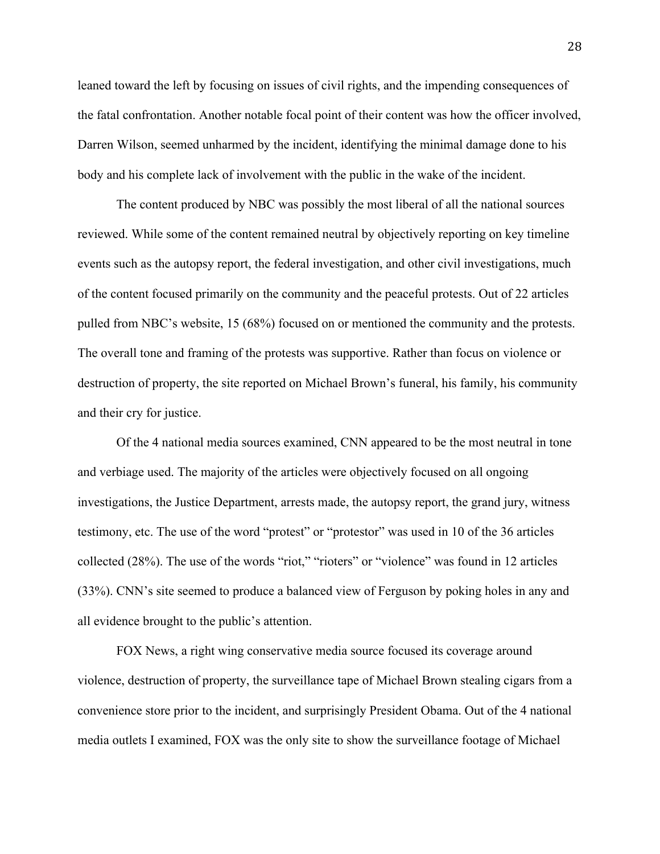leaned toward the left by focusing on issues of civil rights, and the impending consequences of the fatal confrontation. Another notable focal point of their content was how the officer involved, Darren Wilson, seemed unharmed by the incident, identifying the minimal damage done to his body and his complete lack of involvement with the public in the wake of the incident.

The content produced by NBC was possibly the most liberal of all the national sources reviewed. While some of the content remained neutral by objectively reporting on key timeline events such as the autopsy report, the federal investigation, and other civil investigations, much of the content focused primarily on the community and the peaceful protests. Out of 22 articles pulled from NBC's website, 15 (68%) focused on or mentioned the community and the protests. The overall tone and framing of the protests was supportive. Rather than focus on violence or destruction of property, the site reported on Michael Brown's funeral, his family, his community and their cry for justice.

Of the 4 national media sources examined, CNN appeared to be the most neutral in tone and verbiage used. The majority of the articles were objectively focused on all ongoing investigations, the Justice Department, arrests made, the autopsy report, the grand jury, witness testimony, etc. The use of the word "protest" or "protestor" was used in 10 of the 36 articles collected (28%). The use of the words "riot," "rioters" or "violence" was found in 12 articles (33%). CNN's site seemed to produce a balanced view of Ferguson by poking holes in any and all evidence brought to the public's attention.

FOX News, a right wing conservative media source focused its coverage around violence, destruction of property, the surveillance tape of Michael Brown stealing cigars from a convenience store prior to the incident, and surprisingly President Obama. Out of the 4 national media outlets I examined, FOX was the only site to show the surveillance footage of Michael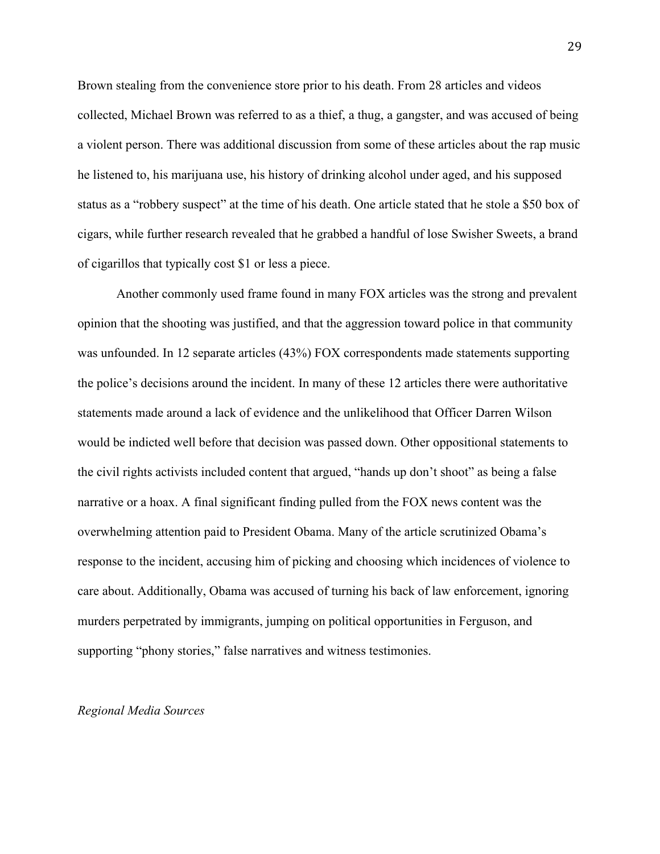Brown stealing from the convenience store prior to his death. From 28 articles and videos collected, Michael Brown was referred to as a thief, a thug, a gangster, and was accused of being a violent person. There was additional discussion from some of these articles about the rap music he listened to, his marijuana use, his history of drinking alcohol under aged, and his supposed status as a "robbery suspect" at the time of his death. One article stated that he stole a \$50 box of cigars, while further research revealed that he grabbed a handful of lose Swisher Sweets, a brand of cigarillos that typically cost \$1 or less a piece.

Another commonly used frame found in many FOX articles was the strong and prevalent opinion that the shooting was justified, and that the aggression toward police in that community was unfounded. In 12 separate articles (43%) FOX correspondents made statements supporting the police's decisions around the incident. In many of these 12 articles there were authoritative statements made around a lack of evidence and the unlikelihood that Officer Darren Wilson would be indicted well before that decision was passed down. Other oppositional statements to the civil rights activists included content that argued, "hands up don't shoot" as being a false narrative or a hoax. A final significant finding pulled from the FOX news content was the overwhelming attention paid to President Obama. Many of the article scrutinized Obama's response to the incident, accusing him of picking and choosing which incidences of violence to care about. Additionally, Obama was accused of turning his back of law enforcement, ignoring murders perpetrated by immigrants, jumping on political opportunities in Ferguson, and supporting "phony stories," false narratives and witness testimonies.

#### *Regional Media Sources*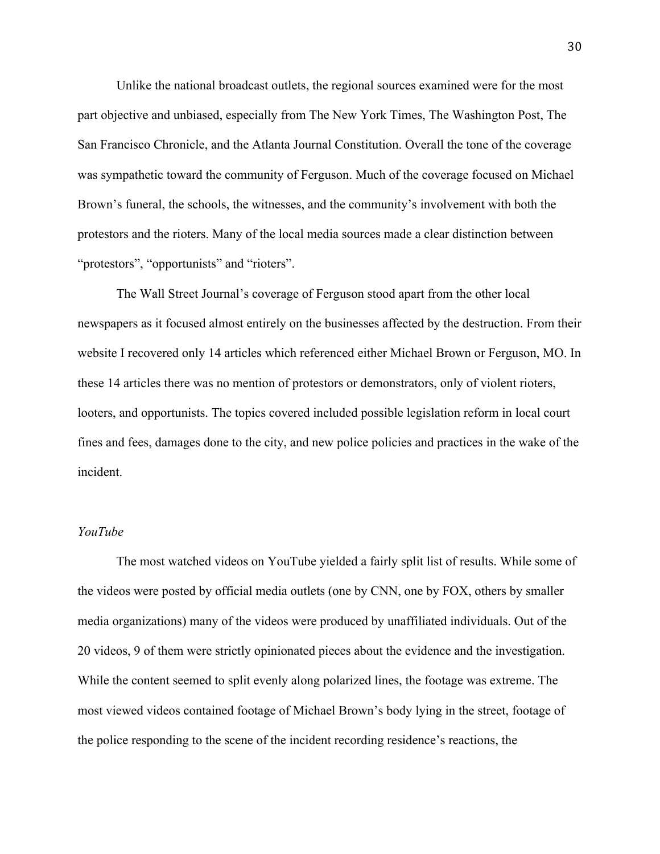Unlike the national broadcast outlets, the regional sources examined were for the most part objective and unbiased, especially from The New York Times, The Washington Post, The San Francisco Chronicle, and the Atlanta Journal Constitution. Overall the tone of the coverage was sympathetic toward the community of Ferguson. Much of the coverage focused on Michael Brown's funeral, the schools, the witnesses, and the community's involvement with both the protestors and the rioters. Many of the local media sources made a clear distinction between "protestors", "opportunists" and "rioters".

The Wall Street Journal's coverage of Ferguson stood apart from the other local newspapers as it focused almost entirely on the businesses affected by the destruction. From their website I recovered only 14 articles which referenced either Michael Brown or Ferguson, MO. In these 14 articles there was no mention of protestors or demonstrators, only of violent rioters, looters, and opportunists. The topics covered included possible legislation reform in local court fines and fees, damages done to the city, and new police policies and practices in the wake of the incident.

#### *YouTube*

The most watched videos on YouTube yielded a fairly split list of results. While some of the videos were posted by official media outlets (one by CNN, one by FOX, others by smaller media organizations) many of the videos were produced by unaffiliated individuals. Out of the 20 videos, 9 of them were strictly opinionated pieces about the evidence and the investigation. While the content seemed to split evenly along polarized lines, the footage was extreme. The most viewed videos contained footage of Michael Brown's body lying in the street, footage of the police responding to the scene of the incident recording residence's reactions, the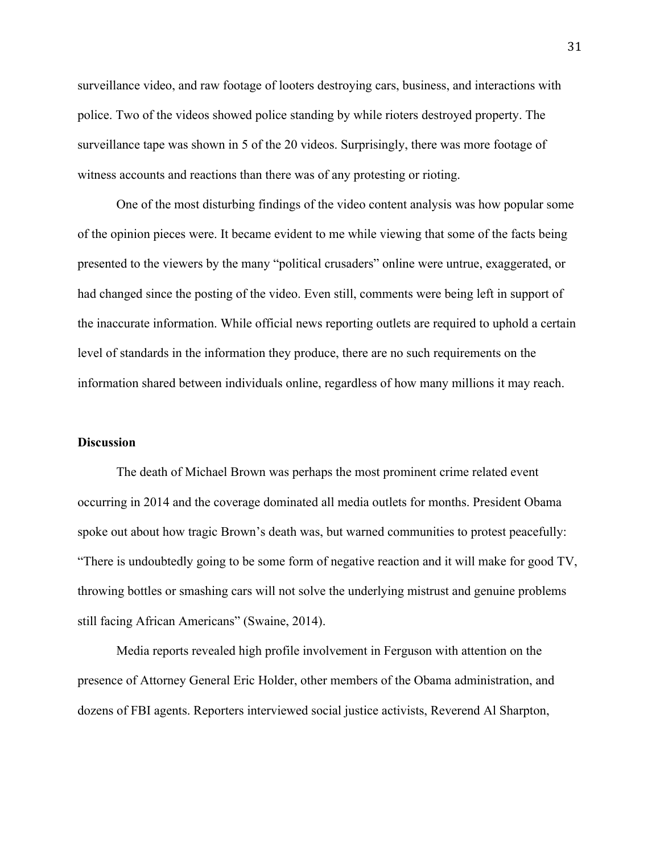surveillance video, and raw footage of looters destroying cars, business, and interactions with police. Two of the videos showed police standing by while rioters destroyed property. The surveillance tape was shown in 5 of the 20 videos. Surprisingly, there was more footage of witness accounts and reactions than there was of any protesting or rioting.

One of the most disturbing findings of the video content analysis was how popular some of the opinion pieces were. It became evident to me while viewing that some of the facts being presented to the viewers by the many "political crusaders" online were untrue, exaggerated, or had changed since the posting of the video. Even still, comments were being left in support of the inaccurate information. While official news reporting outlets are required to uphold a certain level of standards in the information they produce, there are no such requirements on the information shared between individuals online, regardless of how many millions it may reach.

### **Discussion**

The death of Michael Brown was perhaps the most prominent crime related event occurring in 2014 and the coverage dominated all media outlets for months. President Obama spoke out about how tragic Brown's death was, but warned communities to protest peacefully: "There is undoubtedly going to be some form of negative reaction and it will make for good TV, throwing bottles or smashing cars will not solve the underlying mistrust and genuine problems still facing African Americans" (Swaine, 2014).

Media reports revealed high profile involvement in Ferguson with attention on the presence of Attorney General Eric Holder, other members of the Obama administration, and dozens of FBI agents. Reporters interviewed social justice activists, Reverend Al Sharpton,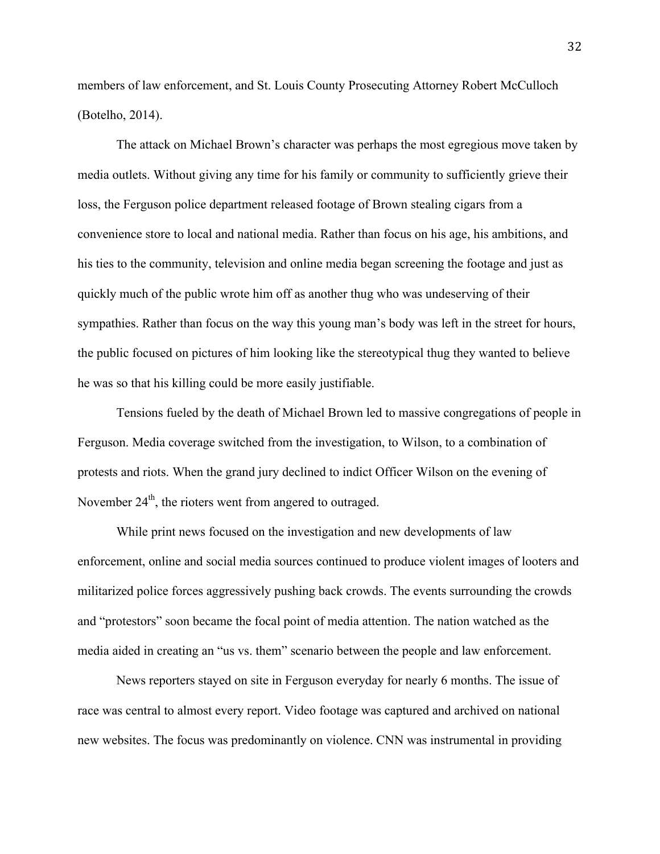members of law enforcement, and St. Louis County Prosecuting Attorney Robert McCulloch (Botelho, 2014).

The attack on Michael Brown's character was perhaps the most egregious move taken by media outlets. Without giving any time for his family or community to sufficiently grieve their loss, the Ferguson police department released footage of Brown stealing cigars from a convenience store to local and national media. Rather than focus on his age, his ambitions, and his ties to the community, television and online media began screening the footage and just as quickly much of the public wrote him off as another thug who was undeserving of their sympathies. Rather than focus on the way this young man's body was left in the street for hours, the public focused on pictures of him looking like the stereotypical thug they wanted to believe he was so that his killing could be more easily justifiable.

Tensions fueled by the death of Michael Brown led to massive congregations of people in Ferguson. Media coverage switched from the investigation, to Wilson, to a combination of protests and riots. When the grand jury declined to indict Officer Wilson on the evening of November  $24<sup>th</sup>$ , the rioters went from angered to outraged.

While print news focused on the investigation and new developments of law enforcement, online and social media sources continued to produce violent images of looters and militarized police forces aggressively pushing back crowds. The events surrounding the crowds and "protestors" soon became the focal point of media attention. The nation watched as the media aided in creating an "us vs. them" scenario between the people and law enforcement.

News reporters stayed on site in Ferguson everyday for nearly 6 months. The issue of race was central to almost every report. Video footage was captured and archived on national new websites. The focus was predominantly on violence. CNN was instrumental in providing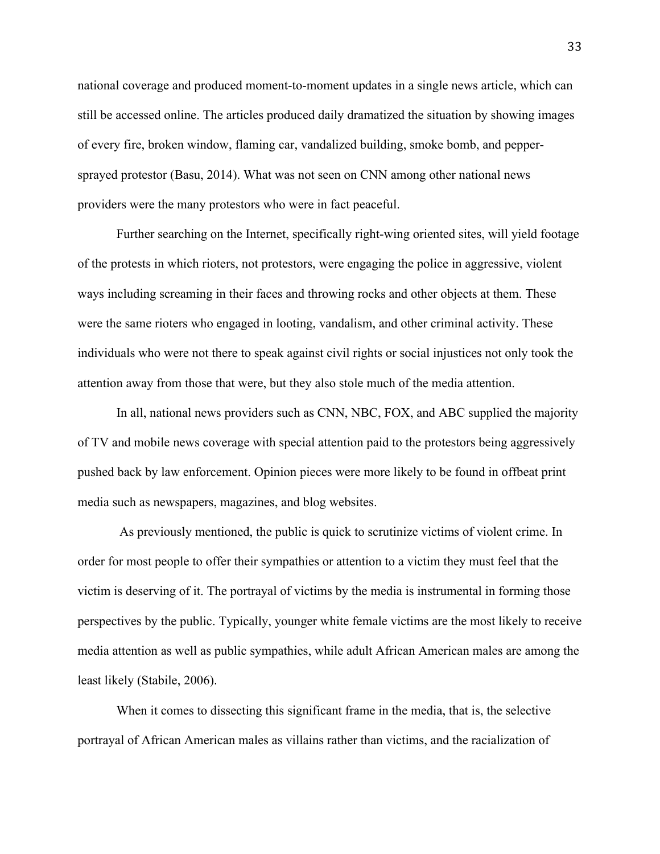national coverage and produced moment-to-moment updates in a single news article, which can still be accessed online. The articles produced daily dramatized the situation by showing images of every fire, broken window, flaming car, vandalized building, smoke bomb, and peppersprayed protestor (Basu, 2014). What was not seen on CNN among other national news providers were the many protestors who were in fact peaceful.

Further searching on the Internet, specifically right-wing oriented sites, will yield footage of the protests in which rioters, not protestors, were engaging the police in aggressive, violent ways including screaming in their faces and throwing rocks and other objects at them. These were the same rioters who engaged in looting, vandalism, and other criminal activity. These individuals who were not there to speak against civil rights or social injustices not only took the attention away from those that were, but they also stole much of the media attention.

In all, national news providers such as CNN, NBC, FOX, and ABC supplied the majority of TV and mobile news coverage with special attention paid to the protestors being aggressively pushed back by law enforcement. Opinion pieces were more likely to be found in offbeat print media such as newspapers, magazines, and blog websites.

As previously mentioned, the public is quick to scrutinize victims of violent crime. In order for most people to offer their sympathies or attention to a victim they must feel that the victim is deserving of it. The portrayal of victims by the media is instrumental in forming those perspectives by the public. Typically, younger white female victims are the most likely to receive media attention as well as public sympathies, while adult African American males are among the least likely (Stabile, 2006).

When it comes to dissecting this significant frame in the media, that is, the selective portrayal of African American males as villains rather than victims, and the racialization of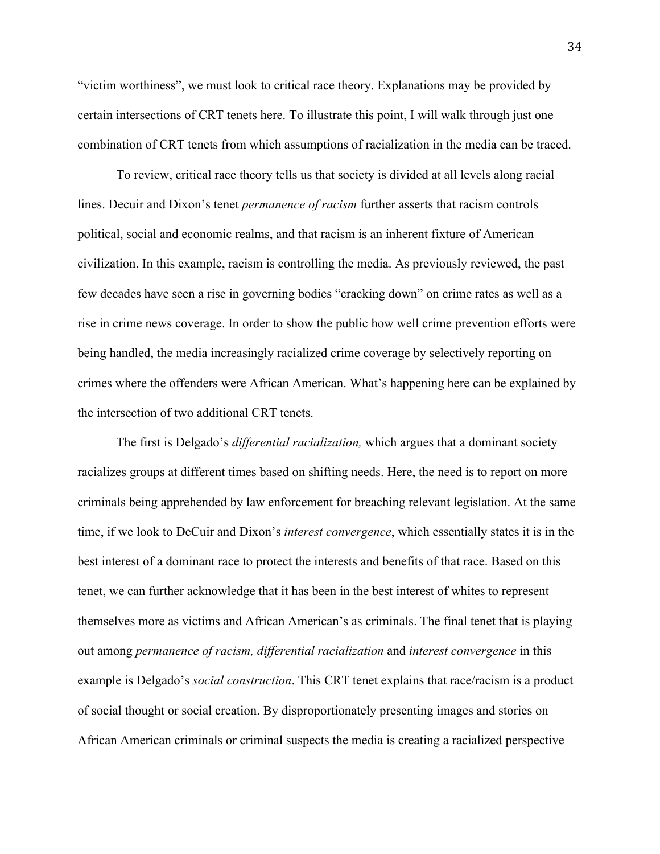"victim worthiness", we must look to critical race theory. Explanations may be provided by certain intersections of CRT tenets here. To illustrate this point, I will walk through just one combination of CRT tenets from which assumptions of racialization in the media can be traced.

To review, critical race theory tells us that society is divided at all levels along racial lines. Decuir and Dixon's tenet *permanence of racism* further asserts that racism controls political, social and economic realms, and that racism is an inherent fixture of American civilization. In this example, racism is controlling the media. As previously reviewed, the past few decades have seen a rise in governing bodies "cracking down" on crime rates as well as a rise in crime news coverage. In order to show the public how well crime prevention efforts were being handled, the media increasingly racialized crime coverage by selectively reporting on crimes where the offenders were African American. What's happening here can be explained by the intersection of two additional CRT tenets.

The first is Delgado's *differential racialization,* which argues that a dominant society racializes groups at different times based on shifting needs. Here, the need is to report on more criminals being apprehended by law enforcement for breaching relevant legislation. At the same time, if we look to DeCuir and Dixon's *interest convergence*, which essentially states it is in the best interest of a dominant race to protect the interests and benefits of that race. Based on this tenet, we can further acknowledge that it has been in the best interest of whites to represent themselves more as victims and African American's as criminals. The final tenet that is playing out among *permanence of racism, differential racialization* and *interest convergence* in this example is Delgado's *social construction*. This CRT tenet explains that race/racism is a product of social thought or social creation. By disproportionately presenting images and stories on African American criminals or criminal suspects the media is creating a racialized perspective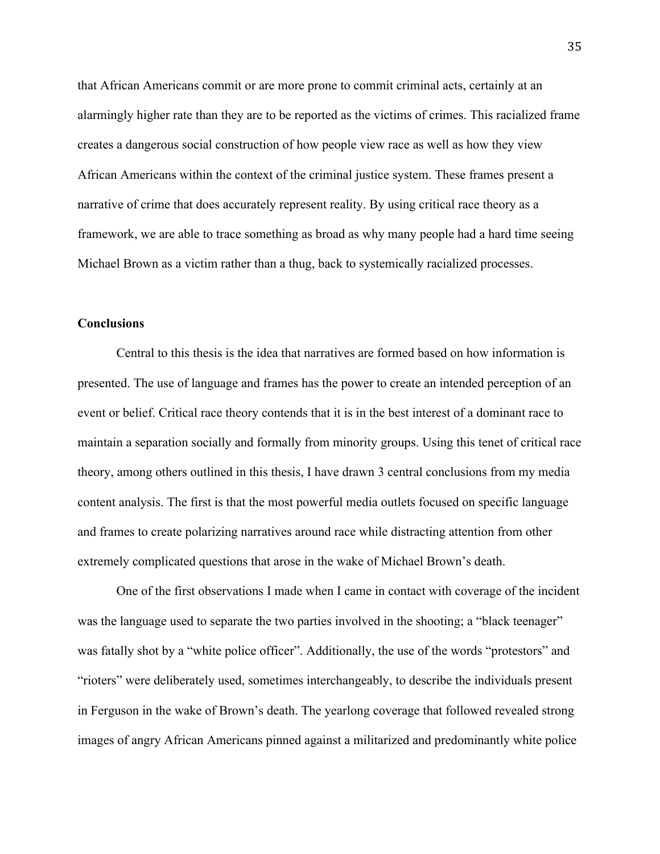that African Americans commit or are more prone to commit criminal acts, certainly at an alarmingly higher rate than they are to be reported as the victims of crimes. This racialized frame creates a dangerous social construction of how people view race as well as how they view African Americans within the context of the criminal justice system. These frames present a narrative of crime that does accurately represent reality. By using critical race theory as a framework, we are able to trace something as broad as why many people had a hard time seeing Michael Brown as a victim rather than a thug, back to systemically racialized processes.

# **Conclusions**

Central to this thesis is the idea that narratives are formed based on how information is presented. The use of language and frames has the power to create an intended perception of an event or belief. Critical race theory contends that it is in the best interest of a dominant race to maintain a separation socially and formally from minority groups. Using this tenet of critical race theory, among others outlined in this thesis, I have drawn 3 central conclusions from my media content analysis. The first is that the most powerful media outlets focused on specific language and frames to create polarizing narratives around race while distracting attention from other extremely complicated questions that arose in the wake of Michael Brown's death.

One of the first observations I made when I came in contact with coverage of the incident was the language used to separate the two parties involved in the shooting; a "black teenager" was fatally shot by a "white police officer". Additionally, the use of the words "protestors" and "rioters" were deliberately used, sometimes interchangeably, to describe the individuals present in Ferguson in the wake of Brown's death. The yearlong coverage that followed revealed strong images of angry African Americans pinned against a militarized and predominantly white police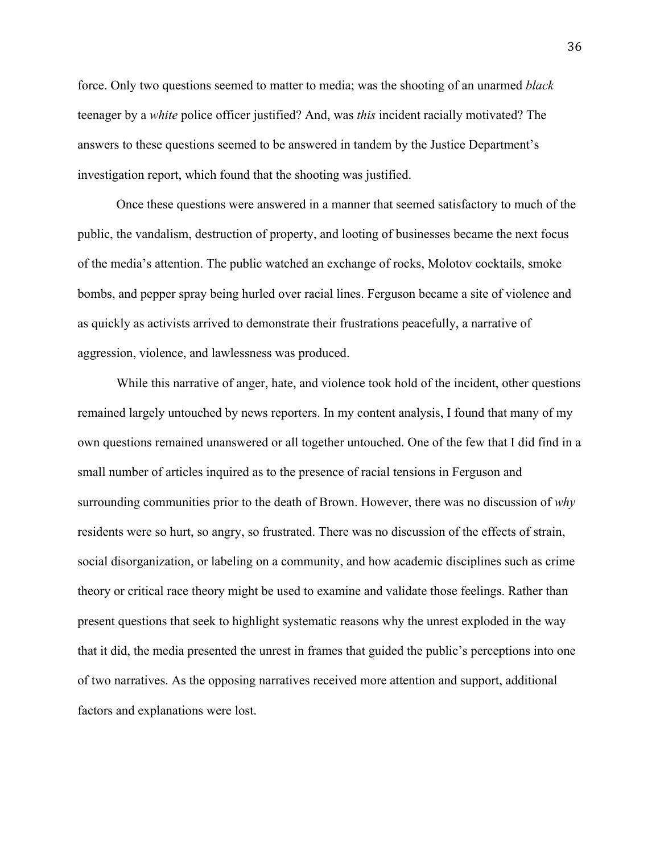force. Only two questions seemed to matter to media; was the shooting of an unarmed *black*  teenager by a *white* police officer justified? And, was *this* incident racially motivated? The answers to these questions seemed to be answered in tandem by the Justice Department's investigation report, which found that the shooting was justified.

Once these questions were answered in a manner that seemed satisfactory to much of the public, the vandalism, destruction of property, and looting of businesses became the next focus of the media's attention. The public watched an exchange of rocks, Molotov cocktails, smoke bombs, and pepper spray being hurled over racial lines. Ferguson became a site of violence and as quickly as activists arrived to demonstrate their frustrations peacefully, a narrative of aggression, violence, and lawlessness was produced.

While this narrative of anger, hate, and violence took hold of the incident, other questions remained largely untouched by news reporters. In my content analysis, I found that many of my own questions remained unanswered or all together untouched. One of the few that I did find in a small number of articles inquired as to the presence of racial tensions in Ferguson and surrounding communities prior to the death of Brown. However, there was no discussion of *why* residents were so hurt, so angry, so frustrated. There was no discussion of the effects of strain, social disorganization, or labeling on a community, and how academic disciplines such as crime theory or critical race theory might be used to examine and validate those feelings. Rather than present questions that seek to highlight systematic reasons why the unrest exploded in the way that it did, the media presented the unrest in frames that guided the public's perceptions into one of two narratives. As the opposing narratives received more attention and support, additional factors and explanations were lost.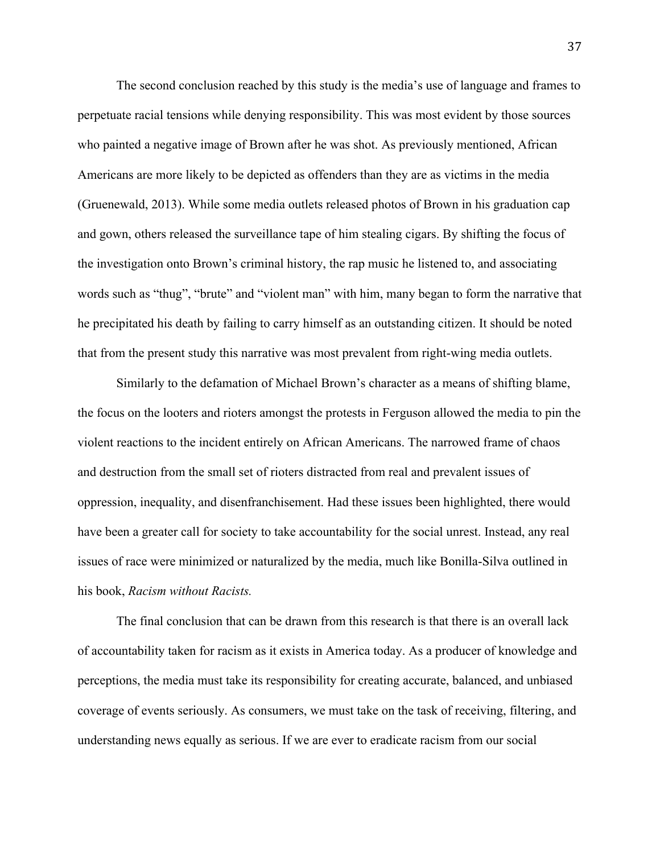The second conclusion reached by this study is the media's use of language and frames to perpetuate racial tensions while denying responsibility. This was most evident by those sources who painted a negative image of Brown after he was shot. As previously mentioned, African Americans are more likely to be depicted as offenders than they are as victims in the media (Gruenewald, 2013). While some media outlets released photos of Brown in his graduation cap and gown, others released the surveillance tape of him stealing cigars. By shifting the focus of the investigation onto Brown's criminal history, the rap music he listened to, and associating words such as "thug", "brute" and "violent man" with him, many began to form the narrative that he precipitated his death by failing to carry himself as an outstanding citizen. It should be noted that from the present study this narrative was most prevalent from right-wing media outlets.

Similarly to the defamation of Michael Brown's character as a means of shifting blame, the focus on the looters and rioters amongst the protests in Ferguson allowed the media to pin the violent reactions to the incident entirely on African Americans. The narrowed frame of chaos and destruction from the small set of rioters distracted from real and prevalent issues of oppression, inequality, and disenfranchisement. Had these issues been highlighted, there would have been a greater call for society to take accountability for the social unrest. Instead, any real issues of race were minimized or naturalized by the media, much like Bonilla-Silva outlined in his book, *Racism without Racists.* 

The final conclusion that can be drawn from this research is that there is an overall lack of accountability taken for racism as it exists in America today. As a producer of knowledge and perceptions, the media must take its responsibility for creating accurate, balanced, and unbiased coverage of events seriously. As consumers, we must take on the task of receiving, filtering, and understanding news equally as serious. If we are ever to eradicate racism from our social

37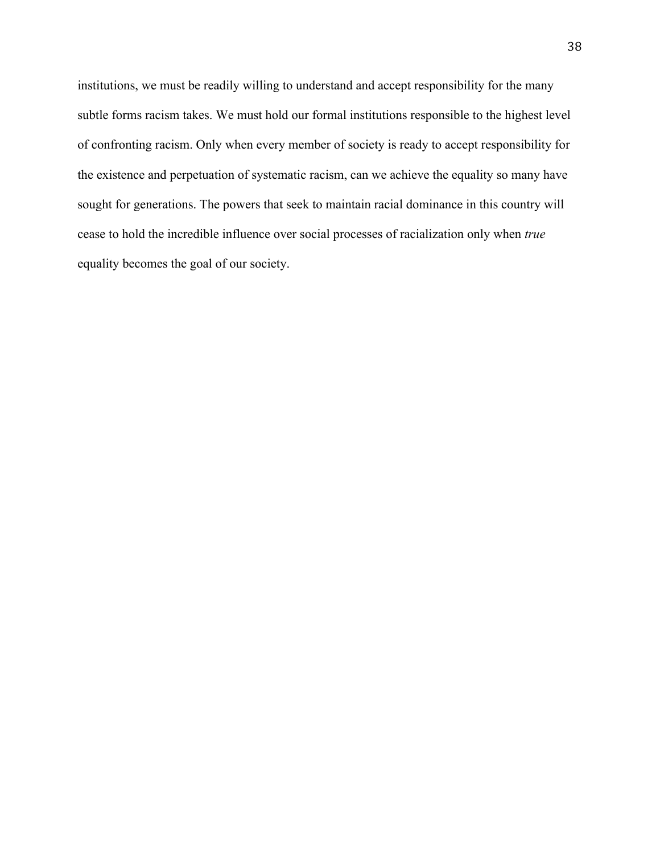institutions, we must be readily willing to understand and accept responsibility for the many subtle forms racism takes. We must hold our formal institutions responsible to the highest level of confronting racism. Only when every member of society is ready to accept responsibility for the existence and perpetuation of systematic racism, can we achieve the equality so many have sought for generations. The powers that seek to maintain racial dominance in this country will cease to hold the incredible influence over social processes of racialization only when *true* equality becomes the goal of our society.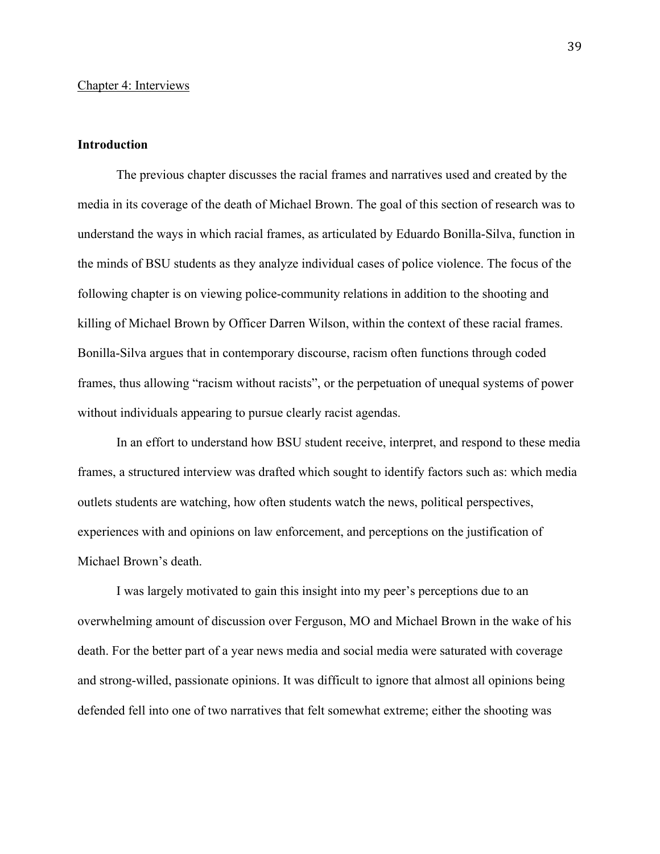## **Introduction**

The previous chapter discusses the racial frames and narratives used and created by the media in its coverage of the death of Michael Brown. The goal of this section of research was to understand the ways in which racial frames, as articulated by Eduardo Bonilla-Silva, function in the minds of BSU students as they analyze individual cases of police violence. The focus of the following chapter is on viewing police-community relations in addition to the shooting and killing of Michael Brown by Officer Darren Wilson, within the context of these racial frames. Bonilla-Silva argues that in contemporary discourse, racism often functions through coded frames, thus allowing "racism without racists", or the perpetuation of unequal systems of power without individuals appearing to pursue clearly racist agendas.

In an effort to understand how BSU student receive, interpret, and respond to these media frames, a structured interview was drafted which sought to identify factors such as: which media outlets students are watching, how often students watch the news, political perspectives, experiences with and opinions on law enforcement, and perceptions on the justification of Michael Brown's death.

I was largely motivated to gain this insight into my peer's perceptions due to an overwhelming amount of discussion over Ferguson, MO and Michael Brown in the wake of his death. For the better part of a year news media and social media were saturated with coverage and strong-willed, passionate opinions. It was difficult to ignore that almost all opinions being defended fell into one of two narratives that felt somewhat extreme; either the shooting was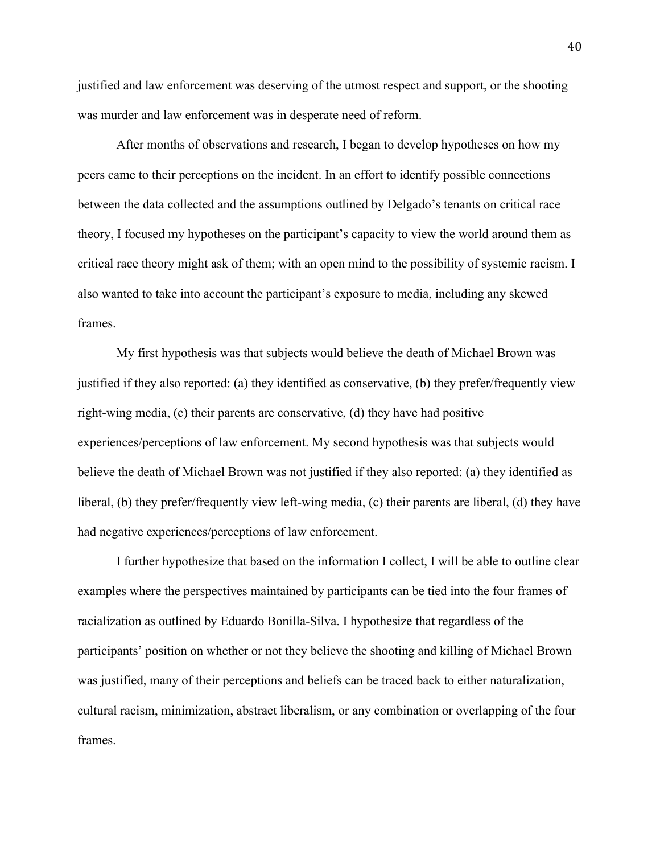justified and law enforcement was deserving of the utmost respect and support, or the shooting was murder and law enforcement was in desperate need of reform.

After months of observations and research, I began to develop hypotheses on how my peers came to their perceptions on the incident. In an effort to identify possible connections between the data collected and the assumptions outlined by Delgado's tenants on critical race theory, I focused my hypotheses on the participant's capacity to view the world around them as critical race theory might ask of them; with an open mind to the possibility of systemic racism. I also wanted to take into account the participant's exposure to media, including any skewed frames.

My first hypothesis was that subjects would believe the death of Michael Brown was justified if they also reported: (a) they identified as conservative, (b) they prefer/frequently view right-wing media, (c) their parents are conservative, (d) they have had positive experiences/perceptions of law enforcement. My second hypothesis was that subjects would believe the death of Michael Brown was not justified if they also reported: (a) they identified as liberal, (b) they prefer/frequently view left-wing media, (c) their parents are liberal, (d) they have had negative experiences/perceptions of law enforcement.

I further hypothesize that based on the information I collect, I will be able to outline clear examples where the perspectives maintained by participants can be tied into the four frames of racialization as outlined by Eduardo Bonilla-Silva. I hypothesize that regardless of the participants' position on whether or not they believe the shooting and killing of Michael Brown was justified, many of their perceptions and beliefs can be traced back to either naturalization, cultural racism, minimization, abstract liberalism, or any combination or overlapping of the four frames.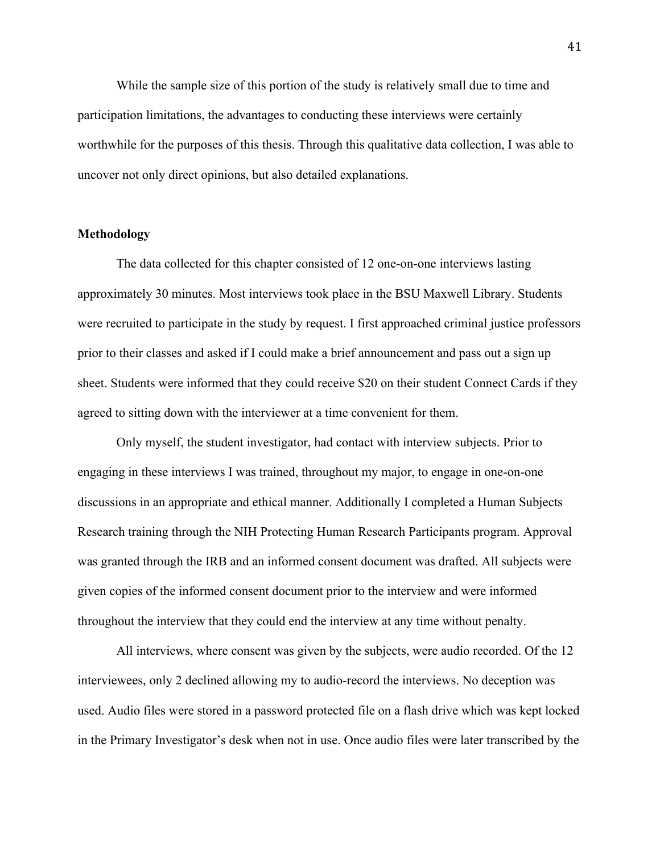While the sample size of this portion of the study is relatively small due to time and participation limitations, the advantages to conducting these interviews were certainly worthwhile for the purposes of this thesis. Through this qualitative data collection, I was able to uncover not only direct opinions, but also detailed explanations.

# **Methodology**

The data collected for this chapter consisted of 12 one-on-one interviews lasting approximately 30 minutes. Most interviews took place in the BSU Maxwell Library. Students were recruited to participate in the study by request. I first approached criminal justice professors prior to their classes and asked if I could make a brief announcement and pass out a sign up sheet. Students were informed that they could receive \$20 on their student Connect Cards if they agreed to sitting down with the interviewer at a time convenient for them.

Only myself, the student investigator, had contact with interview subjects. Prior to engaging in these interviews I was trained, throughout my major, to engage in one-on-one discussions in an appropriate and ethical manner. Additionally I completed a Human Subjects Research training through the NIH Protecting Human Research Participants program. Approval was granted through the IRB and an informed consent document was drafted. All subjects were given copies of the informed consent document prior to the interview and were informed throughout the interview that they could end the interview at any time without penalty.

All interviews, where consent was given by the subjects, were audio recorded. Of the 12 interviewees, only 2 declined allowing my to audio-record the interviews. No deception was used. Audio files were stored in a password protected file on a flash drive which was kept locked in the Primary Investigator's desk when not in use. Once audio files were later transcribed by the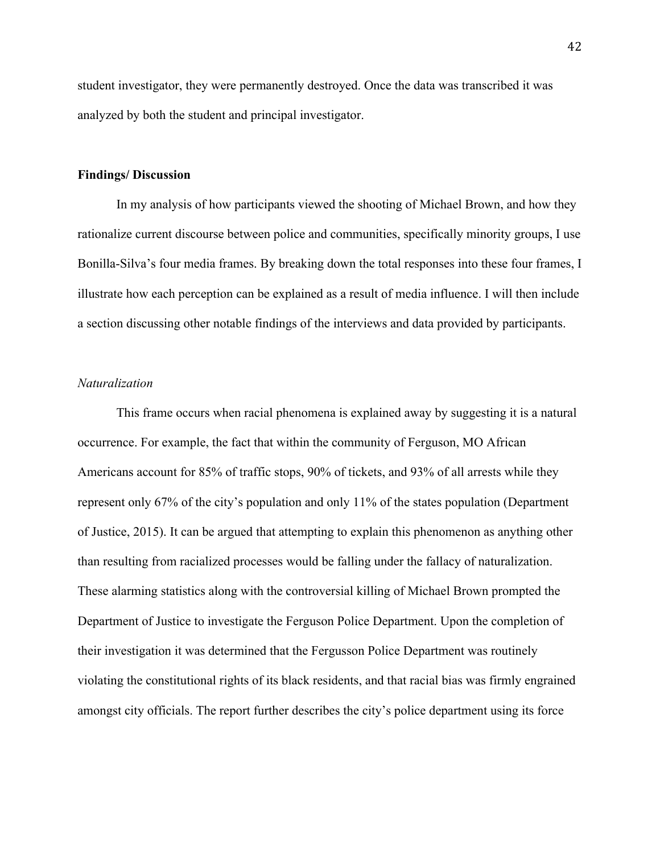student investigator, they were permanently destroyed. Once the data was transcribed it was analyzed by both the student and principal investigator.

#### **Findings/ Discussion**

In my analysis of how participants viewed the shooting of Michael Brown, and how they rationalize current discourse between police and communities, specifically minority groups, I use Bonilla-Silva's four media frames. By breaking down the total responses into these four frames, I illustrate how each perception can be explained as a result of media influence. I will then include a section discussing other notable findings of the interviews and data provided by participants.

### *Naturalization*

This frame occurs when racial phenomena is explained away by suggesting it is a natural occurrence. For example, the fact that within the community of Ferguson, MO African Americans account for 85% of traffic stops, 90% of tickets, and 93% of all arrests while they represent only 67% of the city's population and only 11% of the states population (Department of Justice, 2015). It can be argued that attempting to explain this phenomenon as anything other than resulting from racialized processes would be falling under the fallacy of naturalization. These alarming statistics along with the controversial killing of Michael Brown prompted the Department of Justice to investigate the Ferguson Police Department. Upon the completion of their investigation it was determined that the Fergusson Police Department was routinely violating the constitutional rights of its black residents, and that racial bias was firmly engrained amongst city officials. The report further describes the city's police department using its force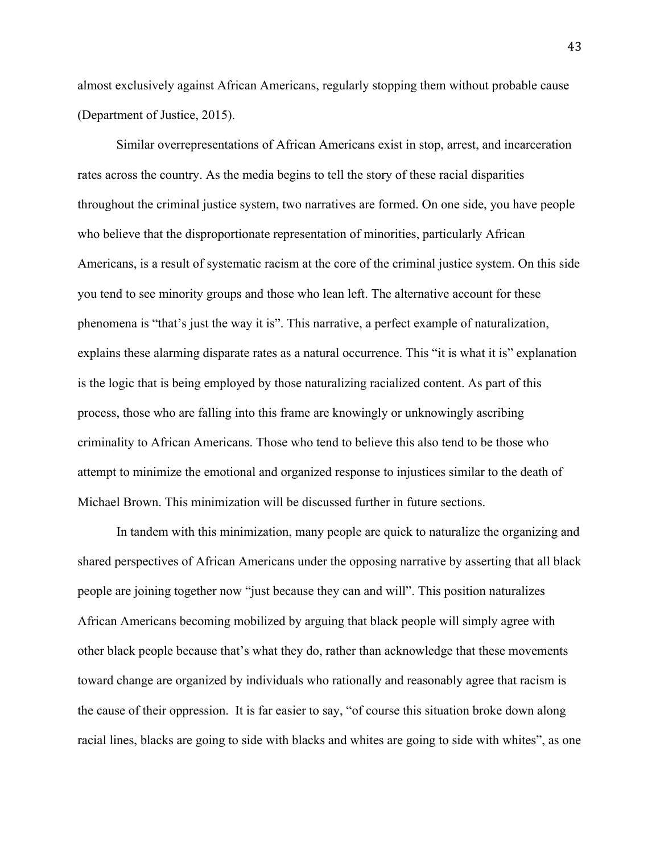almost exclusively against African Americans, regularly stopping them without probable cause (Department of Justice, 2015).

Similar overrepresentations of African Americans exist in stop, arrest, and incarceration rates across the country. As the media begins to tell the story of these racial disparities throughout the criminal justice system, two narratives are formed. On one side, you have people who believe that the disproportionate representation of minorities, particularly African Americans, is a result of systematic racism at the core of the criminal justice system. On this side you tend to see minority groups and those who lean left. The alternative account for these phenomena is "that's just the way it is". This narrative, a perfect example of naturalization, explains these alarming disparate rates as a natural occurrence. This "it is what it is" explanation is the logic that is being employed by those naturalizing racialized content. As part of this process, those who are falling into this frame are knowingly or unknowingly ascribing criminality to African Americans. Those who tend to believe this also tend to be those who attempt to minimize the emotional and organized response to injustices similar to the death of Michael Brown. This minimization will be discussed further in future sections.

In tandem with this minimization, many people are quick to naturalize the organizing and shared perspectives of African Americans under the opposing narrative by asserting that all black people are joining together now "just because they can and will". This position naturalizes African Americans becoming mobilized by arguing that black people will simply agree with other black people because that's what they do, rather than acknowledge that these movements toward change are organized by individuals who rationally and reasonably agree that racism is the cause of their oppression. It is far easier to say, "of course this situation broke down along racial lines, blacks are going to side with blacks and whites are going to side with whites", as one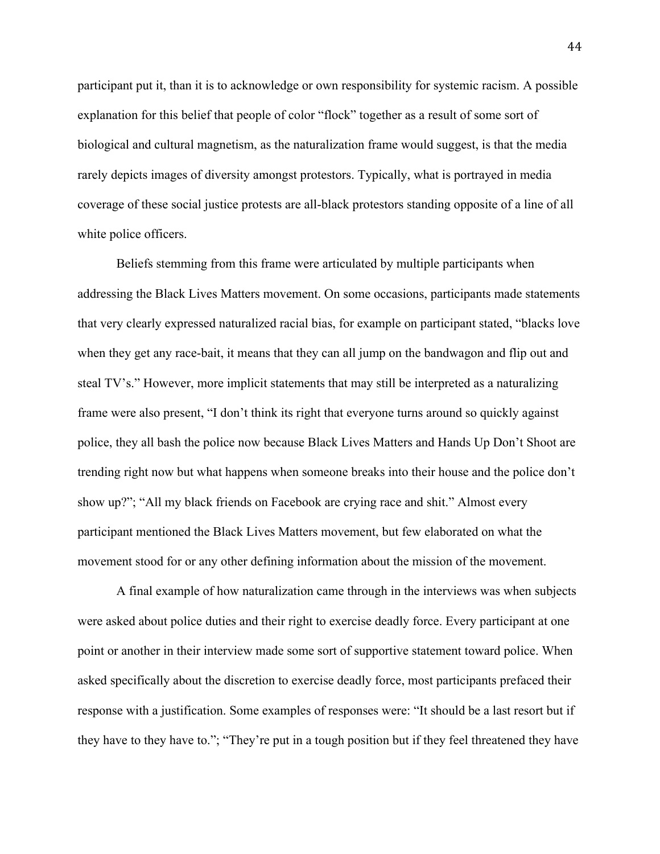participant put it, than it is to acknowledge or own responsibility for systemic racism. A possible explanation for this belief that people of color "flock" together as a result of some sort of biological and cultural magnetism, as the naturalization frame would suggest, is that the media rarely depicts images of diversity amongst protestors. Typically, what is portrayed in media coverage of these social justice protests are all-black protestors standing opposite of a line of all white police officers.

Beliefs stemming from this frame were articulated by multiple participants when addressing the Black Lives Matters movement. On some occasions, participants made statements that very clearly expressed naturalized racial bias, for example on participant stated, "blacks love when they get any race-bait, it means that they can all jump on the bandwagon and flip out and steal TV's." However, more implicit statements that may still be interpreted as a naturalizing frame were also present, "I don't think its right that everyone turns around so quickly against police, they all bash the police now because Black Lives Matters and Hands Up Don't Shoot are trending right now but what happens when someone breaks into their house and the police don't show up?"; "All my black friends on Facebook are crying race and shit." Almost every participant mentioned the Black Lives Matters movement, but few elaborated on what the movement stood for or any other defining information about the mission of the movement.

A final example of how naturalization came through in the interviews was when subjects were asked about police duties and their right to exercise deadly force. Every participant at one point or another in their interview made some sort of supportive statement toward police. When asked specifically about the discretion to exercise deadly force, most participants prefaced their response with a justification. Some examples of responses were: "It should be a last resort but if they have to they have to."; "They're put in a tough position but if they feel threatened they have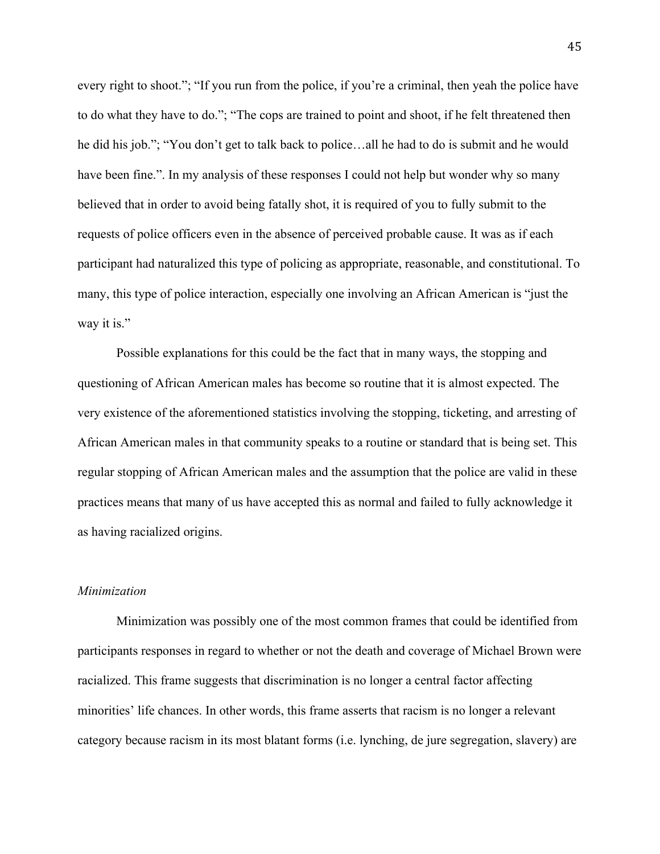every right to shoot."; "If you run from the police, if you're a criminal, then yeah the police have to do what they have to do."; "The cops are trained to point and shoot, if he felt threatened then he did his job."; "You don't get to talk back to police…all he had to do is submit and he would have been fine.". In my analysis of these responses I could not help but wonder why so many believed that in order to avoid being fatally shot, it is required of you to fully submit to the requests of police officers even in the absence of perceived probable cause. It was as if each participant had naturalized this type of policing as appropriate, reasonable, and constitutional. To many, this type of police interaction, especially one involving an African American is "just the way it is."

Possible explanations for this could be the fact that in many ways, the stopping and questioning of African American males has become so routine that it is almost expected. The very existence of the aforementioned statistics involving the stopping, ticketing, and arresting of African American males in that community speaks to a routine or standard that is being set. This regular stopping of African American males and the assumption that the police are valid in these practices means that many of us have accepted this as normal and failed to fully acknowledge it as having racialized origins.

#### *Minimization*

Minimization was possibly one of the most common frames that could be identified from participants responses in regard to whether or not the death and coverage of Michael Brown were racialized. This frame suggests that discrimination is no longer a central factor affecting minorities' life chances. In other words, this frame asserts that racism is no longer a relevant category because racism in its most blatant forms (i.e. lynching, de jure segregation, slavery) are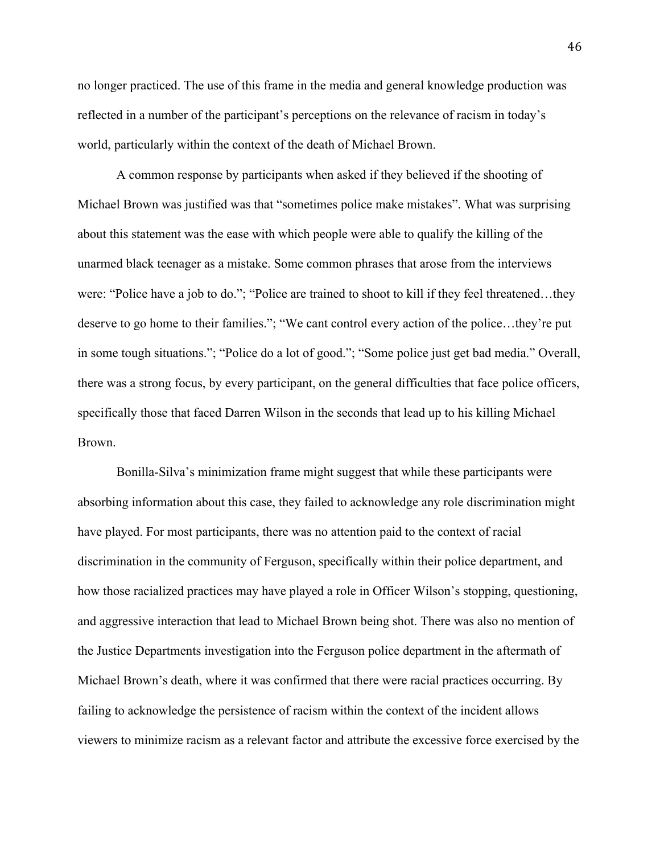no longer practiced. The use of this frame in the media and general knowledge production was reflected in a number of the participant's perceptions on the relevance of racism in today's world, particularly within the context of the death of Michael Brown.

A common response by participants when asked if they believed if the shooting of Michael Brown was justified was that "sometimes police make mistakes". What was surprising about this statement was the ease with which people were able to qualify the killing of the unarmed black teenager as a mistake. Some common phrases that arose from the interviews were: "Police have a job to do."; "Police are trained to shoot to kill if they feel threatened…they deserve to go home to their families."; "We cant control every action of the police…they're put in some tough situations."; "Police do a lot of good."; "Some police just get bad media." Overall, there was a strong focus, by every participant, on the general difficulties that face police officers, specifically those that faced Darren Wilson in the seconds that lead up to his killing Michael Brown.

Bonilla-Silva's minimization frame might suggest that while these participants were absorbing information about this case, they failed to acknowledge any role discrimination might have played. For most participants, there was no attention paid to the context of racial discrimination in the community of Ferguson, specifically within their police department, and how those racialized practices may have played a role in Officer Wilson's stopping, questioning, and aggressive interaction that lead to Michael Brown being shot. There was also no mention of the Justice Departments investigation into the Ferguson police department in the aftermath of Michael Brown's death, where it was confirmed that there were racial practices occurring. By failing to acknowledge the persistence of racism within the context of the incident allows viewers to minimize racism as a relevant factor and attribute the excessive force exercised by the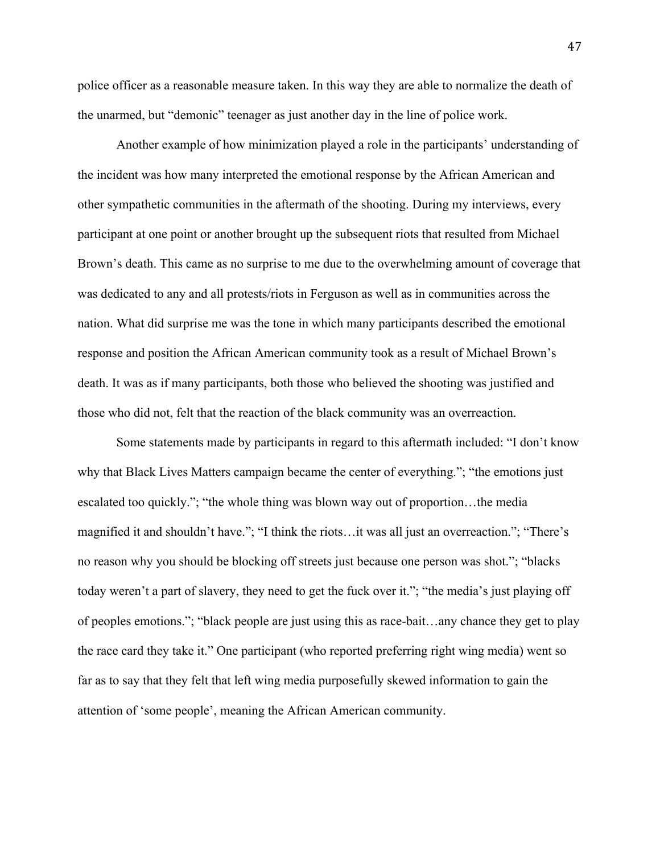police officer as a reasonable measure taken. In this way they are able to normalize the death of the unarmed, but "demonic" teenager as just another day in the line of police work.

Another example of how minimization played a role in the participants' understanding of the incident was how many interpreted the emotional response by the African American and other sympathetic communities in the aftermath of the shooting. During my interviews, every participant at one point or another brought up the subsequent riots that resulted from Michael Brown's death. This came as no surprise to me due to the overwhelming amount of coverage that was dedicated to any and all protests/riots in Ferguson as well as in communities across the nation. What did surprise me was the tone in which many participants described the emotional response and position the African American community took as a result of Michael Brown's death. It was as if many participants, both those who believed the shooting was justified and those who did not, felt that the reaction of the black community was an overreaction.

Some statements made by participants in regard to this aftermath included: "I don't know why that Black Lives Matters campaign became the center of everything."; "the emotions just escalated too quickly."; "the whole thing was blown way out of proportion…the media magnified it and shouldn't have."; "I think the riots…it was all just an overreaction."; "There's no reason why you should be blocking off streets just because one person was shot."; "blacks today weren't a part of slavery, they need to get the fuck over it."; "the media's just playing off of peoples emotions."; "black people are just using this as race-bait…any chance they get to play the race card they take it." One participant (who reported preferring right wing media) went so far as to say that they felt that left wing media purposefully skewed information to gain the attention of 'some people', meaning the African American community.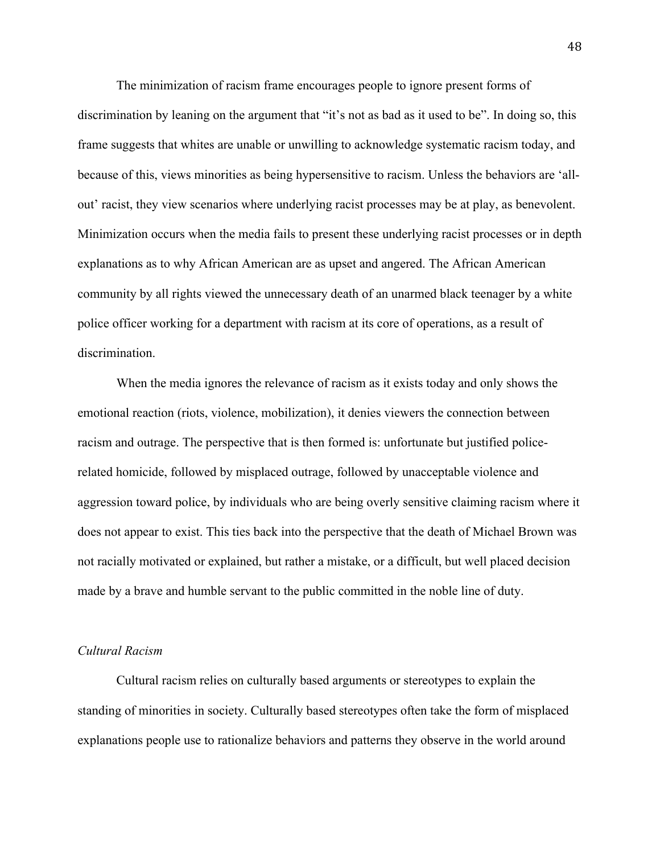The minimization of racism frame encourages people to ignore present forms of discrimination by leaning on the argument that "it's not as bad as it used to be". In doing so, this frame suggests that whites are unable or unwilling to acknowledge systematic racism today, and because of this, views minorities as being hypersensitive to racism. Unless the behaviors are 'allout' racist, they view scenarios where underlying racist processes may be at play, as benevolent. Minimization occurs when the media fails to present these underlying racist processes or in depth explanations as to why African American are as upset and angered. The African American community by all rights viewed the unnecessary death of an unarmed black teenager by a white police officer working for a department with racism at its core of operations, as a result of discrimination.

When the media ignores the relevance of racism as it exists today and only shows the emotional reaction (riots, violence, mobilization), it denies viewers the connection between racism and outrage. The perspective that is then formed is: unfortunate but justified policerelated homicide, followed by misplaced outrage, followed by unacceptable violence and aggression toward police, by individuals who are being overly sensitive claiming racism where it does not appear to exist. This ties back into the perspective that the death of Michael Brown was not racially motivated or explained, but rather a mistake, or a difficult, but well placed decision made by a brave and humble servant to the public committed in the noble line of duty.

# *Cultural Racism*

Cultural racism relies on culturally based arguments or stereotypes to explain the standing of minorities in society. Culturally based stereotypes often take the form of misplaced explanations people use to rationalize behaviors and patterns they observe in the world around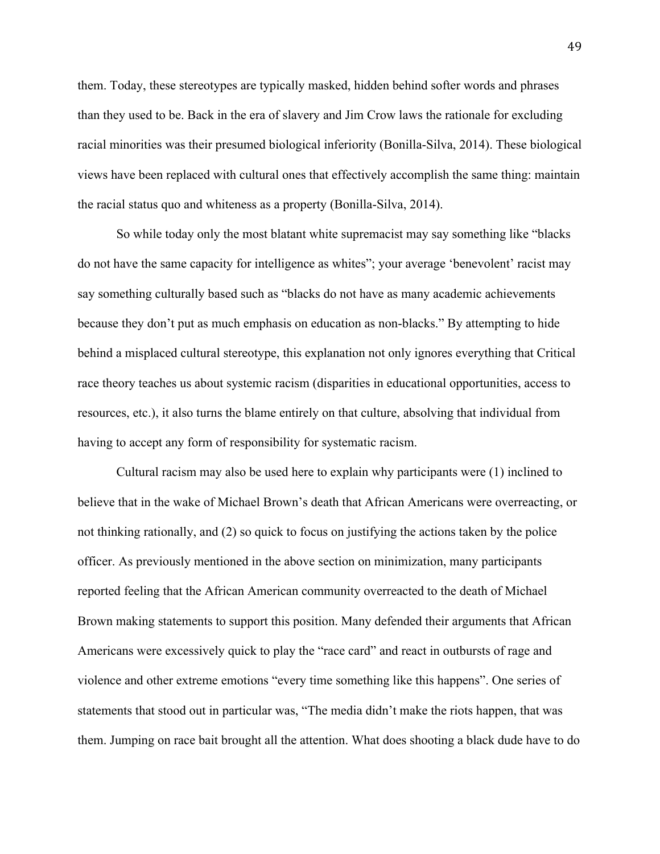them. Today, these stereotypes are typically masked, hidden behind softer words and phrases than they used to be. Back in the era of slavery and Jim Crow laws the rationale for excluding racial minorities was their presumed biological inferiority (Bonilla-Silva, 2014). These biological views have been replaced with cultural ones that effectively accomplish the same thing: maintain the racial status quo and whiteness as a property (Bonilla-Silva, 2014).

So while today only the most blatant white supremacist may say something like "blacks do not have the same capacity for intelligence as whites"; your average 'benevolent' racist may say something culturally based such as "blacks do not have as many academic achievements because they don't put as much emphasis on education as non-blacks." By attempting to hide behind a misplaced cultural stereotype, this explanation not only ignores everything that Critical race theory teaches us about systemic racism (disparities in educational opportunities, access to resources, etc.), it also turns the blame entirely on that culture, absolving that individual from having to accept any form of responsibility for systematic racism.

Cultural racism may also be used here to explain why participants were (1) inclined to believe that in the wake of Michael Brown's death that African Americans were overreacting, or not thinking rationally, and (2) so quick to focus on justifying the actions taken by the police officer. As previously mentioned in the above section on minimization, many participants reported feeling that the African American community overreacted to the death of Michael Brown making statements to support this position. Many defended their arguments that African Americans were excessively quick to play the "race card" and react in outbursts of rage and violence and other extreme emotions "every time something like this happens". One series of statements that stood out in particular was, "The media didn't make the riots happen, that was them. Jumping on race bait brought all the attention. What does shooting a black dude have to do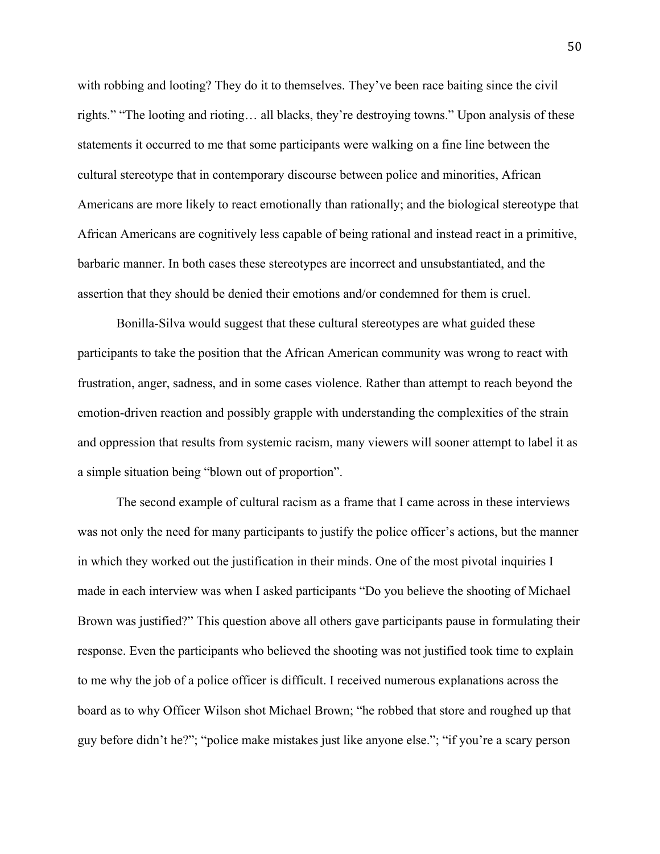with robbing and looting? They do it to themselves. They've been race baiting since the civil rights." "The looting and rioting… all blacks, they're destroying towns." Upon analysis of these statements it occurred to me that some participants were walking on a fine line between the cultural stereotype that in contemporary discourse between police and minorities, African Americans are more likely to react emotionally than rationally; and the biological stereotype that African Americans are cognitively less capable of being rational and instead react in a primitive, barbaric manner. In both cases these stereotypes are incorrect and unsubstantiated, and the assertion that they should be denied their emotions and/or condemned for them is cruel.

Bonilla-Silva would suggest that these cultural stereotypes are what guided these participants to take the position that the African American community was wrong to react with frustration, anger, sadness, and in some cases violence. Rather than attempt to reach beyond the emotion-driven reaction and possibly grapple with understanding the complexities of the strain and oppression that results from systemic racism, many viewers will sooner attempt to label it as a simple situation being "blown out of proportion".

The second example of cultural racism as a frame that I came across in these interviews was not only the need for many participants to justify the police officer's actions, but the manner in which they worked out the justification in their minds. One of the most pivotal inquiries I made in each interview was when I asked participants "Do you believe the shooting of Michael Brown was justified?" This question above all others gave participants pause in formulating their response. Even the participants who believed the shooting was not justified took time to explain to me why the job of a police officer is difficult. I received numerous explanations across the board as to why Officer Wilson shot Michael Brown; "he robbed that store and roughed up that guy before didn't he?"; "police make mistakes just like anyone else."; "if you're a scary person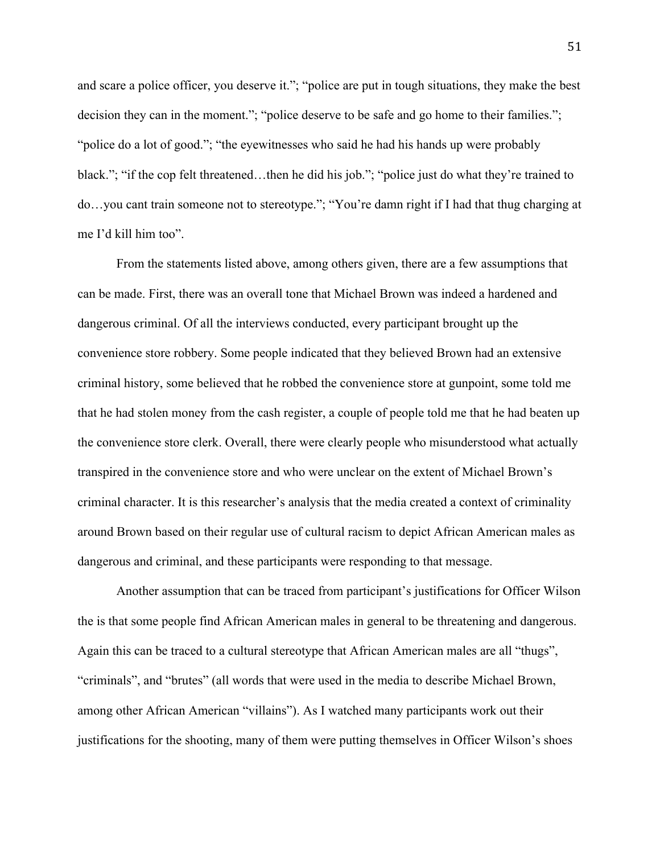and scare a police officer, you deserve it."; "police are put in tough situations, they make the best decision they can in the moment."; "police deserve to be safe and go home to their families."; "police do a lot of good."; "the eyewitnesses who said he had his hands up were probably black."; "if the cop felt threatened…then he did his job."; "police just do what they're trained to do…you cant train someone not to stereotype."; "You're damn right if I had that thug charging at me I'd kill him too".

From the statements listed above, among others given, there are a few assumptions that can be made. First, there was an overall tone that Michael Brown was indeed a hardened and dangerous criminal. Of all the interviews conducted, every participant brought up the convenience store robbery. Some people indicated that they believed Brown had an extensive criminal history, some believed that he robbed the convenience store at gunpoint, some told me that he had stolen money from the cash register, a couple of people told me that he had beaten up the convenience store clerk. Overall, there were clearly people who misunderstood what actually transpired in the convenience store and who were unclear on the extent of Michael Brown's criminal character. It is this researcher's analysis that the media created a context of criminality around Brown based on their regular use of cultural racism to depict African American males as dangerous and criminal, and these participants were responding to that message.

Another assumption that can be traced from participant's justifications for Officer Wilson the is that some people find African American males in general to be threatening and dangerous. Again this can be traced to a cultural stereotype that African American males are all "thugs", "criminals", and "brutes" (all words that were used in the media to describe Michael Brown, among other African American "villains"). As I watched many participants work out their justifications for the shooting, many of them were putting themselves in Officer Wilson's shoes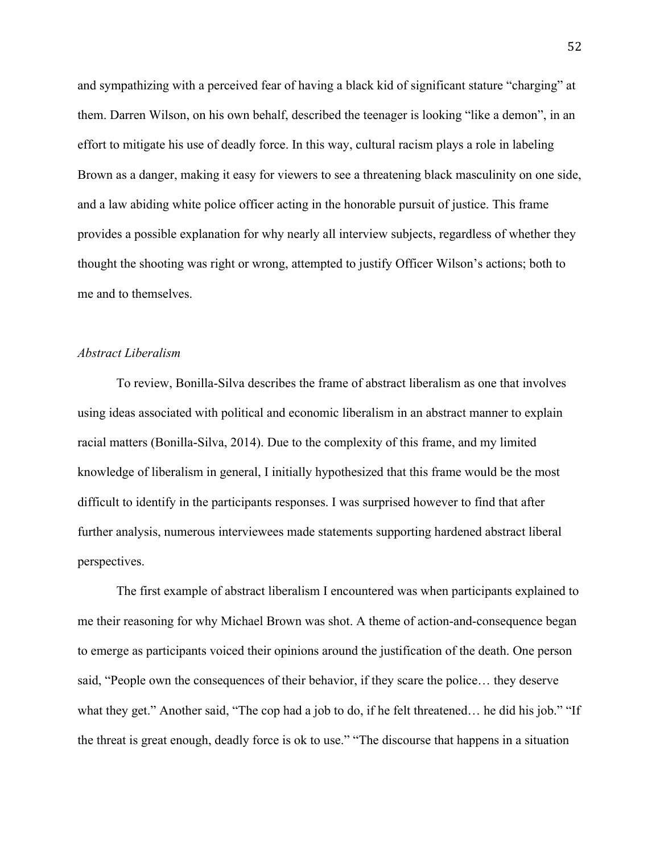and sympathizing with a perceived fear of having a black kid of significant stature "charging" at them. Darren Wilson, on his own behalf, described the teenager is looking "like a demon", in an effort to mitigate his use of deadly force. In this way, cultural racism plays a role in labeling Brown as a danger, making it easy for viewers to see a threatening black masculinity on one side, and a law abiding white police officer acting in the honorable pursuit of justice. This frame provides a possible explanation for why nearly all interview subjects, regardless of whether they thought the shooting was right or wrong, attempted to justify Officer Wilson's actions; both to me and to themselves.

# *Abstract Liberalism*

To review, Bonilla-Silva describes the frame of abstract liberalism as one that involves using ideas associated with political and economic liberalism in an abstract manner to explain racial matters (Bonilla-Silva, 2014). Due to the complexity of this frame, and my limited knowledge of liberalism in general, I initially hypothesized that this frame would be the most difficult to identify in the participants responses. I was surprised however to find that after further analysis, numerous interviewees made statements supporting hardened abstract liberal perspectives.

The first example of abstract liberalism I encountered was when participants explained to me their reasoning for why Michael Brown was shot. A theme of action-and-consequence began to emerge as participants voiced their opinions around the justification of the death. One person said, "People own the consequences of their behavior, if they scare the police… they deserve what they get." Another said, "The cop had a job to do, if he felt threatened… he did his job." "If the threat is great enough, deadly force is ok to use." "The discourse that happens in a situation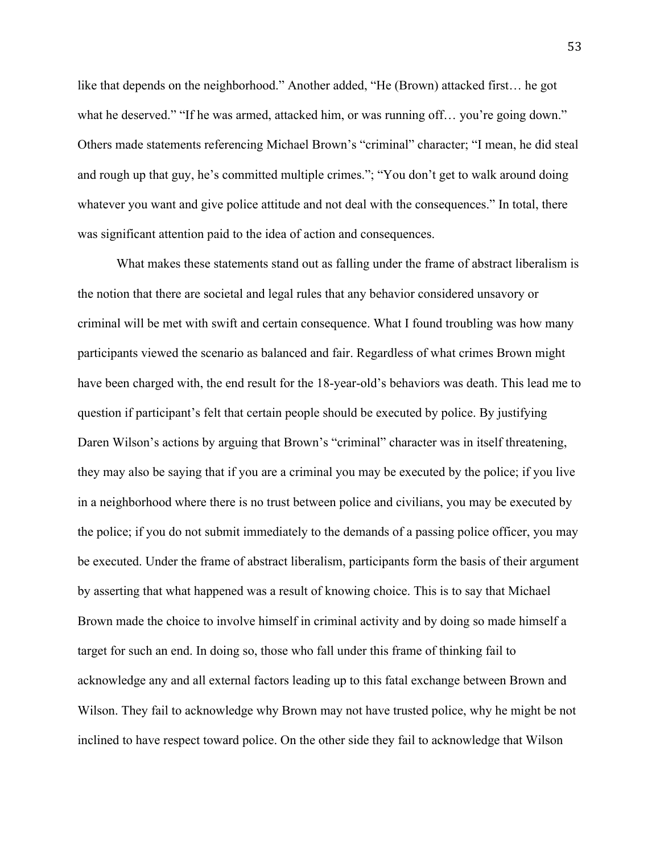like that depends on the neighborhood." Another added, "He (Brown) attacked first… he got what he deserved." "If he was armed, attacked him, or was running off... you're going down." Others made statements referencing Michael Brown's "criminal" character; "I mean, he did steal and rough up that guy, he's committed multiple crimes."; "You don't get to walk around doing whatever you want and give police attitude and not deal with the consequences." In total, there was significant attention paid to the idea of action and consequences.

What makes these statements stand out as falling under the frame of abstract liberalism is the notion that there are societal and legal rules that any behavior considered unsavory or criminal will be met with swift and certain consequence. What I found troubling was how many participants viewed the scenario as balanced and fair. Regardless of what crimes Brown might have been charged with, the end result for the 18-year-old's behaviors was death. This lead me to question if participant's felt that certain people should be executed by police. By justifying Daren Wilson's actions by arguing that Brown's "criminal" character was in itself threatening, they may also be saying that if you are a criminal you may be executed by the police; if you live in a neighborhood where there is no trust between police and civilians, you may be executed by the police; if you do not submit immediately to the demands of a passing police officer, you may be executed. Under the frame of abstract liberalism, participants form the basis of their argument by asserting that what happened was a result of knowing choice. This is to say that Michael Brown made the choice to involve himself in criminal activity and by doing so made himself a target for such an end. In doing so, those who fall under this frame of thinking fail to acknowledge any and all external factors leading up to this fatal exchange between Brown and Wilson. They fail to acknowledge why Brown may not have trusted police, why he might be not inclined to have respect toward police. On the other side they fail to acknowledge that Wilson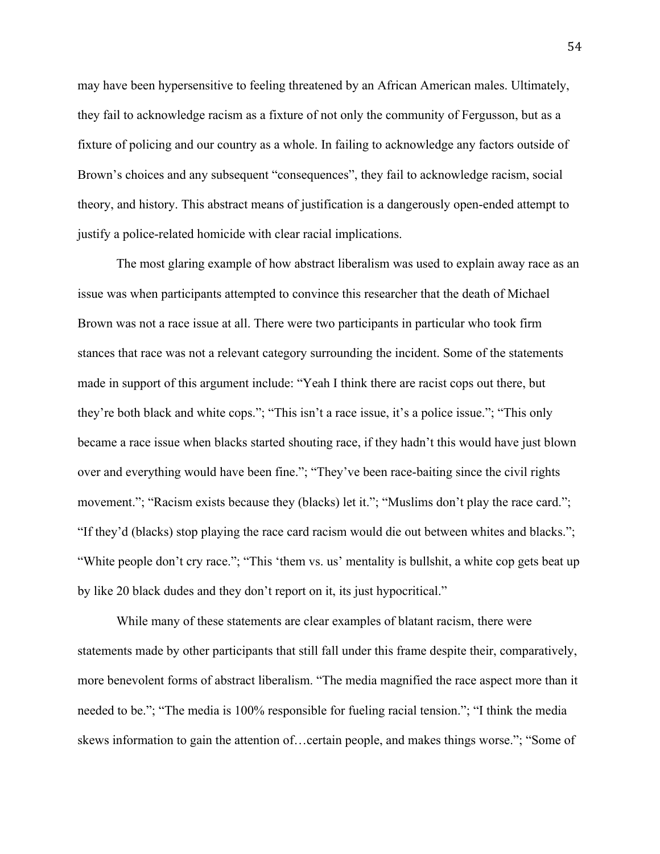may have been hypersensitive to feeling threatened by an African American males. Ultimately, they fail to acknowledge racism as a fixture of not only the community of Fergusson, but as a fixture of policing and our country as a whole. In failing to acknowledge any factors outside of Brown's choices and any subsequent "consequences", they fail to acknowledge racism, social theory, and history. This abstract means of justification is a dangerously open-ended attempt to justify a police-related homicide with clear racial implications.

The most glaring example of how abstract liberalism was used to explain away race as an issue was when participants attempted to convince this researcher that the death of Michael Brown was not a race issue at all. There were two participants in particular who took firm stances that race was not a relevant category surrounding the incident. Some of the statements made in support of this argument include: "Yeah I think there are racist cops out there, but they're both black and white cops."; "This isn't a race issue, it's a police issue."; "This only became a race issue when blacks started shouting race, if they hadn't this would have just blown over and everything would have been fine."; "They've been race-baiting since the civil rights movement."; "Racism exists because they (blacks) let it."; "Muslims don't play the race card."; "If they'd (blacks) stop playing the race card racism would die out between whites and blacks."; "White people don't cry race."; "This 'them vs. us' mentality is bullshit, a white cop gets beat up by like 20 black dudes and they don't report on it, its just hypocritical."

While many of these statements are clear examples of blatant racism, there were statements made by other participants that still fall under this frame despite their, comparatively, more benevolent forms of abstract liberalism. "The media magnified the race aspect more than it needed to be."; "The media is 100% responsible for fueling racial tension."; "I think the media skews information to gain the attention of…certain people, and makes things worse."; "Some of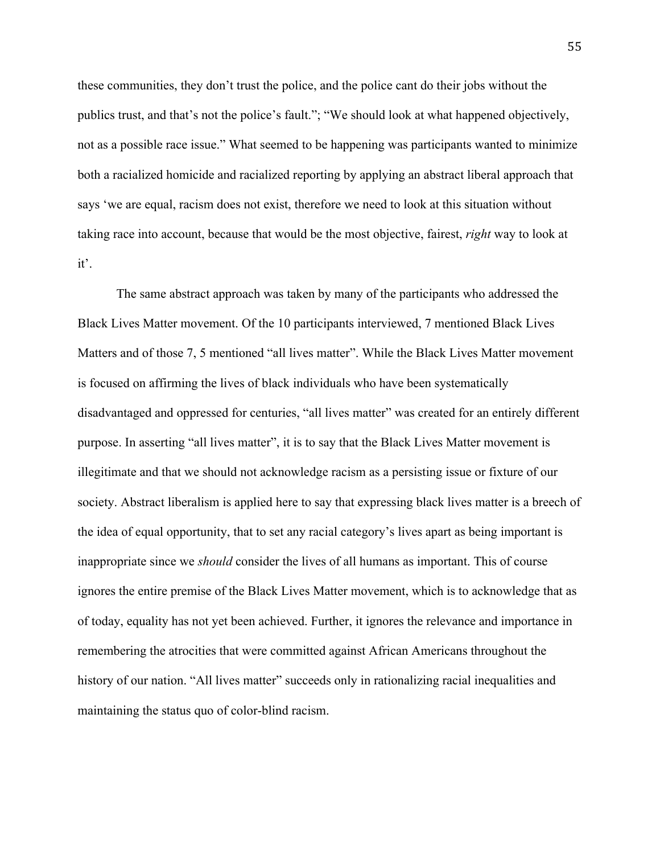these communities, they don't trust the police, and the police cant do their jobs without the publics trust, and that's not the police's fault."; "We should look at what happened objectively, not as a possible race issue." What seemed to be happening was participants wanted to minimize both a racialized homicide and racialized reporting by applying an abstract liberal approach that says 'we are equal, racism does not exist, therefore we need to look at this situation without taking race into account, because that would be the most objective, fairest, *right* way to look at it'.

The same abstract approach was taken by many of the participants who addressed the Black Lives Matter movement. Of the 10 participants interviewed, 7 mentioned Black Lives Matters and of those 7, 5 mentioned "all lives matter". While the Black Lives Matter movement is focused on affirming the lives of black individuals who have been systematically disadvantaged and oppressed for centuries, "all lives matter" was created for an entirely different purpose. In asserting "all lives matter", it is to say that the Black Lives Matter movement is illegitimate and that we should not acknowledge racism as a persisting issue or fixture of our society. Abstract liberalism is applied here to say that expressing black lives matter is a breech of the idea of equal opportunity, that to set any racial category's lives apart as being important is inappropriate since we *should* consider the lives of all humans as important. This of course ignores the entire premise of the Black Lives Matter movement, which is to acknowledge that as of today, equality has not yet been achieved. Further, it ignores the relevance and importance in remembering the atrocities that were committed against African Americans throughout the history of our nation. "All lives matter" succeeds only in rationalizing racial inequalities and maintaining the status quo of color-blind racism.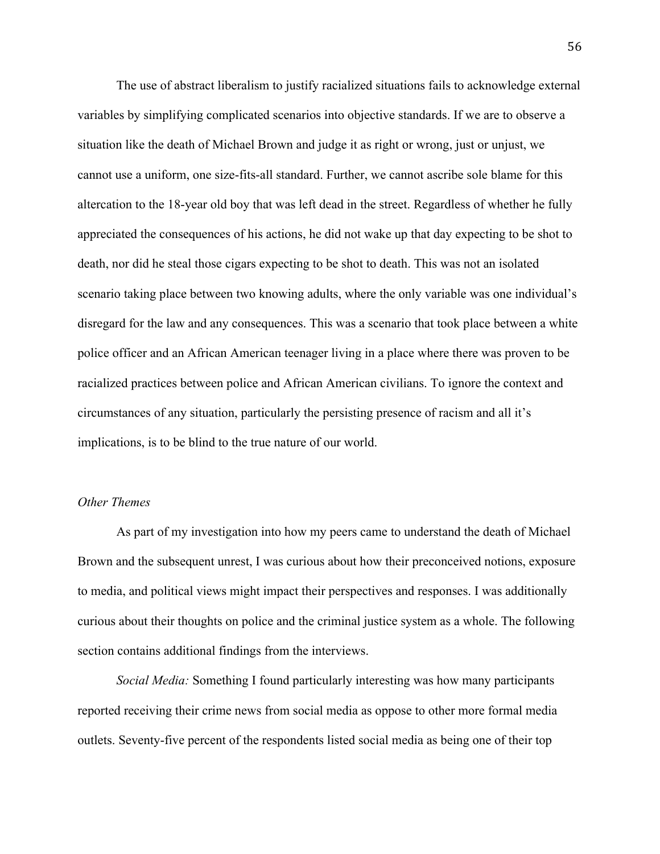The use of abstract liberalism to justify racialized situations fails to acknowledge external variables by simplifying complicated scenarios into objective standards. If we are to observe a situation like the death of Michael Brown and judge it as right or wrong, just or unjust, we cannot use a uniform, one size-fits-all standard. Further, we cannot ascribe sole blame for this altercation to the 18-year old boy that was left dead in the street. Regardless of whether he fully appreciated the consequences of his actions, he did not wake up that day expecting to be shot to death, nor did he steal those cigars expecting to be shot to death. This was not an isolated scenario taking place between two knowing adults, where the only variable was one individual's disregard for the law and any consequences. This was a scenario that took place between a white police officer and an African American teenager living in a place where there was proven to be racialized practices between police and African American civilians. To ignore the context and circumstances of any situation, particularly the persisting presence of racism and all it's implications, is to be blind to the true nature of our world.

# *Other Themes*

As part of my investigation into how my peers came to understand the death of Michael Brown and the subsequent unrest, I was curious about how their preconceived notions, exposure to media, and political views might impact their perspectives and responses. I was additionally curious about their thoughts on police and the criminal justice system as a whole. The following section contains additional findings from the interviews.

*Social Media:* Something I found particularly interesting was how many participants reported receiving their crime news from social media as oppose to other more formal media outlets. Seventy-five percent of the respondents listed social media as being one of their top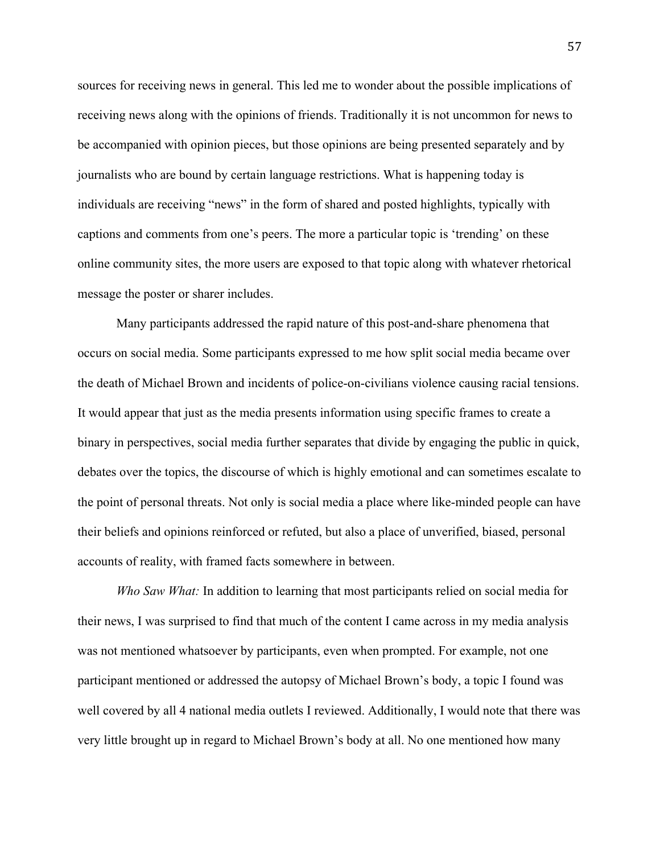sources for receiving news in general. This led me to wonder about the possible implications of receiving news along with the opinions of friends. Traditionally it is not uncommon for news to be accompanied with opinion pieces, but those opinions are being presented separately and by journalists who are bound by certain language restrictions. What is happening today is individuals are receiving "news" in the form of shared and posted highlights, typically with captions and comments from one's peers. The more a particular topic is 'trending' on these online community sites, the more users are exposed to that topic along with whatever rhetorical message the poster or sharer includes.

Many participants addressed the rapid nature of this post-and-share phenomena that occurs on social media. Some participants expressed to me how split social media became over the death of Michael Brown and incidents of police-on-civilians violence causing racial tensions. It would appear that just as the media presents information using specific frames to create a binary in perspectives, social media further separates that divide by engaging the public in quick, debates over the topics, the discourse of which is highly emotional and can sometimes escalate to the point of personal threats. Not only is social media a place where like-minded people can have their beliefs and opinions reinforced or refuted, but also a place of unverified, biased, personal accounts of reality, with framed facts somewhere in between.

*Who Saw What:* In addition to learning that most participants relied on social media for their news, I was surprised to find that much of the content I came across in my media analysis was not mentioned whatsoever by participants, even when prompted. For example, not one participant mentioned or addressed the autopsy of Michael Brown's body, a topic I found was well covered by all 4 national media outlets I reviewed. Additionally, I would note that there was very little brought up in regard to Michael Brown's body at all. No one mentioned how many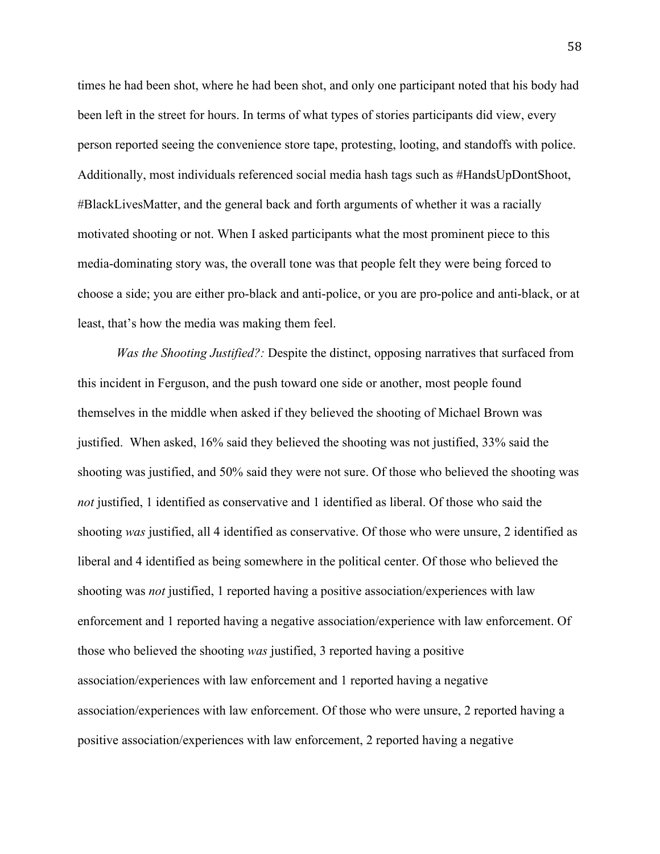times he had been shot, where he had been shot, and only one participant noted that his body had been left in the street for hours. In terms of what types of stories participants did view, every person reported seeing the convenience store tape, protesting, looting, and standoffs with police. Additionally, most individuals referenced social media hash tags such as #HandsUpDontShoot, #BlackLivesMatter, and the general back and forth arguments of whether it was a racially motivated shooting or not. When I asked participants what the most prominent piece to this media-dominating story was, the overall tone was that people felt they were being forced to choose a side; you are either pro-black and anti-police, or you are pro-police and anti-black, or at least, that's how the media was making them feel.

*Was the Shooting Justified?:* Despite the distinct, opposing narratives that surfaced from this incident in Ferguson, and the push toward one side or another, most people found themselves in the middle when asked if they believed the shooting of Michael Brown was justified. When asked, 16% said they believed the shooting was not justified, 33% said the shooting was justified, and 50% said they were not sure. Of those who believed the shooting was *not* justified, 1 identified as conservative and 1 identified as liberal. Of those who said the shooting *was* justified, all 4 identified as conservative. Of those who were unsure, 2 identified as liberal and 4 identified as being somewhere in the political center. Of those who believed the shooting was *not* justified, 1 reported having a positive association/experiences with law enforcement and 1 reported having a negative association/experience with law enforcement. Of those who believed the shooting *was* justified, 3 reported having a positive association/experiences with law enforcement and 1 reported having a negative association/experiences with law enforcement. Of those who were unsure, 2 reported having a positive association/experiences with law enforcement, 2 reported having a negative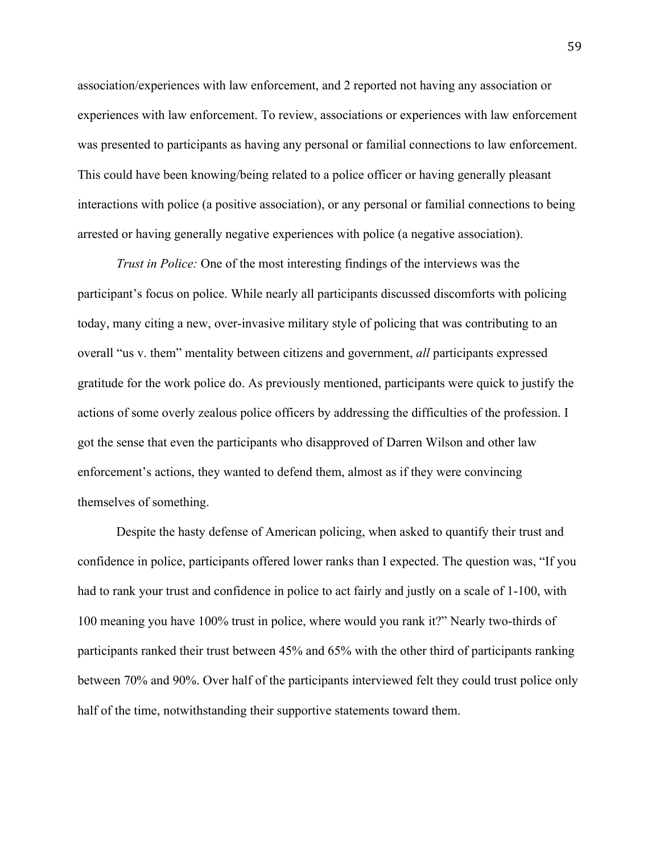association/experiences with law enforcement, and 2 reported not having any association or experiences with law enforcement. To review, associations or experiences with law enforcement was presented to participants as having any personal or familial connections to law enforcement. This could have been knowing/being related to a police officer or having generally pleasant interactions with police (a positive association), or any personal or familial connections to being arrested or having generally negative experiences with police (a negative association).

*Trust in Police:* One of the most interesting findings of the interviews was the participant's focus on police. While nearly all participants discussed discomforts with policing today, many citing a new, over-invasive military style of policing that was contributing to an overall "us v. them" mentality between citizens and government, *all* participants expressed gratitude for the work police do. As previously mentioned, participants were quick to justify the actions of some overly zealous police officers by addressing the difficulties of the profession. I got the sense that even the participants who disapproved of Darren Wilson and other law enforcement's actions, they wanted to defend them, almost as if they were convincing themselves of something.

Despite the hasty defense of American policing, when asked to quantify their trust and confidence in police, participants offered lower ranks than I expected. The question was, "If you had to rank your trust and confidence in police to act fairly and justly on a scale of 1-100, with 100 meaning you have 100% trust in police, where would you rank it?" Nearly two-thirds of participants ranked their trust between 45% and 65% with the other third of participants ranking between 70% and 90%. Over half of the participants interviewed felt they could trust police only half of the time, notwithstanding their supportive statements toward them.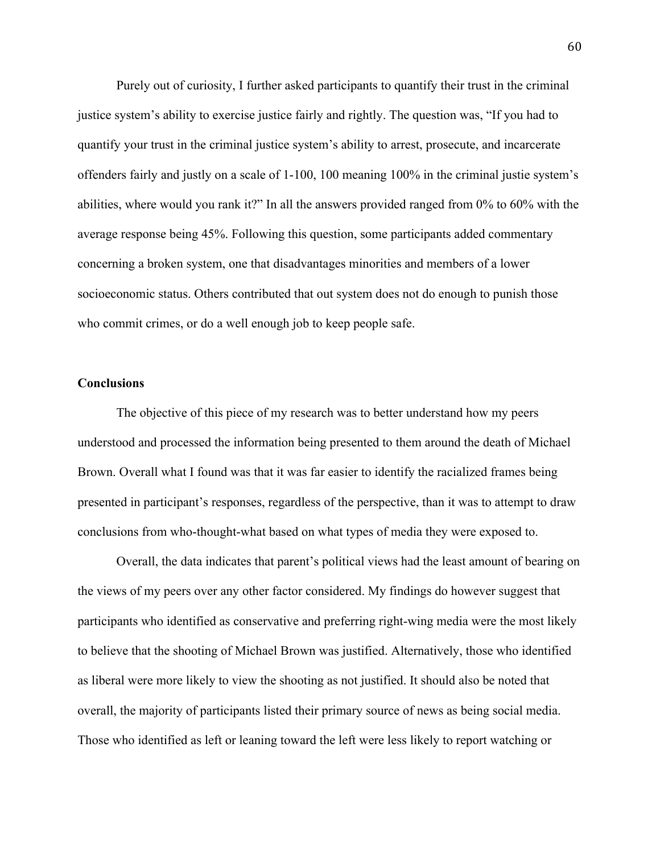Purely out of curiosity, I further asked participants to quantify their trust in the criminal justice system's ability to exercise justice fairly and rightly. The question was, "If you had to quantify your trust in the criminal justice system's ability to arrest, prosecute, and incarcerate offenders fairly and justly on a scale of 1-100, 100 meaning 100% in the criminal justie system's abilities, where would you rank it?" In all the answers provided ranged from 0% to 60% with the average response being 45%. Following this question, some participants added commentary concerning a broken system, one that disadvantages minorities and members of a lower socioeconomic status. Others contributed that out system does not do enough to punish those who commit crimes, or do a well enough job to keep people safe.

### **Conclusions**

The objective of this piece of my research was to better understand how my peers understood and processed the information being presented to them around the death of Michael Brown. Overall what I found was that it was far easier to identify the racialized frames being presented in participant's responses, regardless of the perspective, than it was to attempt to draw conclusions from who-thought-what based on what types of media they were exposed to.

Overall, the data indicates that parent's political views had the least amount of bearing on the views of my peers over any other factor considered. My findings do however suggest that participants who identified as conservative and preferring right-wing media were the most likely to believe that the shooting of Michael Brown was justified. Alternatively, those who identified as liberal were more likely to view the shooting as not justified. It should also be noted that overall, the majority of participants listed their primary source of news as being social media. Those who identified as left or leaning toward the left were less likely to report watching or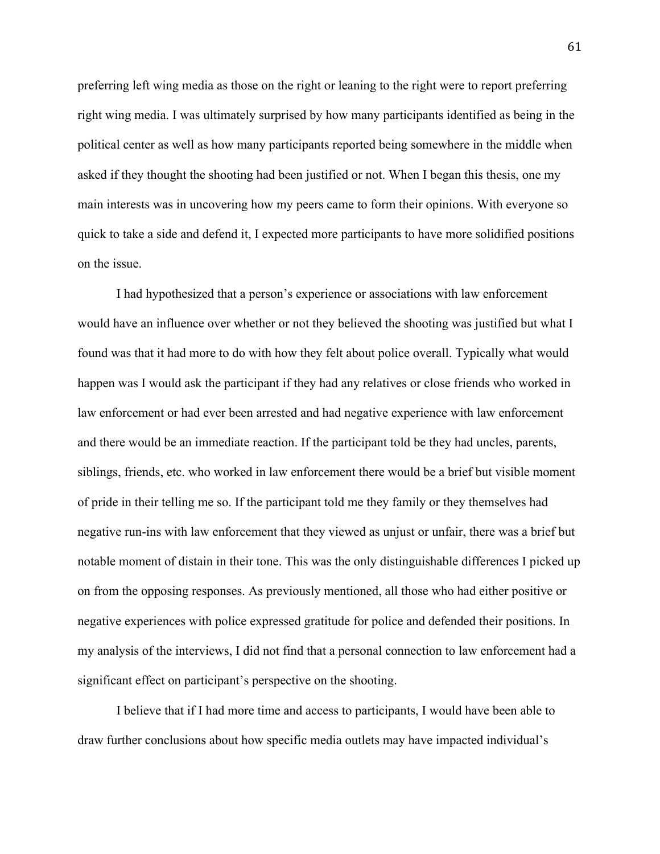preferring left wing media as those on the right or leaning to the right were to report preferring right wing media. I was ultimately surprised by how many participants identified as being in the political center as well as how many participants reported being somewhere in the middle when asked if they thought the shooting had been justified or not. When I began this thesis, one my main interests was in uncovering how my peers came to form their opinions. With everyone so quick to take a side and defend it, I expected more participants to have more solidified positions on the issue.

I had hypothesized that a person's experience or associations with law enforcement would have an influence over whether or not they believed the shooting was justified but what I found was that it had more to do with how they felt about police overall. Typically what would happen was I would ask the participant if they had any relatives or close friends who worked in law enforcement or had ever been arrested and had negative experience with law enforcement and there would be an immediate reaction. If the participant told be they had uncles, parents, siblings, friends, etc. who worked in law enforcement there would be a brief but visible moment of pride in their telling me so. If the participant told me they family or they themselves had negative run-ins with law enforcement that they viewed as unjust or unfair, there was a brief but notable moment of distain in their tone. This was the only distinguishable differences I picked up on from the opposing responses. As previously mentioned, all those who had either positive or negative experiences with police expressed gratitude for police and defended their positions. In my analysis of the interviews, I did not find that a personal connection to law enforcement had a significant effect on participant's perspective on the shooting.

I believe that if I had more time and access to participants, I would have been able to draw further conclusions about how specific media outlets may have impacted individual's

61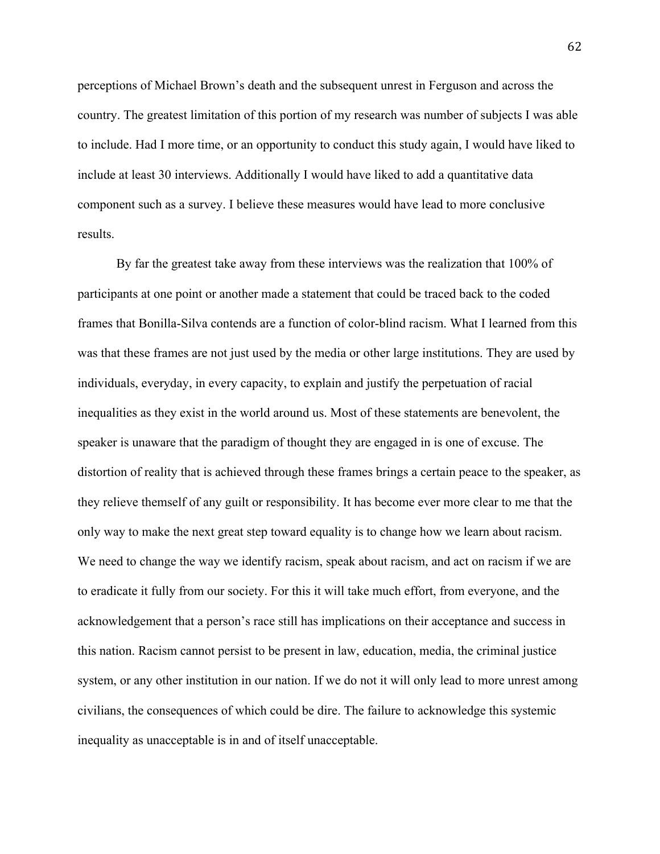perceptions of Michael Brown's death and the subsequent unrest in Ferguson and across the country. The greatest limitation of this portion of my research was number of subjects I was able to include. Had I more time, or an opportunity to conduct this study again, I would have liked to include at least 30 interviews. Additionally I would have liked to add a quantitative data component such as a survey. I believe these measures would have lead to more conclusive results.

By far the greatest take away from these interviews was the realization that 100% of participants at one point or another made a statement that could be traced back to the coded frames that Bonilla-Silva contends are a function of color-blind racism. What I learned from this was that these frames are not just used by the media or other large institutions. They are used by individuals, everyday, in every capacity, to explain and justify the perpetuation of racial inequalities as they exist in the world around us. Most of these statements are benevolent, the speaker is unaware that the paradigm of thought they are engaged in is one of excuse. The distortion of reality that is achieved through these frames brings a certain peace to the speaker, as they relieve themself of any guilt or responsibility. It has become ever more clear to me that the only way to make the next great step toward equality is to change how we learn about racism. We need to change the way we identify racism, speak about racism, and act on racism if we are to eradicate it fully from our society. For this it will take much effort, from everyone, and the acknowledgement that a person's race still has implications on their acceptance and success in this nation. Racism cannot persist to be present in law, education, media, the criminal justice system, or any other institution in our nation. If we do not it will only lead to more unrest among civilians, the consequences of which could be dire. The failure to acknowledge this systemic inequality as unacceptable is in and of itself unacceptable.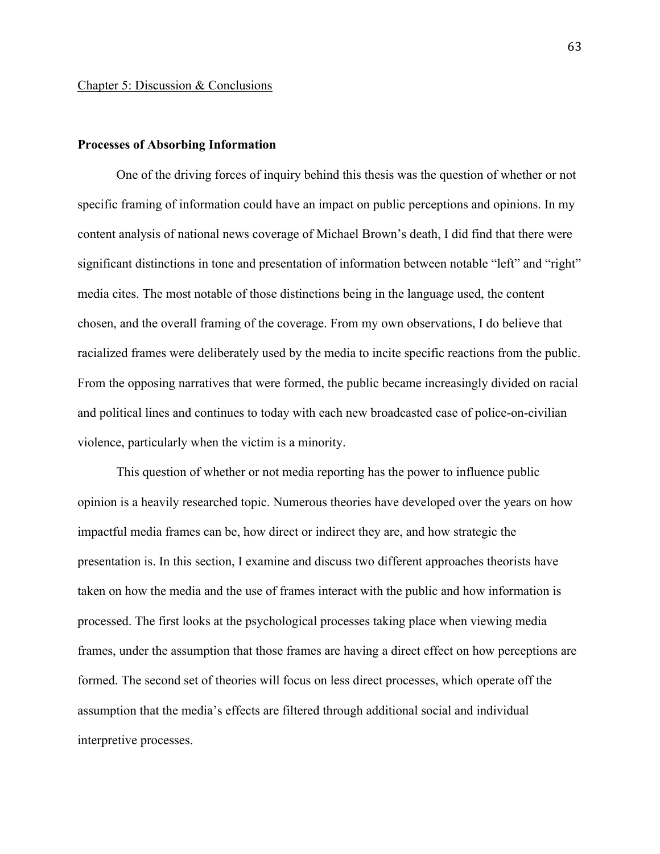# **Processes of Absorbing Information**

One of the driving forces of inquiry behind this thesis was the question of whether or not specific framing of information could have an impact on public perceptions and opinions. In my content analysis of national news coverage of Michael Brown's death, I did find that there were significant distinctions in tone and presentation of information between notable "left" and "right" media cites. The most notable of those distinctions being in the language used, the content chosen, and the overall framing of the coverage. From my own observations, I do believe that racialized frames were deliberately used by the media to incite specific reactions from the public. From the opposing narratives that were formed, the public became increasingly divided on racial and political lines and continues to today with each new broadcasted case of police-on-civilian violence, particularly when the victim is a minority.

This question of whether or not media reporting has the power to influence public opinion is a heavily researched topic. Numerous theories have developed over the years on how impactful media frames can be, how direct or indirect they are, and how strategic the presentation is. In this section, I examine and discuss two different approaches theorists have taken on how the media and the use of frames interact with the public and how information is processed. The first looks at the psychological processes taking place when viewing media frames, under the assumption that those frames are having a direct effect on how perceptions are formed. The second set of theories will focus on less direct processes, which operate off the assumption that the media's effects are filtered through additional social and individual interpretive processes.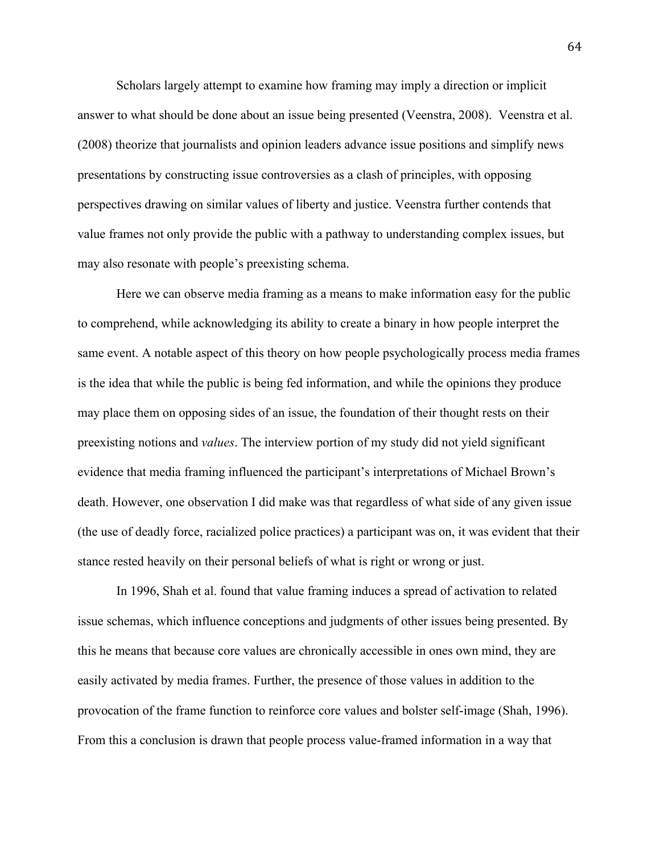Scholars largely attempt to examine how framing may imply a direction or implicit answer to what should be done about an issue being presented (Veenstra, 2008). Veenstra et al. (2008) theorize that journalists and opinion leaders advance issue positions and simplify news presentations by constructing issue controversies as a clash of principles, with opposing perspectives drawing on similar values of liberty and justice. Veenstra further contends that value frames not only provide the public with a pathway to understanding complex issues, but may also resonate with people's preexisting schema.

Here we can observe media framing as a means to make information easy for the public to comprehend, while acknowledging its ability to create a binary in how people interpret the same event. A notable aspect of this theory on how people psychologically process media frames is the idea that while the public is being fed information, and while the opinions they produce may place them on opposing sides of an issue, the foundation of their thought rests on their preexisting notions and *values*. The interview portion of my study did not yield significant evidence that media framing influenced the participant's interpretations of Michael Brown's death. However, one observation I did make was that regardless of what side of any given issue (the use of deadly force, racialized police practices) a participant was on, it was evident that their stance rested heavily on their personal beliefs of what is right or wrong or just.

In 1996, Shah et al. found that value framing induces a spread of activation to related issue schemas, which influence conceptions and judgments of other issues being presented. By this he means that because core values are chronically accessible in ones own mind, they are easily activated by media frames. Further, the presence of those values in addition to the provocation of the frame function to reinforce core values and bolster self-image (Shah, 1996). From this a conclusion is drawn that people process value-framed information in a way that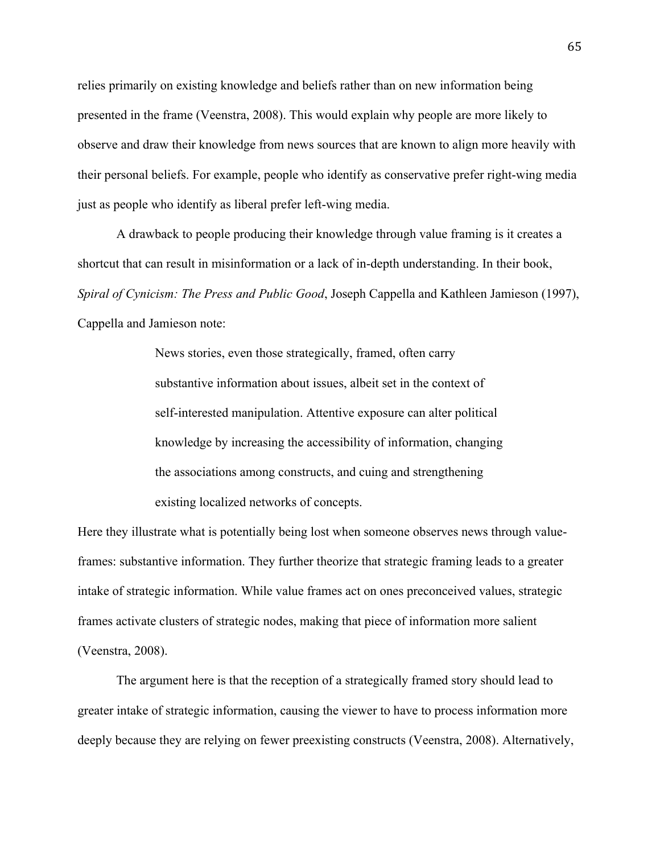relies primarily on existing knowledge and beliefs rather than on new information being presented in the frame (Veenstra, 2008). This would explain why people are more likely to observe and draw their knowledge from news sources that are known to align more heavily with their personal beliefs. For example, people who identify as conservative prefer right-wing media just as people who identify as liberal prefer left-wing media.

A drawback to people producing their knowledge through value framing is it creates a shortcut that can result in misinformation or a lack of in-depth understanding. In their book, *Spiral of Cynicism: The Press and Public Good*, Joseph Cappella and Kathleen Jamieson (1997), Cappella and Jamieson note:

> News stories, even those strategically, framed, often carry substantive information about issues, albeit set in the context of self-interested manipulation. Attentive exposure can alter political knowledge by increasing the accessibility of information, changing the associations among constructs, and cuing and strengthening existing localized networks of concepts.

Here they illustrate what is potentially being lost when someone observes news through valueframes: substantive information. They further theorize that strategic framing leads to a greater intake of strategic information. While value frames act on ones preconceived values, strategic frames activate clusters of strategic nodes, making that piece of information more salient (Veenstra, 2008).

The argument here is that the reception of a strategically framed story should lead to greater intake of strategic information, causing the viewer to have to process information more deeply because they are relying on fewer preexisting constructs (Veenstra, 2008). Alternatively,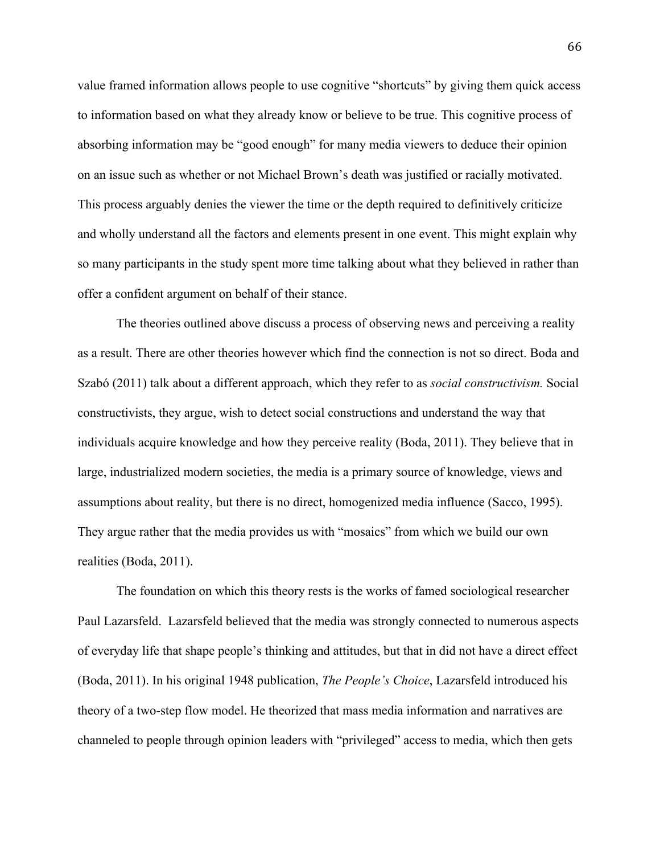value framed information allows people to use cognitive "shortcuts" by giving them quick access to information based on what they already know or believe to be true. This cognitive process of absorbing information may be "good enough" for many media viewers to deduce their opinion on an issue such as whether or not Michael Brown's death was justified or racially motivated. This process arguably denies the viewer the time or the depth required to definitively criticize and wholly understand all the factors and elements present in one event. This might explain why so many participants in the study spent more time talking about what they believed in rather than offer a confident argument on behalf of their stance.

The theories outlined above discuss a process of observing news and perceiving a reality as a result. There are other theories however which find the connection is not so direct. Boda and Szabó (2011) talk about a different approach, which they refer to as *social constructivism.* Social constructivists, they argue, wish to detect social constructions and understand the way that individuals acquire knowledge and how they perceive reality (Boda, 2011). They believe that in large, industrialized modern societies, the media is a primary source of knowledge, views and assumptions about reality, but there is no direct, homogenized media influence (Sacco, 1995). They argue rather that the media provides us with "mosaics" from which we build our own realities (Boda, 2011).

The foundation on which this theory rests is the works of famed sociological researcher Paul Lazarsfeld. Lazarsfeld believed that the media was strongly connected to numerous aspects of everyday life that shape people's thinking and attitudes, but that in did not have a direct effect (Boda, 2011). In his original 1948 publication, *The People's Choice*, Lazarsfeld introduced his theory of a two-step flow model. He theorized that mass media information and narratives are channeled to people through opinion leaders with "privileged" access to media, which then gets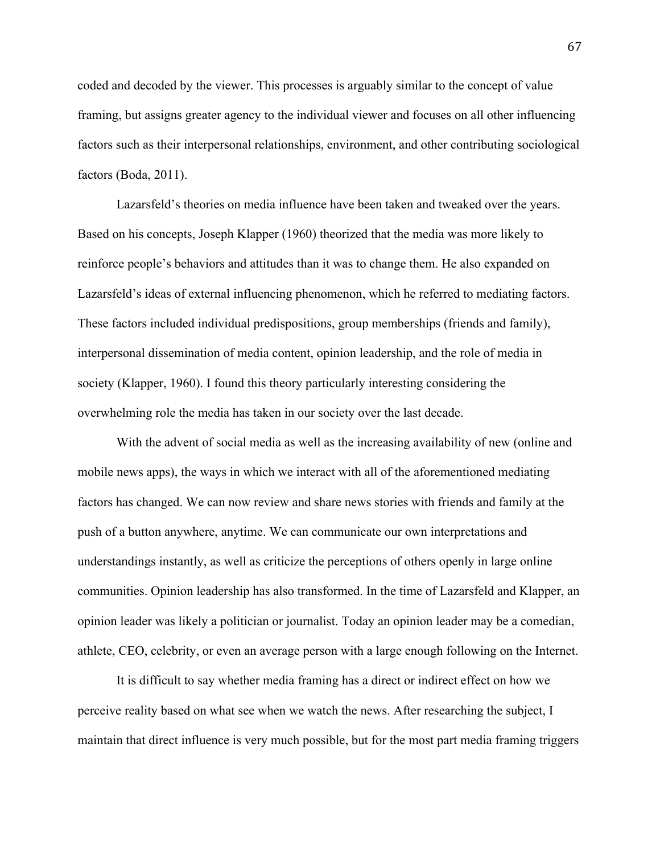coded and decoded by the viewer. This processes is arguably similar to the concept of value framing, but assigns greater agency to the individual viewer and focuses on all other influencing factors such as their interpersonal relationships, environment, and other contributing sociological factors (Boda, 2011).

Lazarsfeld's theories on media influence have been taken and tweaked over the years. Based on his concepts, Joseph Klapper (1960) theorized that the media was more likely to reinforce people's behaviors and attitudes than it was to change them. He also expanded on Lazarsfeld's ideas of external influencing phenomenon, which he referred to mediating factors. These factors included individual predispositions, group memberships (friends and family), interpersonal dissemination of media content, opinion leadership, and the role of media in society (Klapper, 1960). I found this theory particularly interesting considering the overwhelming role the media has taken in our society over the last decade.

With the advent of social media as well as the increasing availability of new (online and mobile news apps), the ways in which we interact with all of the aforementioned mediating factors has changed. We can now review and share news stories with friends and family at the push of a button anywhere, anytime. We can communicate our own interpretations and understandings instantly, as well as criticize the perceptions of others openly in large online communities. Opinion leadership has also transformed. In the time of Lazarsfeld and Klapper, an opinion leader was likely a politician or journalist. Today an opinion leader may be a comedian, athlete, CEO, celebrity, or even an average person with a large enough following on the Internet.

It is difficult to say whether media framing has a direct or indirect effect on how we perceive reality based on what see when we watch the news. After researching the subject, I maintain that direct influence is very much possible, but for the most part media framing triggers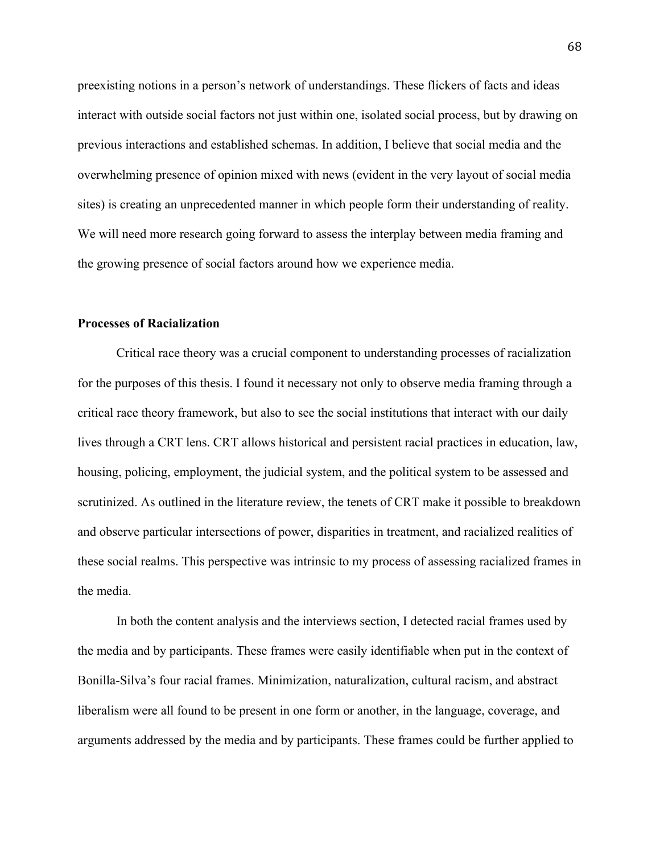preexisting notions in a person's network of understandings. These flickers of facts and ideas interact with outside social factors not just within one, isolated social process, but by drawing on previous interactions and established schemas. In addition, I believe that social media and the overwhelming presence of opinion mixed with news (evident in the very layout of social media sites) is creating an unprecedented manner in which people form their understanding of reality. We will need more research going forward to assess the interplay between media framing and the growing presence of social factors around how we experience media.

# **Processes of Racialization**

Critical race theory was a crucial component to understanding processes of racialization for the purposes of this thesis. I found it necessary not only to observe media framing through a critical race theory framework, but also to see the social institutions that interact with our daily lives through a CRT lens. CRT allows historical and persistent racial practices in education, law, housing, policing, employment, the judicial system, and the political system to be assessed and scrutinized. As outlined in the literature review, the tenets of CRT make it possible to breakdown and observe particular intersections of power, disparities in treatment, and racialized realities of these social realms. This perspective was intrinsic to my process of assessing racialized frames in the media.

In both the content analysis and the interviews section, I detected racial frames used by the media and by participants. These frames were easily identifiable when put in the context of Bonilla-Silva's four racial frames. Minimization, naturalization, cultural racism, and abstract liberalism were all found to be present in one form or another, in the language, coverage, and arguments addressed by the media and by participants. These frames could be further applied to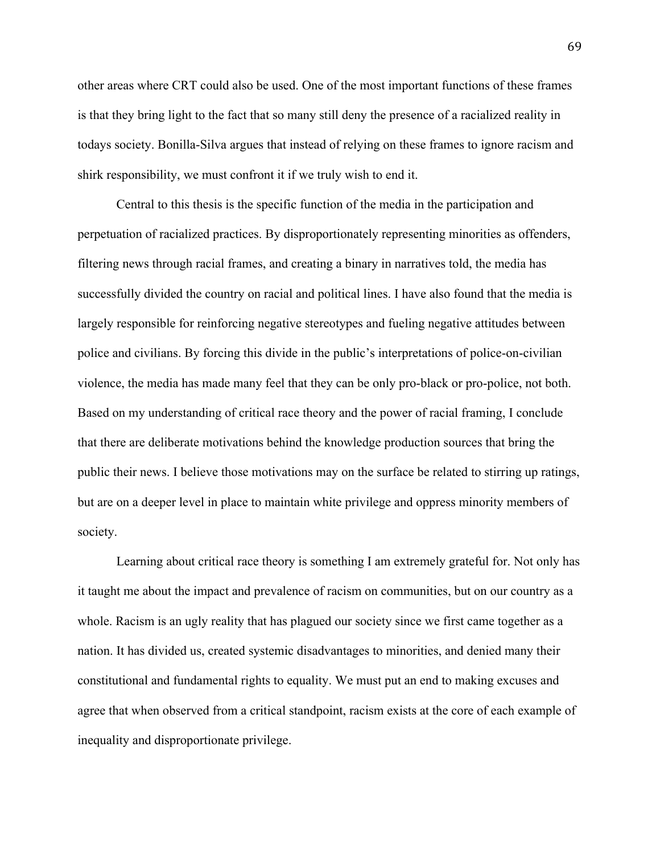other areas where CRT could also be used. One of the most important functions of these frames is that they bring light to the fact that so many still deny the presence of a racialized reality in todays society. Bonilla-Silva argues that instead of relying on these frames to ignore racism and shirk responsibility, we must confront it if we truly wish to end it.

Central to this thesis is the specific function of the media in the participation and perpetuation of racialized practices. By disproportionately representing minorities as offenders, filtering news through racial frames, and creating a binary in narratives told, the media has successfully divided the country on racial and political lines. I have also found that the media is largely responsible for reinforcing negative stereotypes and fueling negative attitudes between police and civilians. By forcing this divide in the public's interpretations of police-on-civilian violence, the media has made many feel that they can be only pro-black or pro-police, not both. Based on my understanding of critical race theory and the power of racial framing, I conclude that there are deliberate motivations behind the knowledge production sources that bring the public their news. I believe those motivations may on the surface be related to stirring up ratings, but are on a deeper level in place to maintain white privilege and oppress minority members of society.

Learning about critical race theory is something I am extremely grateful for. Not only has it taught me about the impact and prevalence of racism on communities, but on our country as a whole. Racism is an ugly reality that has plagued our society since we first came together as a nation. It has divided us, created systemic disadvantages to minorities, and denied many their constitutional and fundamental rights to equality. We must put an end to making excuses and agree that when observed from a critical standpoint, racism exists at the core of each example of inequality and disproportionate privilege.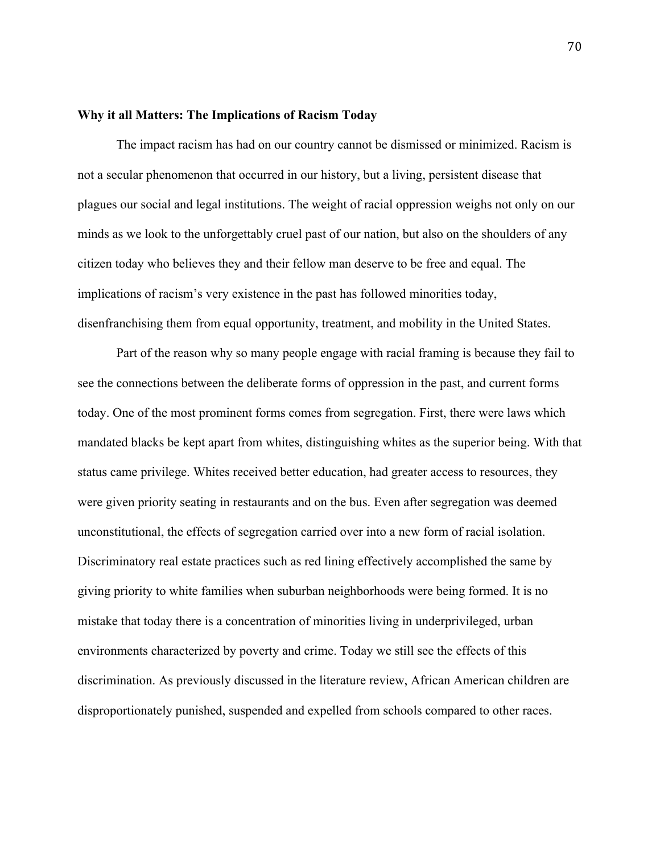# **Why it all Matters: The Implications of Racism Today**

The impact racism has had on our country cannot be dismissed or minimized. Racism is not a secular phenomenon that occurred in our history, but a living, persistent disease that plagues our social and legal institutions. The weight of racial oppression weighs not only on our minds as we look to the unforgettably cruel past of our nation, but also on the shoulders of any citizen today who believes they and their fellow man deserve to be free and equal. The implications of racism's very existence in the past has followed minorities today, disenfranchising them from equal opportunity, treatment, and mobility in the United States.

Part of the reason why so many people engage with racial framing is because they fail to see the connections between the deliberate forms of oppression in the past, and current forms today. One of the most prominent forms comes from segregation. First, there were laws which mandated blacks be kept apart from whites, distinguishing whites as the superior being. With that status came privilege. Whites received better education, had greater access to resources, they were given priority seating in restaurants and on the bus. Even after segregation was deemed unconstitutional, the effects of segregation carried over into a new form of racial isolation. Discriminatory real estate practices such as red lining effectively accomplished the same by giving priority to white families when suburban neighborhoods were being formed. It is no mistake that today there is a concentration of minorities living in underprivileged, urban environments characterized by poverty and crime. Today we still see the effects of this discrimination. As previously discussed in the literature review, African American children are disproportionately punished, suspended and expelled from schools compared to other races.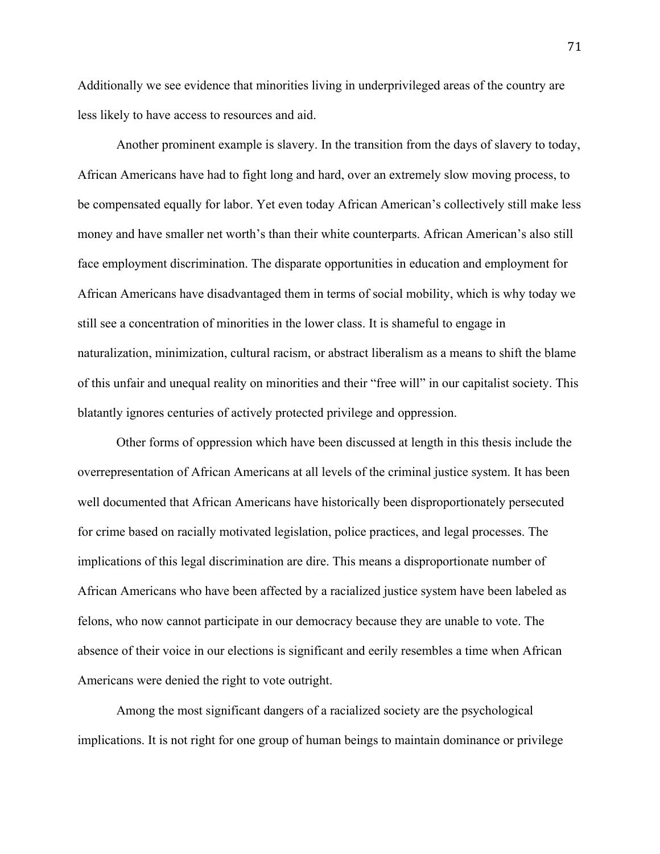Additionally we see evidence that minorities living in underprivileged areas of the country are less likely to have access to resources and aid.

Another prominent example is slavery. In the transition from the days of slavery to today, African Americans have had to fight long and hard, over an extremely slow moving process, to be compensated equally for labor. Yet even today African American's collectively still make less money and have smaller net worth's than their white counterparts. African American's also still face employment discrimination. The disparate opportunities in education and employment for African Americans have disadvantaged them in terms of social mobility, which is why today we still see a concentration of minorities in the lower class. It is shameful to engage in naturalization, minimization, cultural racism, or abstract liberalism as a means to shift the blame of this unfair and unequal reality on minorities and their "free will" in our capitalist society. This blatantly ignores centuries of actively protected privilege and oppression.

Other forms of oppression which have been discussed at length in this thesis include the overrepresentation of African Americans at all levels of the criminal justice system. It has been well documented that African Americans have historically been disproportionately persecuted for crime based on racially motivated legislation, police practices, and legal processes. The implications of this legal discrimination are dire. This means a disproportionate number of African Americans who have been affected by a racialized justice system have been labeled as felons, who now cannot participate in our democracy because they are unable to vote. The absence of their voice in our elections is significant and eerily resembles a time when African Americans were denied the right to vote outright.

Among the most significant dangers of a racialized society are the psychological implications. It is not right for one group of human beings to maintain dominance or privilege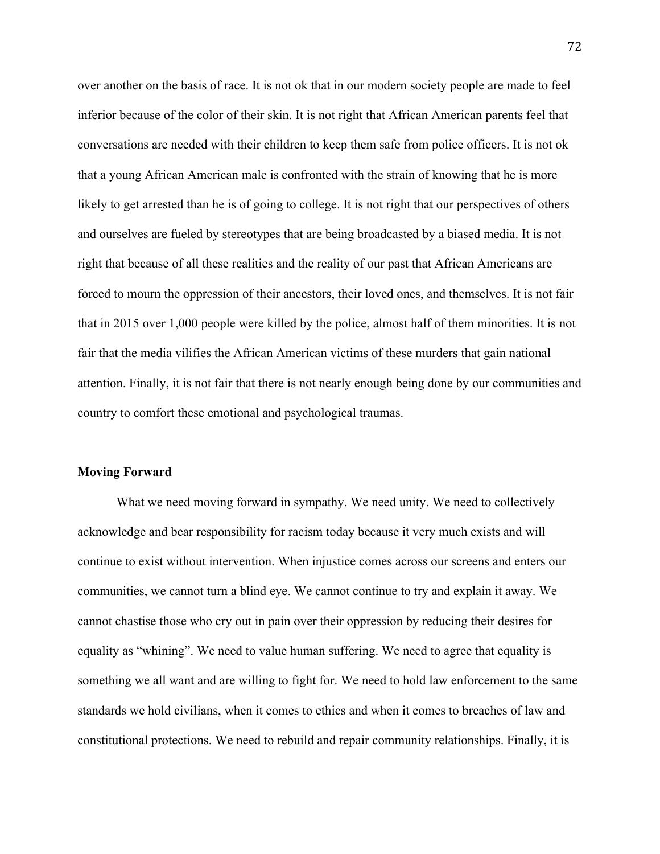over another on the basis of race. It is not ok that in our modern society people are made to feel inferior because of the color of their skin. It is not right that African American parents feel that conversations are needed with their children to keep them safe from police officers. It is not ok that a young African American male is confronted with the strain of knowing that he is more likely to get arrested than he is of going to college. It is not right that our perspectives of others and ourselves are fueled by stereotypes that are being broadcasted by a biased media. It is not right that because of all these realities and the reality of our past that African Americans are forced to mourn the oppression of their ancestors, their loved ones, and themselves. It is not fair that in 2015 over 1,000 people were killed by the police, almost half of them minorities. It is not fair that the media vilifies the African American victims of these murders that gain national attention. Finally, it is not fair that there is not nearly enough being done by our communities and country to comfort these emotional and psychological traumas.

## **Moving Forward**

What we need moving forward in sympathy. We need unity. We need to collectively acknowledge and bear responsibility for racism today because it very much exists and will continue to exist without intervention. When injustice comes across our screens and enters our communities, we cannot turn a blind eye. We cannot continue to try and explain it away. We cannot chastise those who cry out in pain over their oppression by reducing their desires for equality as "whining". We need to value human suffering. We need to agree that equality is something we all want and are willing to fight for. We need to hold law enforcement to the same standards we hold civilians, when it comes to ethics and when it comes to breaches of law and constitutional protections. We need to rebuild and repair community relationships. Finally, it is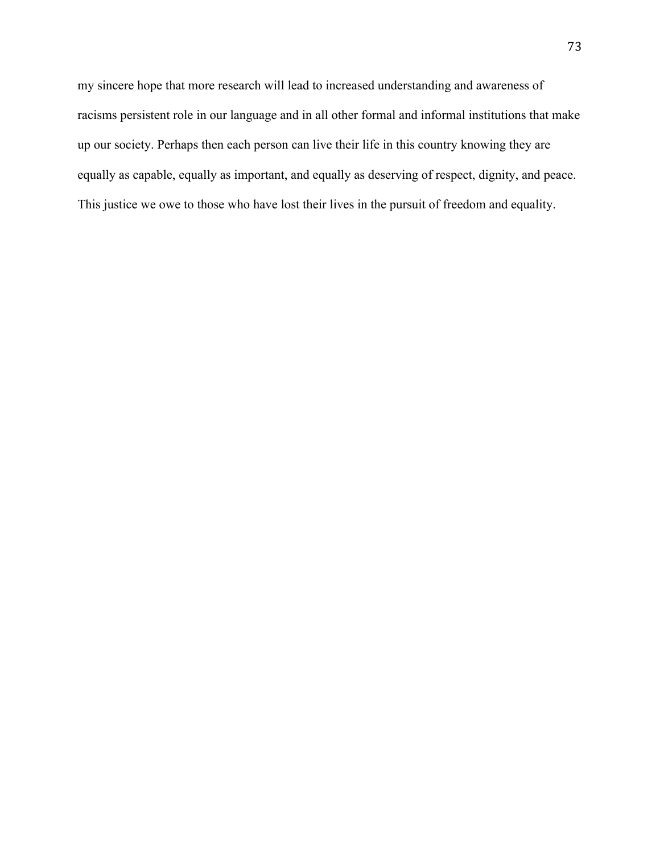my sincere hope that more research will lead to increased understanding and awareness of racisms persistent role in our language and in all other formal and informal institutions that make up our society. Perhaps then each person can live their life in this country knowing they are equally as capable, equally as important, and equally as deserving of respect, dignity, and peace. This justice we owe to those who have lost their lives in the pursuit of freedom and equality.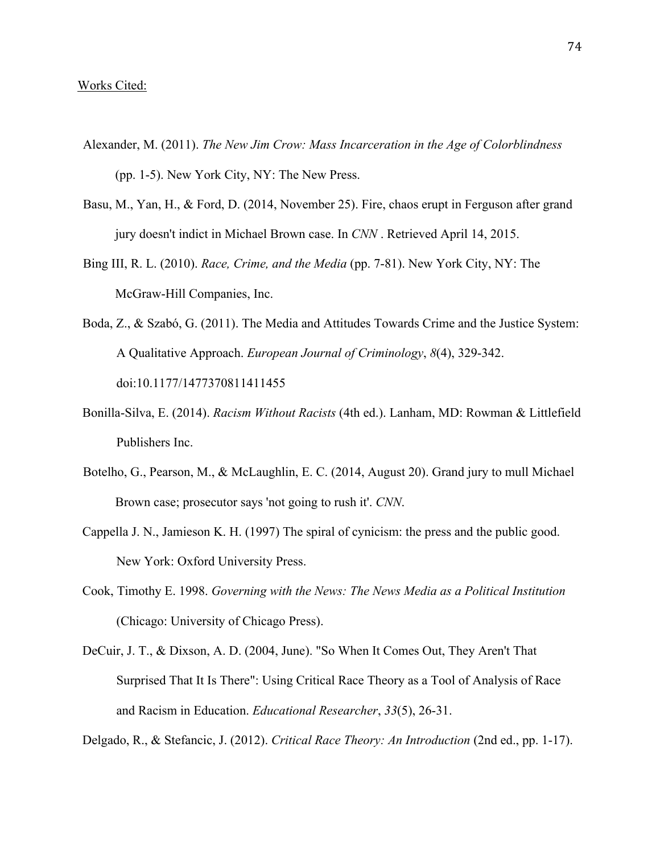- Alexander, M. (2011). *The New Jim Crow: Mass Incarceration in the Age of Colorblindness* (pp. 1-5). New York City, NY: The New Press.
- Basu, M., Yan, H., & Ford, D. (2014, November 25). Fire, chaos erupt in Ferguson after grand jury doesn't indict in Michael Brown case. In *CNN* . Retrieved April 14, 2015.
- Bing III, R. L. (2010). *Race, Crime, and the Media* (pp. 7-81). New York City, NY: The McGraw-Hill Companies, Inc.
- Boda, Z., & Szabó, G. (2011). The Media and Attitudes Towards Crime and the Justice System: A Qualitative Approach. *European Journal of Criminology*, *8*(4), 329-342. doi:10.1177/1477370811411455
- Bonilla-Silva, E. (2014). *Racism Without Racists* (4th ed.). Lanham, MD: Rowman & Littlefield Publishers Inc.
- Botelho, G., Pearson, M., & McLaughlin, E. C. (2014, August 20). Grand jury to mull Michael Brown case; prosecutor says 'not going to rush it'. *CNN*.
- Cappella J. N., Jamieson K. H. (1997) The spiral of cynicism: the press and the public good. New York: Oxford University Press.
- Cook, Timothy E. 1998. *Governing with the News: The News Media as a Political Institution*  (Chicago: University of Chicago Press).
- DeCuir, J. T., & Dixson, A. D. (2004, June). "So When It Comes Out, They Aren't That Surprised That It Is There": Using Critical Race Theory as a Tool of Analysis of Race and Racism in Education. *Educational Researcher*, *33*(5), 26-31.

Delgado, R., & Stefancic, J. (2012). *Critical Race Theory: An Introduction* (2nd ed., pp. 1-17).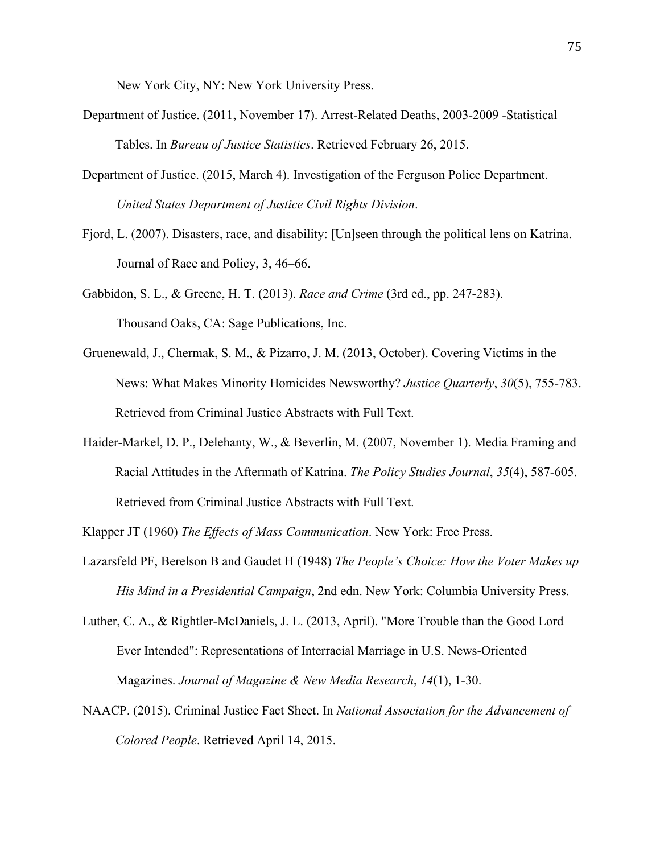New York City, NY: New York University Press.

- Department of Justice. (2011, November 17). Arrest-Related Deaths, 2003-2009 -Statistical Tables. In *Bureau of Justice Statistics*. Retrieved February 26, 2015.
- Department of Justice. (2015, March 4). Investigation of the Ferguson Police Department. *United States Department of Justice Civil Rights Division*.
- Fjord, L. (2007). Disasters, race, and disability: [Un]seen through the political lens on Katrina. Journal of Race and Policy, 3, 46–66.
- Gabbidon, S. L., & Greene, H. T. (2013). *Race and Crime* (3rd ed., pp. 247-283). Thousand Oaks, CA: Sage Publications, Inc.
- Gruenewald, J., Chermak, S. M., & Pizarro, J. M. (2013, October). Covering Victims in the News: What Makes Minority Homicides Newsworthy? *Justice Quarterly*, *30*(5), 755-783. Retrieved from Criminal Justice Abstracts with Full Text.
- Haider-Markel, D. P., Delehanty, W., & Beverlin, M. (2007, November 1). Media Framing and Racial Attitudes in the Aftermath of Katrina. *The Policy Studies Journal*, *35*(4), 587-605. Retrieved from Criminal Justice Abstracts with Full Text.

Klapper JT (1960) *The Effects of Mass Communication*. New York: Free Press.

- Lazarsfeld PF, Berelson B and Gaudet H (1948) *The People's Choice: How the Voter Makes up His Mind in a Presidential Campaign*, 2nd edn. New York: Columbia University Press.
- Luther, C. A., & Rightler-McDaniels, J. L. (2013, April). "More Trouble than the Good Lord Ever Intended": Representations of Interracial Marriage in U.S. News-Oriented Magazines. *Journal of Magazine & New Media Research*, *14*(1), 1-30.
- NAACP. (2015). Criminal Justice Fact Sheet. In *National Association for the Advancement of Colored People*. Retrieved April 14, 2015.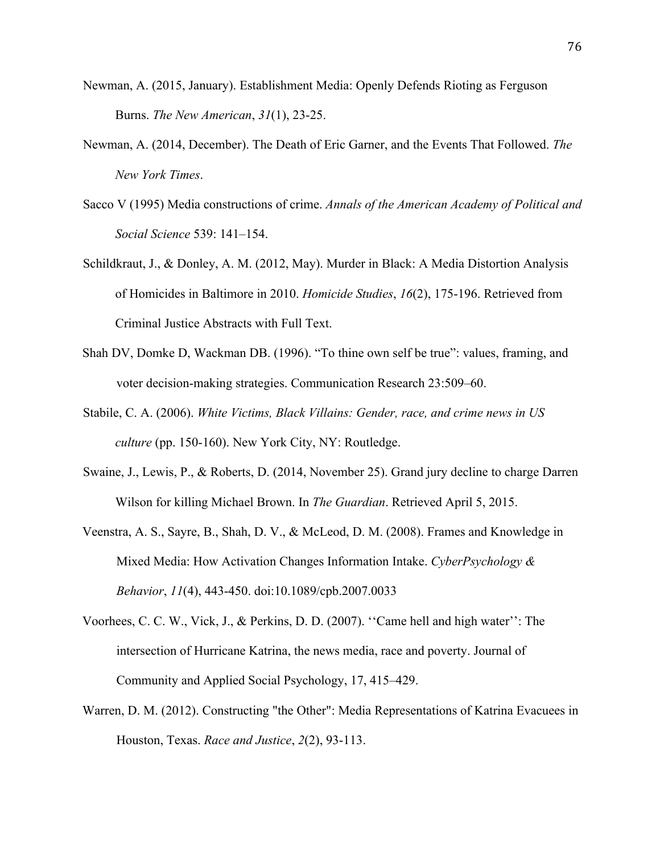- Newman, A. (2015, January). Establishment Media: Openly Defends Rioting as Ferguson Burns. *The New American*, *31*(1), 23-25.
- Newman, A. (2014, December). The Death of Eric Garner, and the Events That Followed. *The New York Times*.
- Sacco V (1995) Media constructions of crime. *Annals of the American Academy of Political and Social Science* 539: 141–154.
- Schildkraut, J., & Donley, A. M. (2012, May). Murder in Black: A Media Distortion Analysis of Homicides in Baltimore in 2010. *Homicide Studies*, *16*(2), 175-196. Retrieved from Criminal Justice Abstracts with Full Text.
- Shah DV, Domke D, Wackman DB. (1996). "To thine own self be true": values, framing, and voter decision-making strategies. Communication Research 23:509–60.
- Stabile, C. A. (2006). *White Victims, Black Villains: Gender, race, and crime news in US culture* (pp. 150-160). New York City, NY: Routledge.
- Swaine, J., Lewis, P., & Roberts, D. (2014, November 25). Grand jury decline to charge Darren Wilson for killing Michael Brown. In *The Guardian*. Retrieved April 5, 2015.
- Veenstra, A. S., Sayre, B., Shah, D. V., & McLeod, D. M. (2008). Frames and Knowledge in Mixed Media: How Activation Changes Information Intake. *CyberPsychology & Behavior*, *11*(4), 443-450. doi:10.1089/cpb.2007.0033
- Voorhees, C. C. W., Vick, J., & Perkins, D. D. (2007). ''Came hell and high water'': The intersection of Hurricane Katrina, the news media, race and poverty. Journal of Community and Applied Social Psychology, 17, 415–429.
- Warren, D. M. (2012). Constructing "the Other": Media Representations of Katrina Evacuees in Houston, Texas. *Race and Justice*, *2*(2), 93-113.